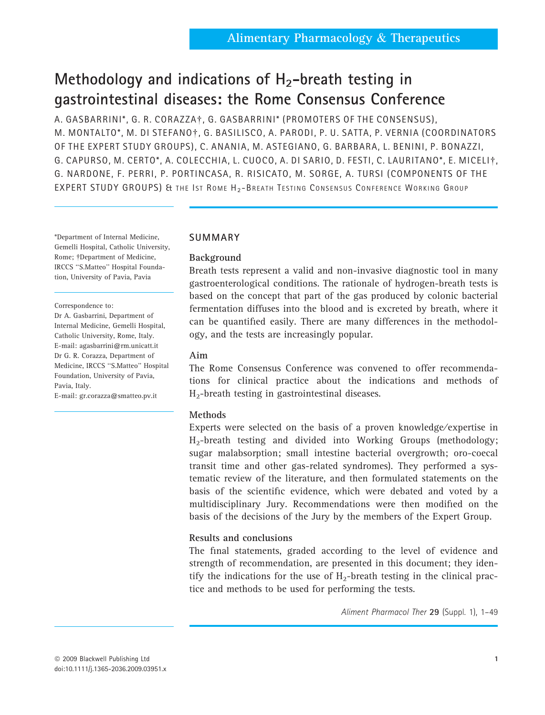# Methodology and indications of  $H_2$ -breath testing in gastrointestinal diseases: the Rome Consensus Conference

A. GASBARRINI\*, G. R. CORAZZA†, G. GASBARRINI\* (PROMOTERS OF THE CONSENSUS), M. MONTALTO\*, M. DI STEFANO†, G. BASILISCO, A. PARODI, P. U. SATTA, P. VERNIA (COORDINATORS OF THE EXPERT STUDY GROUPS), C. ANANIA, M. ASTEGIANO, G. BARBARA, L. BENINI, P. BONAZZI, G. CAPURSO, M. CERTO\*, A. COLECCHIA, L. CUOCO, A. DI SARIO, D. FESTI, C. LAURITANO\*, E. MICELI†, G. NARDONE, F. PERRI, P. PORTINCASA, R. RISICATO, M. SORGE, A. TURSI (COMPONENTS OF THE EXPERT STUDY GROUPS) & THE IST ROME H<sub>2</sub>-BREATH TESTING CONSENSUS CONFERENCE WORKING GROUP

\*Department of Internal Medicine, Gemelli Hospital, Catholic University, Rome; †Department of Medicine, IRCCS ''S.Matteo'' Hospital Foundation, University of Pavia, Pavia

Correspondence to:

Dr A. Gasbarrini, Department of Internal Medicine, Gemelli Hospital, Catholic University, Rome, Italy. E-mail: agasbarrini@rm.unicatt.it Dr G. R. Corazza, Department of Medicine, IRCCS ''S.Matteo'' Hospital Foundation, University of Pavia, Pavia, Italy.

E-mail: gr.corazza@smatteo.pv.it

### SUMMARY

### Background

Breath tests represent a valid and non-invasive diagnostic tool in many gastroenterological conditions. The rationale of hydrogen-breath tests is based on the concept that part of the gas produced by colonic bacterial fermentation diffuses into the blood and is excreted by breath, where it can be quantified easily. There are many differences in the methodology, and the tests are increasingly popular.

## Aim

The Rome Consensus Conference was convened to offer recommendations for clinical practice about the indications and methods of H2-breath testing in gastrointestinal diseases.

## Methods

Experts were selected on the basis of a proven knowledge/expertise in H2-breath testing and divided into Working Groups (methodology; sugar malabsorption; small intestine bacterial overgrowth; oro-coecal transit time and other gas-related syndromes). They performed a systematic review of the literature, and then formulated statements on the basis of the scientific evidence, which were debated and voted by a multidisciplinary Jury. Recommendations were then modified on the basis of the decisions of the Jury by the members of the Expert Group.

### Results and conclusions

The final statements, graded according to the level of evidence and strength of recommendation, are presented in this document; they identify the indications for the use of  $H_2$ -breath testing in the clinical practice and methods to be used for performing the tests.

Aliment Pharmacol Ther 29 (Suppl. 1), 1–49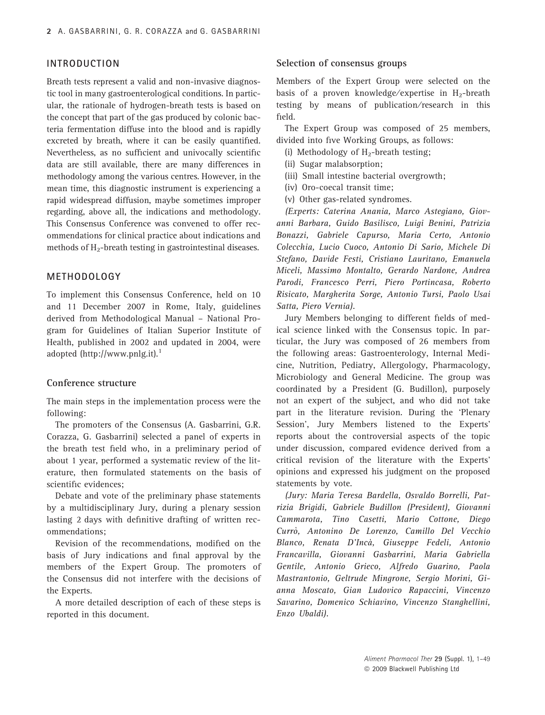#### INTRODUCTION

Breath tests represent a valid and non-invasive diagnostic tool in many gastroenterological conditions. In particular, the rationale of hydrogen-breath tests is based on the concept that part of the gas produced by colonic bacteria fermentation diffuse into the blood and is rapidly excreted by breath, where it can be easily quantified. Nevertheless, as no sufficient and univocally scientific data are still available, there are many differences in methodology among the various centres. However, in the mean time, this diagnostic instrument is experiencing a rapid widespread diffusion, maybe sometimes improper regarding, above all, the indications and methodology. This Consensus Conference was convened to offer recommendations for clinical practice about indications and methods of  $H_2$ -breath testing in gastrointestinal diseases.

### METHODOLOGY

To implement this Consensus Conference, held on 10 and 11 December 2007 in Rome, Italy, guidelines derived from Methodological Manual – National Program for Guidelines of Italian Superior Institute of Health, published in 2002 and updated in 2004, were adopted  $[http://www.pnlg.it].<sup>1</sup>$ 

#### Conference structure

The main steps in the implementation process were the following:

The promoters of the Consensus (A. Gasbarrini, G.R. Corazza, G. Gasbarrini) selected a panel of experts in the breath test field who, in a preliminary period of about 1 year, performed a systematic review of the literature, then formulated statements on the basis of scientific evidences;

Debate and vote of the preliminary phase statements by a multidisciplinary Jury, during a plenary session lasting 2 days with definitive drafting of written recommendations;

Revision of the recommendations, modified on the basis of Jury indications and final approval by the members of the Expert Group. The promoters of the Consensus did not interfere with the decisions of the Experts.

A more detailed description of each of these steps is reported in this document.

#### Selection of consensus groups

Members of the Expert Group were selected on the basis of a proven knowledge/expertise in  $H_2$ -breath testing by means of publication/research in this field.

The Expert Group was composed of 25 members, divided into five Working Groups, as follows:

(i) Methodology of  $H_2$ -breath testing:

- (ii) Sugar malabsorption;
- (iii) Small intestine bacterial overgrowth;
- (iv) Oro-coecal transit time;
- (v) Other gas-related syndromes.

(Experts: Caterina Anania, Marco Astegiano, Giovanni Barbara, Guido Basilisco, Luigi Benini, Patrizia Bonazzi, Gabriele Capurso, Maria Certo, Antonio Colecchia, Lucio Cuoco, Antonio Di Sario, Michele Di Stefano, Davide Festi, Cristiano Lauritano, Emanuela Miceli, Massimo Montalto, Gerardo Nardone, Andrea Parodi, Francesco Perri, Piero Portincasa, Roberto Risicato, Margherita Sorge, Antonio Tursi, Paolo Usai Satta, Piero Vernia).

Jury Members belonging to different fields of medical science linked with the Consensus topic. In particular, the Jury was composed of 26 members from the following areas: Gastroenterology, Internal Medicine, Nutrition, Pediatry, Allergology, Pharmacology, Microbiology and General Medicine. The group was coordinated by a President (G. Budillon), purposely not an expert of the subject, and who did not take part in the literature revision. During the 'Plenary Session', Jury Members listened to the Experts' reports about the controversial aspects of the topic under discussion, compared evidence derived from a critical revision of the literature with the Experts' opinions and expressed his judgment on the proposed statements by vote.

(Jury: Maria Teresa Bardella, Osvaldo Borrelli, Patrizia Brigidi, Gabriele Budillon (President), Giovanni Cammarota, Tino Casetti, Mario Cottone, Diego Currò, Antonino De Lorenzo, Camillo Del Vecchio Blanco, Renata D'Incà, Giuseppe Fedeli, Antonio Francavilla, Giovanni Gasbarrini, Maria Gabriella Gentile, Antonio Grieco, Alfredo Guarino, Paola Mastrantonio, Geltrude Mingrone, Sergio Morini, Gianna Moscato, Gian Ludovico Rapaccini, Vincenzo Savarino, Domenico Schiavino, Vincenzo Stanghellini, Enzo Ubaldi).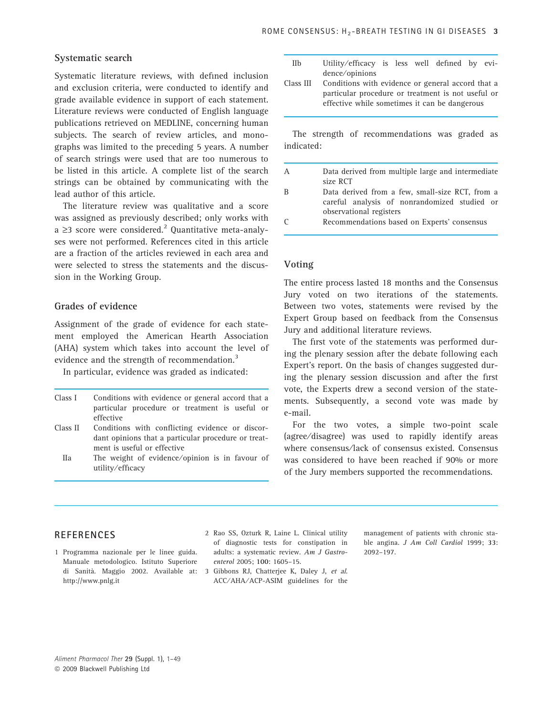#### Systematic search

Systematic literature reviews, with defined inclusion and exclusion criteria, were conducted to identify and grade available evidence in support of each statement. Literature reviews were conducted of English language publications retrieved on MEDLINE, concerning human subjects. The search of review articles, and monographs was limited to the preceding 5 years. A number of search strings were used that are too numerous to be listed in this article. A complete list of the search strings can be obtained by communicating with the lead author of this article.

The literature review was qualitative and a score was assigned as previously described; only works with a  $\geq$ 3 score were considered.<sup>2</sup> Quantitative meta-analyses were not performed. References cited in this article are a fraction of the articles reviewed in each area and were selected to stress the statements and the discussion in the Working Group.

#### Grades of evidence

Assignment of the grade of evidence for each statement employed the American Hearth Association (AHA) system which takes into account the level of evidence and the strength of recommendation.<sup>3</sup>

In particular, evidence was graded as indicated:

- Class I Conditions with evidence or general accord that a particular procedure or treatment is useful or effective
- Class II Conditions with conflicting evidence or discordant opinions that a particular procedure or treatment is useful or effective
	- IIa The weight of evidence ⁄ opinion is in favour of utility ⁄ efficacy
- IIb Utility ⁄ efficacy is less well defined by evidence ⁄ opinions
- Class III Conditions with evidence or general accord that a particular procedure or treatment is not useful or effective while sometimes it can be dangerous

The strength of recommendations was graded as indicated:

- A Data derived from multiple large and intermediate size RCT B Data derived from a few, small-size RCT, from a careful analysis of nonrandomized studied or observational registers
- C Recommendations based on Experts' consensus

#### Voting

The entire process lasted 18 months and the Consensus Jury voted on two iterations of the statements. Between two votes, statements were revised by the Expert Group based on feedback from the Consensus Jury and additional literature reviews.

The first vote of the statements was performed during the plenary session after the debate following each Expert's report. On the basis of changes suggested during the plenary session discussion and after the first vote, the Experts drew a second version of the statements. Subsequently, a second vote was made by e-mail.

For the two votes, a simple two-point scale (agree/disagree) was used to rapidly identify areas where consensus⁄ lack of consensus existed. Consensus was considered to have been reached if 90% or more of the Jury members supported the recommendations.

#### REFERENCES

1 Programma nazionale per le linee guida. Manuale metodologico. Istituto Superiore di Sanità. Maggio 2002. Available at: http://www.pnlg.it

2 Rao SS, Ozturk R, Laine L. Clinical utility of diagnostic tests for constipation in adults: a systematic review. Am J Gastroenterol 2005; 100: 1605–15.

3 Gibbons RJ, Chatterjee K, Daley J, et al. ACC/AHA/ACP-ASIM guidelines for the

management of patients with chronic stable angina. J Am Coll Cardiol 1999; 33: 2092–197.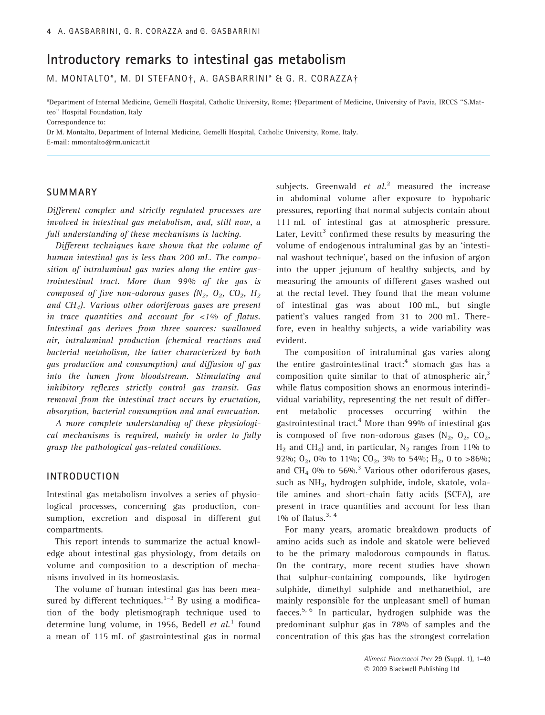## Introductory remarks to intestinal gas metabolism

M. MONTALTO\*, M. DI STEFANO†, A. GASBARRINI\* & G. R. CORAZZA†

\*Department of Internal Medicine, Gemelli Hospital, Catholic University, Rome; -Department of Medicine, University of Pavia, IRCCS ''S.Matteo'' Hospital Foundation, Italy

Correspondence to:

Dr M. Montalto, Department of Internal Medicine, Gemelli Hospital, Catholic University, Rome, Italy. E-mail: mmontalto@rm.unicatt.it

#### SUMMARY

Different complex and strictly regulated processes are involved in intestinal gas metabolism, and, still now, a full understanding of these mechanisms is lacking.

Different techniques have shown that the volume of human intestinal gas is less than 200 mL. The composition of intraluminal gas varies along the entire gastrointestinal tract. More than 99% of the gas is composed of five non-odorous gases  $(N_2, O_2, CO_2, H_2)$ and  $CH<sub>4</sub>$ ). Various other odoriferous gases are present in trace quantities and account for  $\langle 1\%$  of flatus. Intestinal gas derives from three sources: swallowed air, intraluminal production (chemical reactions and bacterial metabolism, the latter characterized by both gas production and consumption) and diffusion of gas into the lumen from bloodstream. Stimulating and inhibitory reflexes strictly control gas transit. Gas removal from the intestinal tract occurs by eructation, absorption, bacterial consumption and anal evacuation.

A more complete understanding of these physiological mechanisms is required, mainly in order to fully grasp the pathological gas-related conditions.

#### INTRODUCTION

Intestinal gas metabolism involves a series of physiological processes, concerning gas production, consumption, excretion and disposal in different gut compartments.

This report intends to summarize the actual knowledge about intestinal gas physiology, from details on volume and composition to a description of mechanisms involved in its homeostasis.

The volume of human intestinal gas has been measured by different techniques. $1-3$  By using a modification of the body pletismograph technique used to determine lung volume, in 1956, Bedell et  $al<sup>1</sup>$  found a mean of 115 mL of gastrointestinal gas in normal subjects. Greenwald et  $al$ <sup>2</sup> measured the increase in abdominal volume after exposure to hypobaric pressures, reporting that normal subjects contain about 111 mL of intestinal gas at atmospheric pressure. Later, Levitt<sup>3</sup> confirmed these results by measuring the volume of endogenous intraluminal gas by an 'intestinal washout technique', based on the infusion of argon into the upper jejunum of healthy subjects, and by measuring the amounts of different gases washed out at the rectal level. They found that the mean volume of intestinal gas was about 100 mL, but single patient's values ranged from 31 to 200 mL. Therefore, even in healthy subjects, a wide variability was evident.

The composition of intraluminal gas varies along the entire gastrointestinal tract: $4$  stomach gas has a composition quite similar to that of atmospheric  $air<sub>3</sub>$ <sup>3</sup> while flatus composition shows an enormous interindividual variability, representing the net result of different metabolic processes occurring within the gastrointestinal tract. $4$  More than 99% of intestinal gas is composed of five non-odorous gases  $(N_2, 0_2, C_2)$ ,  $H_2$  and CH<sub>4</sub>) and, in particular, N<sub>2</sub> ranges from 11% to 92%; O<sub>2</sub>, 0% to 11%; CO<sub>2</sub>, 3% to 54%; H<sub>2</sub>, 0 to >86%; and  $CH_4$  0% to 56%.<sup>3</sup> Various other odoriferous gases, such as NH<sub>3</sub>, hydrogen sulphide, indole, skatole, volatile amines and short-chain fatty acids (SCFA), are present in trace quantities and account for less than 1% of flatus. $3, 4$ 

For many years, aromatic breakdown products of amino acids such as indole and skatole were believed to be the primary malodorous compounds in flatus. On the contrary, more recent studies have shown that sulphur-containing compounds, like hydrogen sulphide, dimethyl sulphide and methanethiol, are mainly responsible for the unpleasant smell of human faeces.<sup>5, 6</sup> In particular, hydrogen sulphide was the predominant sulphur gas in 78% of samples and the concentration of this gas has the strongest correlation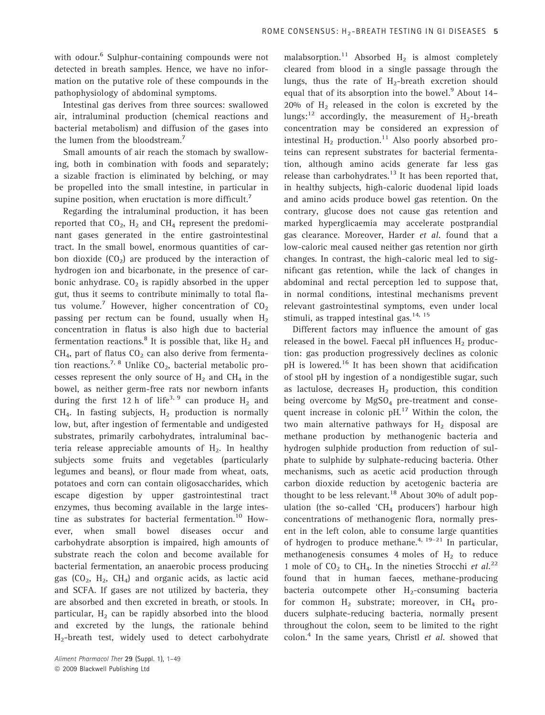with odour.<sup>6</sup> Sulphur-containing compounds were not detected in breath samples. Hence, we have no information on the putative role of these compounds in the pathophysiology of abdominal symptoms.

Intestinal gas derives from three sources: swallowed air, intraluminal production (chemical reactions and bacterial metabolism) and diffusion of the gases into the lumen from the bloodstream.<sup>7</sup>

Small amounts of air reach the stomach by swallowing, both in combination with foods and separately; a sizable fraction is eliminated by belching, or may be propelled into the small intestine, in particular in supine position, when eructation is more difficult.<sup>7</sup>

Regarding the intraluminal production, it has been reported that  $CO<sub>2</sub>$ , H<sub>2</sub> and CH<sub>4</sub> represent the predominant gases generated in the entire gastrointestinal tract. In the small bowel, enormous quantities of carbon dioxide  $(CO_2)$  are produced by the interaction of hydrogen ion and bicarbonate, in the presence of carbonic anhydrase.  $CO<sub>2</sub>$  is rapidly absorbed in the upper gut, thus it seems to contribute minimally to total flatus volume.<sup>7</sup> However, higher concentration of  $CO<sub>2</sub>$ passing per rectum can be found, usually when  $H_2$ concentration in flatus is also high due to bacterial fermentation reactions.<sup>8</sup> It is possible that, like  $H_2$  and  $CH<sub>4</sub>$ , part of flatus  $CO<sub>2</sub>$  can also derive from fermentation reactions.<sup>7, 8</sup> Unlike  $CO<sub>2</sub>$ , bacterial metabolic processes represent the only source of  $H_2$  and CH<sub>4</sub> in the bowel, as neither germ-free rats nor newborn infants during the first 12 h of life<sup>3, 9</sup> can produce  $H_2$  and CH<sub>4</sub>. In fasting subjects,  $H_2$  production is normally low, but, after ingestion of fermentable and undigested substrates, primarily carbohydrates, intraluminal bacteria release appreciable amounts of  $H_2$ . In healthy subjects some fruits and vegetables (particularly legumes and beans), or flour made from wheat, oats, potatoes and corn can contain oligosaccharides, which escape digestion by upper gastrointestinal tract enzymes, thus becoming available in the large intestine as substrates for bacterial fermentation.<sup>10</sup> However, when small bowel diseases occur and carbohydrate absorption is impaired, high amounts of substrate reach the colon and become available for bacterial fermentation, an anaerobic process producing gas  $(CO_2, H_2, CH_4)$  and organic acids, as lactic acid and SCFA. If gases are not utilized by bacteria, they are absorbed and then excreted in breath, or stools. In particular,  $H_2$  can be rapidly absorbed into the blood and excreted by the lungs, the rationale behind H<sub>2</sub>-breath test, widely used to detect carbohydrate malabsorption.<sup>11</sup> Absorbed H<sub>2</sub> is almost completely cleared from blood in a single passage through the lungs, thus the rate of  $H_2$ -breath excretion should equal that of its absorption into the bowel. $9$  About 14– 20% of  $H_2$  released in the colon is excreted by the lungs:<sup>12</sup> accordingly, the measurement of  $H_2$ -breath concentration may be considered an expression of intestinal  $H_2$  production.<sup>11</sup> Also poorly absorbed proteins can represent substrates for bacterial fermentation, although amino acids generate far less gas release than carbohydrates.<sup>13</sup> It has been reported that, in healthy subjects, high-caloric duodenal lipid loads and amino acids produce bowel gas retention. On the contrary, glucose does not cause gas retention and marked hyperglicaemia may accelerate postprandial gas clearance. Moreover, Harder et al. found that a low-caloric meal caused neither gas retention nor girth changes. In contrast, the high-caloric meal led to significant gas retention, while the lack of changes in abdominal and rectal perception led to suppose that, in normal conditions, intestinal mechanisms prevent relevant gastrointestinal symptoms, even under local stimuli, as trapped intestinal gas. $14, 15$ 

Different factors may influence the amount of gas released in the bowel. Faecal pH influences  $H_2$  production: gas production progressively declines as colonic pH is lowered.<sup>16</sup> It has been shown that acidification of stool pH by ingestion of a nondigestible sugar, such as lactulose, decreases  $H_2$  production, this condition being overcome by  $MgSO<sub>4</sub>$  pre-treatment and consequent increase in colonic  $pH<sup>17</sup>$  Within the colon, the two main alternative pathways for  $H_2$  disposal are methane production by methanogenic bacteria and hydrogen sulphide production from reduction of sulphate to sulphide by sulphate-reducing bacteria. Other mechanisms, such as acetic acid production through carbon dioxide reduction by acetogenic bacteria are thought to be less relevant.<sup>18</sup> About 30% of adult population (the so-called 'CH<sub>4</sub> producers') harbour high concentrations of methanogenic flora, normally present in the left colon, able to consume large quantities of hydrogen to produce methane.<sup>4, 19–21</sup> In particular, methanogenesis consumes 4 moles of  $H_2$  to reduce 1 mole of  $CO<sub>2</sub>$  to CH<sub>4</sub>. In the nineties Strocchi *et al.*<sup>22</sup> found that in human faeces, methane-producing bacteria outcompete other  $H_2$ -consuming bacteria for common  $H_2$  substrate; moreover, in CH<sub>4</sub> producers sulphate-reducing bacteria, normally present throughout the colon, seem to be limited to the right  $\text{colon}^4$  In the same years, Christl *et al.* showed that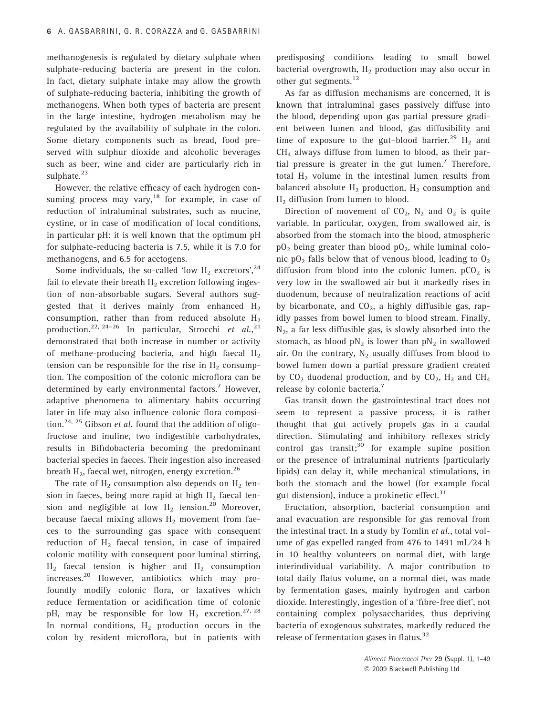methanogenesis is regulated by dietary sulphate when sulphate-reducing bacteria are present in the colon. In fact, dietary sulphate intake may allow the growth of sulphate-reducing bacteria, inhibiting the growth of methanogens. When both types of bacteria are present in the large intestine, hydrogen metabolism may be regulated by the availability of sulphate in the colon. Some dietary components such as bread, food preserved with sulphur dioxide and alcoholic beverages such as beer, wine and cider are particularly rich in sulphate. $23$ 

However, the relative efficacy of each hydrogen consuming process may vary, $18$  for example, in case of reduction of intraluminal substrates, such as mucine, cystine, or in case of modification of local conditions, in particular pH: it is well known that the optimum pH for sulphate-reducing bacteria is 7.5, while it is 7.0 for methanogens, and 6.5 for acetogens.

Some individuals, the so-called 'low  $H_2$  excretors',<sup>24</sup> fail to elevate their breath  $H_2$  excretion following ingestion of non-absorbable sugars. Several authors suggested that it derives mainly from enhanced  $H_2$ consumption, rather than from reduced absolute  $H_2$ production.<sup>22, 24-26</sup> In particular, Strocchi et al.,<sup>21</sup> demonstrated that both increase in number or activity of methane-producing bacteria, and high faecal  $H_2$ tension can be responsible for the rise in  $H_2$  consumption. The composition of the colonic microflora can be determined by early environmental factors.<sup>7</sup> However, adaptive phenomena to alimentary habits occurring later in life may also influence colonic flora composition.<sup>24, 25</sup> Gibson *et al.* found that the addition of oligofructose and inuline, two indigestible carbohydrates, results in Bifidobacteria becoming the predominant bacterial species in faeces. Their ingestion also increased breath  $H_2$ , faecal wet, nitrogen, energy excretion.<sup>26</sup>

The rate of  $H_2$  consumption also depends on  $H_2$  tension in faeces, being more rapid at high  $H_2$  faecal tension and negligible at low  $H_2$  tension.<sup>20</sup> Moreover, because faecal mixing allows  $H_2$  movement from faeces to the surrounding gas space with consequent reduction of  $H_2$  faecal tension, in case of impaired colonic motility with consequent poor luminal stirring,  $H_2$  faecal tension is higher and  $H_2$  consumption increases.<sup>20</sup> However, antibiotics which may profoundly modify colonic flora, or laxatives which reduce fermentation or acidification time of colonic pH, may be responsible for low  $H_2$  excretion.<sup>27, 28</sup> In normal conditions,  $H_2$  production occurs in the colon by resident microflora, but in patients with predisposing conditions leading to small bowel bacterial overgrowth,  $H_2$  production may also occur in other gut segments. $^{12}$ 

As far as diffusion mechanisms are concerned, it is known that intraluminal gases passively diffuse into the blood, depending upon gas partial pressure gradient between lumen and blood, gas diffusibility and time of exposure to the gut–blood barrier.<sup>29</sup> H<sub>2</sub> and  $CH<sub>4</sub>$  always diffuse from lumen to blood, as their partial pressure is greater in the gut lumen.<sup>7</sup> Therefore, total  $H_2$  volume in the intestinal lumen results from balanced absolute  $H_2$  production,  $H_2$  consumption and H2 diffusion from lumen to blood.

Direction of movement of  $CO<sub>2</sub>$ , N<sub>2</sub> and O<sub>2</sub> is quite variable. In particular, oxygen, from swallowed air, is absorbed from the stomach into the blood, atmospheric  $pO<sub>2</sub>$  being greater than blood  $pO<sub>2</sub>$ , while luminal colonic  $pO_2$  falls below that of venous blood, leading to  $O_2$ diffusion from blood into the colonic lumen.  $pCO<sub>2</sub>$  is very low in the swallowed air but it markedly rises in duodenum, because of neutralization reactions of acid by bicarbonate, and  $CO<sub>2</sub>$ , a highly diffusible gas, rapidly passes from bowel lumen to blood stream. Finally,  $N_2$ , a far less diffusible gas, is slowly absorbed into the stomach, as blood  $pN_2$  is lower than  $pN_2$  in swallowed air. On the contrary,  $N_2$  usually diffuses from blood to bowel lumen down a partial pressure gradient created by  $CO_2$  duodenal production, and by  $CO_2$ , H<sub>2</sub> and CH<sub>4</sub> release by colonic bacteria.<sup>7</sup>

Gas transit down the gastrointestinal tract does not seem to represent a passive process, it is rather thought that gut actively propels gas in a caudal direction. Stimulating and inhibitory reflexes stricly control gas transit; $30$  for example supine position or the presence of intraluminal nutrients (particularly lipids) can delay it, while mechanical stimulations, in both the stomach and the bowel (for example focal gut distension), induce a prokinetic effect. $31$ 

Eructation, absorption, bacterial consumption and anal evacuation are responsible for gas removal from the intestinal tract. In a study by Tomlin et al., total volume of gas expelled ranged from 476 to 1491 mL/24 h in 10 healthy volunteers on normal diet, with large interindividual variability. A major contribution to total daily flatus volume, on a normal diet, was made by fermentation gases, mainly hydrogen and carbon dioxide. Interestingly, ingestion of a 'fibre-free diet', not containing complex polysaccharides, thus depriving bacteria of exogenous substrates, markedly reduced the release of fermentation gases in flatus.<sup>32</sup>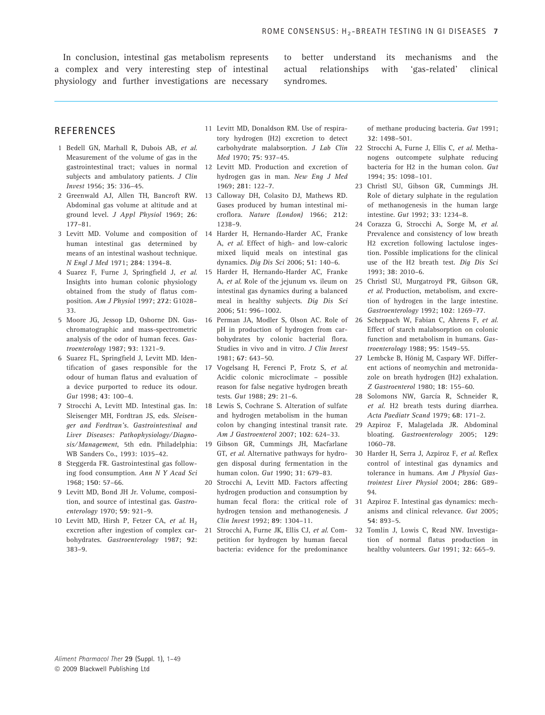In conclusion, intestinal gas metabolism represents a complex and very interesting step of intestinal physiology and further investigations are necessary to better understand its mechanisms and the actual relationships with 'gas-related' clinical syndromes.

#### **REFERENCES**

- 1 Bedell GN, Marhall R, Dubois AB, et al. Measurement of the volume of gas in the gastrointestinal tract; values in normal subjects and ambulatory patients. *J Clin* Invest 1956; 35: 336–45.
- 2 Greenwald AJ, Allen TH, Bancroft RW. 13 Calloway DH, Colasito DJ, Mathews RD. Abdominal gas volume at altitude and at ground level. J Appl Physiol 1969; 26: 177–81.
- 3 Levitt MD. Volume and composition of 14 Harder H, Hernando-Harder AC, Franke human intestinal gas determined by means of an intestinal washout technique. N Engl J Med 1971; 284: 1394–8.
- 4 Suarez F, Furne J, Springfield J, et al. 15 Harder H, Hernando-Harder AC, Franke Insights into human colonic physiology obtained from the study of flatus composition. Am J Physiol 1997; 272: G1028– 33.
- 5 Moore JG, Jessop LD, Osborne DN. Gaschromatographic and mass-spectrometric analysis of the odor of human feces. Gastroenterology 1987; 93: 1321–9.
- 6 Suarez FL, Springfield J, Levitt MD. Identification of gases responsible for the odour of human flatus and evaluation of a device purported to reduce its odour. Gut 1998; 43: 100–4.
- Sleisenger MH, Fordtran JS, eds. Sleisenger and Fordtran's. Gastrointestinal and Liver Diseases: Pathophysiology/Diagnosis/Management, 5th edn. Philadelphia: WB Sanders Co., 1993: 1035–42.
- 8 Steggerda FR. Gastrointestinal gas following food consumption. Ann N Y Acad Sci 1968; 150: 57–66.
- 9 Levitt MD, Bond JH Jr. Volume, composition, and source of intestinal gas. Gastroenterology 1970; 59: 921–9.
- 10 Levitt MD, Hirsh P, Fetzer CA, et al.  $H_2$ excretion after ingestion of complex carbohydrates. Gastroenterology 1987; 92: 383–9.
- 11 Levitt MD, Donaldson RM. Use of respiratory hydrogen (H2) excretion to detect carbohydrate malabsorption. J Lab Clin Med 1970; 75: 937–45.
- 12 Levitt MD. Production and excretion of hydrogen gas in man. New Eng J Med 1969; 281: 122–7.
- Gases produced by human intestinal microflora. Nature (London) 1966; 212: 1238–9.
- A, et al. Effect of high- and low-caloric mixed liquid meals on intestinal gas dynamics. Dig Dis Sci 2006; 51: 140–6.
- A, et al. Role of the jejunum vs. ileum on intestinal gas dynamics during a balanced meal in healthy subjects. Dig Dis Sci 2006; 51: 996–1002.
- 16 Perman JA, Modler S, Olson AC. Role of pH in production of hydrogen from carbohydrates by colonic bacterial flora. Studies in vivo and in vitro. J Clin Invest 1981; 67: 643–50.
- 17 Vogelsang H, Ferenci P, Frotz S, et al. Acidic colonic microclimate – possible reason for false negative hydrogen breath tests. Gut 1988; 29: 21–6.
- 7 Strocchi A, Levitt MD. Intestinal gas. In: 18 Lewis S, Cochrane S. Alteration of sulfate and hydrogen metabolism in the human colon by changing intestinal transit rate. Am J Gastroenterol 2007; 102: 624–33.
	- 19 Gibson GR, Cummings JH, Macfarlane GT, et al. Alternative pathways for hydrogen disposal during fermentation in the human colon. Gut 1990; 31: 679–83.
	- 20 Strocchi A, Levitt MD. Factors affecting hydrogen production and consumption by human fecal flora: the critical role of hydrogen tension and methanogenesis. J Clin Invest 1992; 89: 1304–11.
	- 21 Strocchi A, Furne JK, Ellis CJ, et al. Competition for hydrogen by human faecal bacteria: evidence for the predominance

of methane producing bacteria. Gut 1991; 32: 1498–501.

- 22 Strocchi A, Furne J, Ellis C, et al. Methanogens outcompete sulphate reducing bacteria for H2 in the human colon. Gut 1994; 35: 1098–101.
- 23 Christl SU, Gibson GR, Cummings JH. Role of dietary sulphate in the regulation of methanogenesis in the human large intestine. Gut 1992; 33: 1234–8.
- 24 Corazza G, Strocchi A, Sorge M, et al. Prevalence and consistency of low breath H2 excretion following lactulose ingestion. Possible implications for the clinical use of the H2 breath test. Dig Dis Sci 1993; 38: 2010–6.
- 25 Christl SU, Murgatroyd PR, Gibson GR, et al. Production, metabolism, and excretion of hydrogen in the large intestine. Gastroenterology 1992; 102: 1269–77.
- 26 Scheppach W, Fabian C, Ahrens F, et al. Effect of starch malabsorption on colonic function and metabolism in humans. Gastroenterology 1988; 95: 1549–55.
- 27 Lembcke B, Hönig M, Caspary WF. Different actions of neomychin and metronidazole on breath hydrogen (H2) exhalation. Z Gastroenterol 1980; 18: 155–60.
- 28 Solomons NW, García R, Schneider R, et al. H2 breath tests during diarrhea. Acta Paediatr Scand 1979; 68: 171–2.
- 29 Azpiroz F, Malagelada JR. Abdominal bloating. Gastroenterology 2005; 129: 1060–78.
- 30 Harder H, Serra J, Azpiroz F, et al. Reflex control of intestinal gas dynamics and tolerance in humans. Am J Physiol Gastrointest Liver Physiol 2004; 286: G89– 94.
- 31 Azpiroz F. Intestinal gas dynamics: mechanisms and clinical relevance. Gut 2005; 54: 893–5.
- 32 Tomlin J, Lowis C, Read NW. Investigation of normal flatus production in healthy volunteers. Gut 1991; 32: 665-9.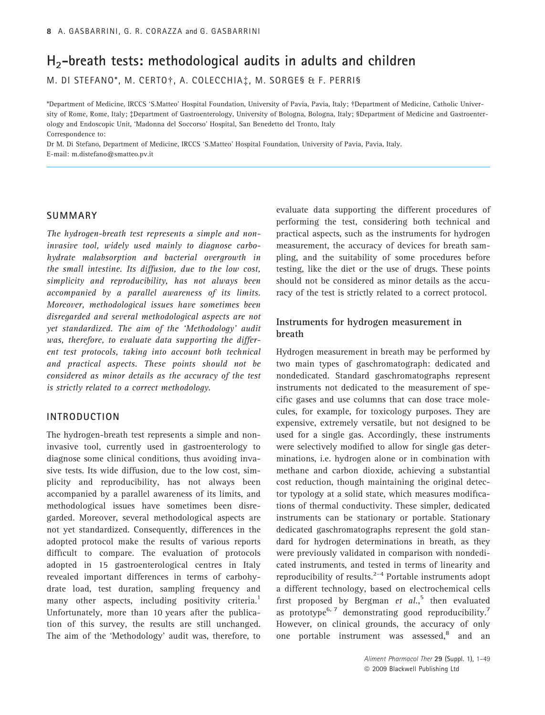## H<sub>2</sub>-breath tests: methodological audits in adults and children

M. DI STEFANO\*, M. CERTO†, A. COLECCHIA‡, M. SORGE§ & F. PERRI§

\*Department of Medicine, IRCCS 'S.Matteo' Hospital Foundation, University of Pavia, Pavia, Italy; -Department of Medicine, Catholic University of Rome, Rome, Italy; ‡Department of Gastroenterology, University of Bologna, Bologna, Italy; \$Department of Medicine and Gastroenterology and Endoscopic Unit, 'Madonna del Soccorso' Hospital, San Benedetto del Tronto, Italy Correspondence to:

Dr M. Di Stefano, Department of Medicine, IRCCS 'S.Matteo' Hospital Foundation, University of Pavia, Pavia, Italy. E-mail: m.distefano@smatteo.pv.it

#### SUMMARY

The hydrogen-breath test represents a simple and noninvasive tool, widely used mainly to diagnose carbohydrate malabsorption and bacterial overgrowth in the small intestine. Its diffusion, due to the low cost, simplicity and reproducibility, has not always been accompanied by a parallel awareness of its limits. Moreover, methodological issues have sometimes been disregarded and several methodological aspects are not yet standardized. The aim of the 'Methodology' audit was, therefore, to evaluate data supporting the different test protocols, taking into account both technical and practical aspects. These points should not be considered as minor details as the accuracy of the test is strictly related to a correct methodology.

#### INTRODUCTION

The hydrogen-breath test represents a simple and noninvasive tool, currently used in gastroenterology to diagnose some clinical conditions, thus avoiding invasive tests. Its wide diffusion, due to the low cost, simplicity and reproducibility, has not always been accompanied by a parallel awareness of its limits, and methodological issues have sometimes been disregarded. Moreover, several methodological aspects are not yet standardized. Consequently, differences in the adopted protocol make the results of various reports difficult to compare. The evaluation of protocols adopted in 15 gastroenterological centres in Italy revealed important differences in terms of carbohydrate load, test duration, sampling frequency and many other aspects, including positivity criteria. $<sup>1</sup>$ </sup> Unfortunately, more than 10 years after the publication of this survey, the results are still unchanged. The aim of the 'Methodology' audit was, therefore, to

evaluate data supporting the different procedures of performing the test, considering both technical and practical aspects, such as the instruments for hydrogen measurement, the accuracy of devices for breath sampling, and the suitability of some procedures before testing, like the diet or the use of drugs. These points should not be considered as minor details as the accuracy of the test is strictly related to a correct protocol.

### Instruments for hydrogen measurement in breath

Hydrogen measurement in breath may be performed by two main types of gaschromatograph: dedicated and nondedicated. Standard gaschromatographs represent instruments not dedicated to the measurement of specific gases and use columns that can dose trace molecules, for example, for toxicology purposes. They are expensive, extremely versatile, but not designed to be used for a single gas. Accordingly, these instruments were selectively modified to allow for single gas determinations, i.e. hydrogen alone or in combination with methane and carbon dioxide, achieving a substantial cost reduction, though maintaining the original detector typology at a solid state, which measures modifications of thermal conductivity. These simpler, dedicated instruments can be stationary or portable. Stationary dedicated gaschromatographs represent the gold standard for hydrogen determinations in breath, as they were previously validated in comparison with nondedicated instruments, and tested in terms of linearity and reproducibility of results. $2-4$  Portable instruments adopt a different technology, based on electrochemical cells first proposed by Bergman  $et$   $al.^5$  then evaluated as prototype<sup>6, 7</sup> demonstrating good reproducibility.<sup>7</sup> However, on clinical grounds, the accuracy of only one portable instrument was assessed,<sup>8</sup> and an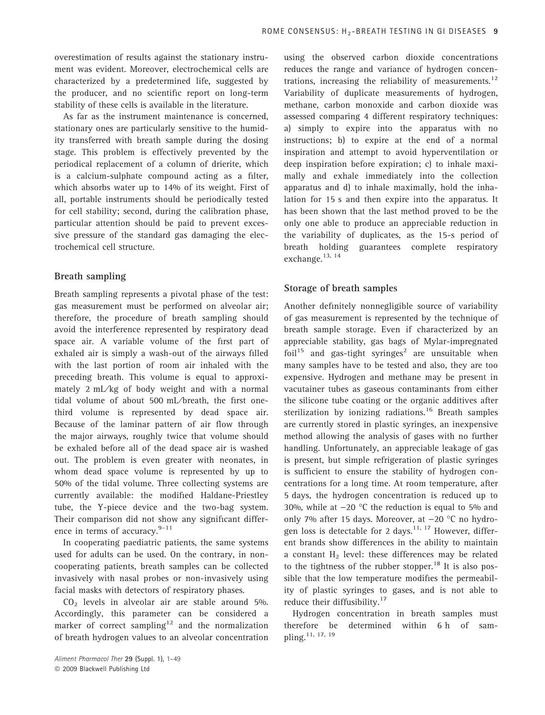overestimation of results against the stationary instrument was evident. Moreover, electrochemical cells are characterized by a predetermined life, suggested by the producer, and no scientific report on long-term stability of these cells is available in the literature.

As far as the instrument maintenance is concerned, stationary ones are particularly sensitive to the humidity transferred with breath sample during the dosing stage. This problem is effectively prevented by the periodical replacement of a column of drierite, which is a calcium-sulphate compound acting as a filter, which absorbs water up to 14% of its weight. First of all, portable instruments should be periodically tested for cell stability; second, during the calibration phase, particular attention should be paid to prevent excessive pressure of the standard gas damaging the electrochemical cell structure.

#### Breath sampling

Breath sampling represents a pivotal phase of the test: gas measurement must be performed on alveolar air; therefore, the procedure of breath sampling should avoid the interference represented by respiratory dead space air. A variable volume of the first part of exhaled air is simply a wash-out of the airways filled with the last portion of room air inhaled with the preceding breath. This volume is equal to approximately 2 mL/kg of body weight and with a normal tidal volume of about 500 mL/breath, the first onethird volume is represented by dead space air. Because of the laminar pattern of air flow through the major airways, roughly twice that volume should be exhaled before all of the dead space air is washed out. The problem is even greater with neonates, in whom dead space volume is represented by up to 50% of the tidal volume. Three collecting systems are currently available: the modified Haldane-Priestley tube, the Y-piece device and the two-bag system. Their comparison did not show any significant difference in terms of accuracy.<sup>9-11</sup>

In cooperating paediatric patients, the same systems used for adults can be used. On the contrary, in noncooperating patients, breath samples can be collected invasively with nasal probes or non-invasively using facial masks with detectors of respiratory phases.

 $CO<sub>2</sub>$  levels in alveolar air are stable around 5%. Accordingly, this parameter can be considered a marker of correct sampling<sup>12</sup> and the normalization of breath hydrogen values to an alveolar concentration using the observed carbon dioxide concentrations reduces the range and variance of hydrogen concentrations, increasing the reliability of measurements.<sup>12</sup> Variability of duplicate measurements of hydrogen, methane, carbon monoxide and carbon dioxide was assessed comparing 4 different respiratory techniques: a) simply to expire into the apparatus with no instructions; b) to expire at the end of a normal inspiration and attempt to avoid hyperventilation or deep inspiration before expiration; c) to inhale maximally and exhale immediately into the collection apparatus and d) to inhale maximally, hold the inhalation for 15 s and then expire into the apparatus. It has been shown that the last method proved to be the only one able to produce an appreciable reduction in the variability of duplicates, as the 15-s period of breath holding guarantees complete respiratory exchange.<sup>13, 14</sup>

#### Storage of breath samples

Another definitely nonnegligible source of variability of gas measurement is represented by the technique of breath sample storage. Even if characterized by an appreciable stability, gas bags of Mylar-impregnated foil<sup>15</sup> and gas-tight syringes<sup>2</sup> are unsuitable when many samples have to be tested and also, they are too expensive. Hydrogen and methane may be present in vacutainer tubes as gaseous contaminants from either the silicone tube coating or the organic additives after sterilization by ionizing radiations.<sup>16</sup> Breath samples are currently stored in plastic syringes, an inexpensive method allowing the analysis of gases with no further handling. Unfortunately, an appreciable leakage of gas is present, but simple refrigeration of plastic syringes is sufficient to ensure the stability of hydrogen concentrations for a long time. At room temperature, after 5 days, the hydrogen concentration is reduced up to 30%, while at  $-20$  °C the reduction is equal to 5% and only 7% after 15 days. Moreover, at  $-20$  °C no hydrogen loss is detectable for 2 days.<sup>11, 17</sup> However, different brands show differences in the ability to maintain a constant  $H_2$  level: these differences may be related to the tightness of the rubber stopper.<sup>18</sup> It is also possible that the low temperature modifies the permeability of plastic syringes to gases, and is not able to reduce their diffusibility.<sup>17</sup>

Hydrogen concentration in breath samples must therefore be determined within 6 h of sampling.11, 17, 19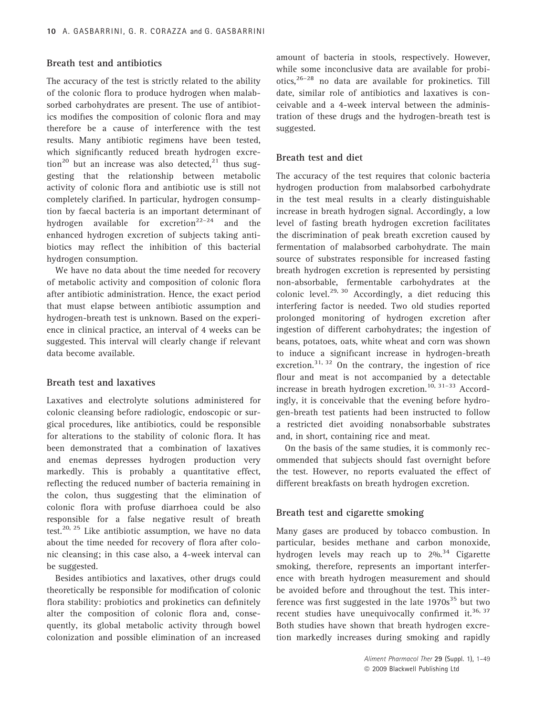#### Breath test and antibiotics

The accuracy of the test is strictly related to the ability of the colonic flora to produce hydrogen when malabsorbed carbohydrates are present. The use of antibiotics modifies the composition of colonic flora and may therefore be a cause of interference with the test results. Many antibiotic regimens have been tested, which significantly reduced breath hydrogen excretion<sup>20</sup> but an increase was also detected,<sup>21</sup> thus suggesting that the relationship between metabolic activity of colonic flora and antibiotic use is still not completely clarified. In particular, hydrogen consumption by faecal bacteria is an important determinant of hydrogen available for excretion<sup>22–24</sup> and the enhanced hydrogen excretion of subjects taking antibiotics may reflect the inhibition of this bacterial hydrogen consumption.

We have no data about the time needed for recovery of metabolic activity and composition of colonic flora after antibiotic administration. Hence, the exact period that must elapse between antibiotic assumption and hydrogen-breath test is unknown. Based on the experience in clinical practice, an interval of 4 weeks can be suggested. This interval will clearly change if relevant data become available.

#### Breath test and laxatives

Laxatives and electrolyte solutions administered for colonic cleansing before radiologic, endoscopic or surgical procedures, like antibiotics, could be responsible for alterations to the stability of colonic flora. It has been demonstrated that a combination of laxatives and enemas depresses hydrogen production very markedly. This is probably a quantitative effect, reflecting the reduced number of bacteria remaining in the colon, thus suggesting that the elimination of colonic flora with profuse diarrhoea could be also responsible for a false negative result of breath test.<sup>20, 25</sup> Like antibiotic assumption, we have no data about the time needed for recovery of flora after colonic cleansing; in this case also, a 4-week interval can be suggested.

Besides antibiotics and laxatives, other drugs could theoretically be responsible for modification of colonic flora stability: probiotics and prokinetics can definitely alter the composition of colonic flora and, consequently, its global metabolic activity through bowel colonization and possible elimination of an increased amount of bacteria in stools, respectively. However, while some inconclusive data are available for probiotics,26–28 no data are available for prokinetics. Till date, similar role of antibiotics and laxatives is conceivable and a 4-week interval between the administration of these drugs and the hydrogen-breath test is suggested.

### Breath test and diet

The accuracy of the test requires that colonic bacteria hydrogen production from malabsorbed carbohydrate in the test meal results in a clearly distinguishable increase in breath hydrogen signal. Accordingly, a low level of fasting breath hydrogen excretion facilitates the discrimination of peak breath excretion caused by fermentation of malabsorbed carbohydrate. The main source of substrates responsible for increased fasting breath hydrogen excretion is represented by persisting non-absorbable, fermentable carbohydrates at the colonic level.<sup>29, 30</sup> Accordingly, a diet reducing this interfering factor is needed. Two old studies reported prolonged monitoring of hydrogen excretion after ingestion of different carbohydrates; the ingestion of beans, potatoes, oats, white wheat and corn was shown to induce a significant increase in hydrogen-breath excretion. $31, 32$  On the contrary, the ingestion of rice flour and meat is not accompanied by a detectable increase in breath hydrogen excretion.<sup>10, 31-33</sup> Accordingly, it is conceivable that the evening before hydrogen-breath test patients had been instructed to follow a restricted diet avoiding nonabsorbable substrates and, in short, containing rice and meat.

On the basis of the same studies, it is commonly recommended that subjects should fast overnight before the test. However, no reports evaluated the effect of different breakfasts on breath hydrogen excretion.

#### Breath test and cigarette smoking

Many gases are produced by tobacco combustion. In particular, besides methane and carbon monoxide, hydrogen levels may reach up to  $2\%$ .<sup>34</sup> Cigarette smoking, therefore, represents an important interference with breath hydrogen measurement and should be avoided before and throughout the test. This interference was first suggested in the late  $1970s^{35}$  but two recent studies have unequivocally confirmed it.<sup>36, 37</sup> Both studies have shown that breath hydrogen excretion markedly increases during smoking and rapidly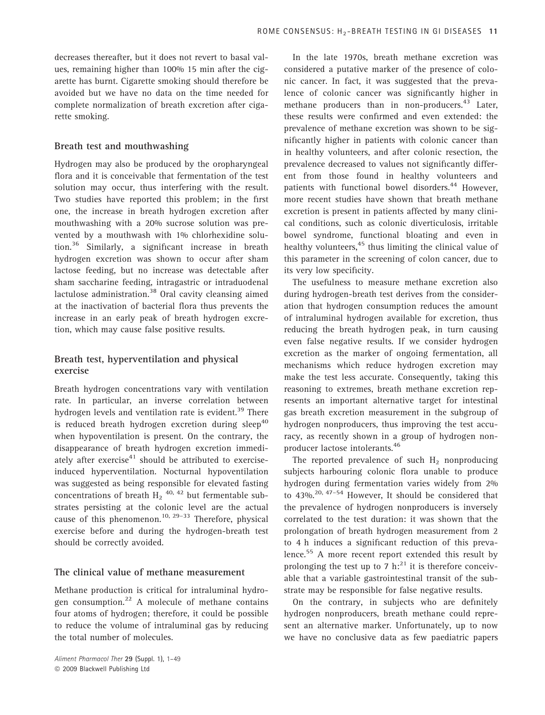decreases thereafter, but it does not revert to basal values, remaining higher than 100% 15 min after the cigarette has burnt. Cigarette smoking should therefore be avoided but we have no data on the time needed for complete normalization of breath excretion after cigarette smoking.

#### Breath test and mouthwashing

Hydrogen may also be produced by the oropharyngeal flora and it is conceivable that fermentation of the test solution may occur, thus interfering with the result. Two studies have reported this problem; in the first one, the increase in breath hydrogen excretion after mouthwashing with a 20% sucrose solution was prevented by a mouthwash with 1% chlorhexidine solution.<sup>36</sup> Similarly, a significant increase in breath hydrogen excretion was shown to occur after sham lactose feeding, but no increase was detectable after sham saccharine feeding, intragastric or intraduodenal lactulose administration. $38$  Oral cavity cleansing aimed at the inactivation of bacterial flora thus prevents the increase in an early peak of breath hydrogen excretion, which may cause false positive results.

### Breath test, hyperventilation and physical exercise

Breath hydrogen concentrations vary with ventilation rate. In particular, an inverse correlation between hydrogen levels and ventilation rate is evident.<sup>39</sup> There is reduced breath hydrogen excretion during sleep<sup>40</sup> when hypoventilation is present. On the contrary, the disappearance of breath hydrogen excretion immediately after exercise<sup>41</sup> should be attributed to exerciseinduced hyperventilation. Nocturnal hypoventilation was suggested as being responsible for elevated fasting concentrations of breath H<sub>2</sub> <sup>40, 42</sup> but fermentable substrates persisting at the colonic level are the actual cause of this phenomenon.<sup>10, 29–33</sup> Therefore, physical exercise before and during the hydrogen-breath test should be correctly avoided.

#### The clinical value of methane measurement

Methane production is critical for intraluminal hydrogen consumption.<sup>22</sup> A molecule of methane contains four atoms of hydrogen; therefore, it could be possible to reduce the volume of intraluminal gas by reducing the total number of molecules.

In the late 1970s, breath methane excretion was considered a putative marker of the presence of colonic cancer. In fact, it was suggested that the prevalence of colonic cancer was significantly higher in methane producers than in non-producers.<sup>43</sup> Later, these results were confirmed and even extended: the prevalence of methane excretion was shown to be significantly higher in patients with colonic cancer than in healthy volunteers, and after colonic resection, the prevalence decreased to values not significantly different from those found in healthy volunteers and patients with functional bowel disorders.<sup>44</sup> However, more recent studies have shown that breath methane excretion is present in patients affected by many clinical conditions, such as colonic diverticulosis, irritable bowel syndrome, functional bloating and even in healthy volunteers,  $45$  thus limiting the clinical value of this parameter in the screening of colon cancer, due to its very low specificity.

The usefulness to measure methane excretion also during hydrogen-breath test derives from the consideration that hydrogen consumption reduces the amount of intraluminal hydrogen available for excretion, thus reducing the breath hydrogen peak, in turn causing even false negative results. If we consider hydrogen excretion as the marker of ongoing fermentation, all mechanisms which reduce hydrogen excretion may make the test less accurate. Consequently, taking this reasoning to extremes, breath methane excretion represents an important alternative target for intestinal gas breath excretion measurement in the subgroup of hydrogen nonproducers, thus improving the test accuracy, as recently shown in a group of hydrogen nonproducer lactose intolerants.<sup>46</sup>

The reported prevalence of such  $H<sub>2</sub>$  nonproducing subjects harbouring colonic flora unable to produce hydrogen during fermentation varies widely from 2% to  $43\%$ ,  $20, 47-54$  However, It should be considered that the prevalence of hydrogen nonproducers is inversely correlated to the test duration: it was shown that the prolongation of breath hydrogen measurement from 2 to 4 h induces a significant reduction of this prevalence.<sup>55</sup> A more recent report extended this result by prolonging the test up to 7 h: $^{21}$  it is therefore conceivable that a variable gastrointestinal transit of the substrate may be responsible for false negative results.

On the contrary, in subjects who are definitely hydrogen nonproducers, breath methane could represent an alternative marker. Unfortunately, up to now we have no conclusive data as few paediatric papers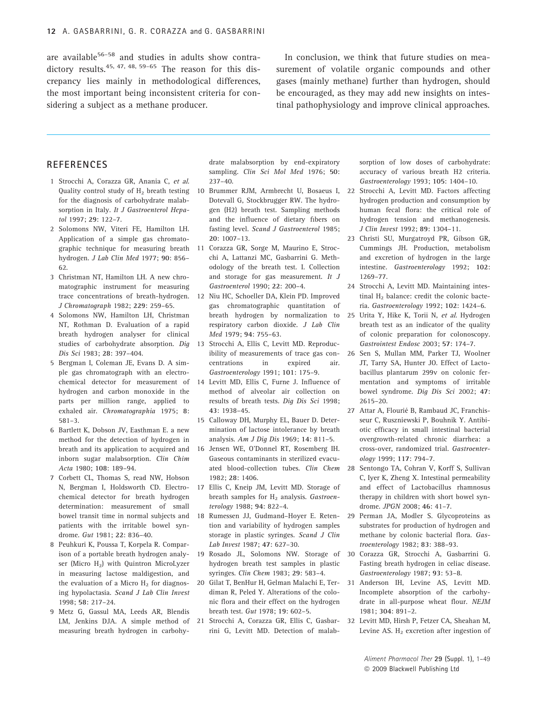are available $56-58$  and studies in adults show contradictory results.<sup>45, 47, 48, 59-65</sup> The reason for this discrepancy lies mainly in methodological differences, the most important being inconsistent criteria for considering a subject as a methane producer.

In conclusion, we think that future studies on measurement of volatile organic compounds and other gases (mainly methane) further than hydrogen, should be encouraged, as they may add new insights on intestinal pathophysiology and improve clinical approaches.

### **REFERENCES**

- 1 Strocchi A, Corazza GR, Anania C, et al. Quality control study of  $H<sub>2</sub>$  breath testing for the diagnosis of carbohydrate malabsorption in Italy. It J Gastroenterol Hepatol 1997; 29: 122–7.
- 2 Solomons NW, Viteri FE, Hamilton LH. Application of a simple gas chromatographic technique for measuring breath hydrogen. J Lab Clin Med 1977; 90: 856– 62.
- 3 Christman NT, Hamilton LH. A new chromatographic instrument for measuring trace concentrations of breath-hydrogen. J Chromatograph 1982; 229: 259–65.
- 4 Solomons NW, Hamilton LH, Christman NT, Rothman D. Evaluation of a rapid breath hydrogen analyser for clinical studies of carbohydrate absorption. Dig Dis Sci 1983; 28: 397–404.
- 5 Bergman I, Coleman JE, Evans D. A simple gas chromatograph with an electrochemical detector for measurement of hydrogen and carbon monoxide in the parts per million range, applied to exhaled air. Chromatographia 1975; 8: 581–3.
- 6 Bartlett K, Dobson JV, Easthman E. a new method for the detection of hydrogen in breath and its application to acquired and inborn sugar malabsorption. Clin Chim Acta 1980; 108: 189–94.
- 7 Corbett CL, Thomas S, read NW, Hobson N, Bergman I, Holdsworth CD. Electrochemical detector for breath hydrogen determination: measurement of small bowel transit time in normal subjects and patients with the irritable bowel syndrome. Gut 1981; 22: 836–40.
- 8 Peuhkuri K, Poussa T, Korpela R. Comparison of a portable breath hydrogen analyser (Micro H<sub>2</sub>) with Quintron MicroLyzer in measuring lactose maldigestion, and the evaluation of a Micro  $H_2$  for diagnosing hypolactasia. Scand J Lab Clin Invest 1998; 58: 217–24.
- 9 Metz G, Gassul MA, Leeds AR, Blendis LM, Jenkins DJA. A simple method of measuring breath hydrogen in carbohy-

drate malabsorption by end-expiratory sampling. Clin Sci Mol Med 1976; 50: 237–40.

- 10 Brummer RJM, Armbrecht U, Bosaeus I, Dotevall G, Stockbrugger RW. The hydrogen (H2) breath test. Sampling methods and the influence of dietary fibers on fasting level. Scand J Gastroenterol 1985; 20: 1007–13.
- 11 Corazza GR, Sorge M, Maurino E, Strocchi A, Lattanzi MC, Gasbarrini G. Methodology of the breath test. I. Collection and storage for gas measurement. It J Gastroenterol 1990; 22: 200–4.
- 12 Niu HC, Schoeller DA, Klein PD. Improved gas chromatographic quantitation of breath hydrogen by normalization to respiratory carbon dioxide. J Lab Clin Med 1979; 94: 755–63.
- 13 Strocchi A, Ellis C, Levitt MD. Reproducibility of measurements of trace gas concentrations in expired air. Gastroenterology 1991; 101: 175–9.
- 14 Levitt MD, Ellis C, Furne J. Influence of method of alveolar air collection on results of breath tests. Dig Dis Sci 1998;  $43:1938-45$
- 15 Calloway DH, Murphy EL, Bauer D. Determination of lactose intolerance by breath analysis. Am J Dig Dis 1969; 14: 811–5.
- 16 Jensen WE, O'Donnel RT, Rosemberg IH. Gaseous contaminants in sterilized evacuated blood-collection tubes. Clin Chem 1982; 28: 1406.
- 17 Ellis C, Kneip JM, Levitt MD. Storage of breath samples for  $H_2$  analysis. Gastroenterology 1988; 94: 822–4.
- 18 Rumessen JJ, Gudmand–Hoyer E. Retention and variability of hydrogen samples storage in plastic syringes. Scand J Clin Lab Invest 1987; 47: 627–30.
- 19 Rosado JL, Solomons NW. Storage of hydrogen breath test samples in plastic syringes. Clin Chem 1983; 29: 583–4.
- 20 Gilat T, BenHur H, Gelman Malachi E, Terdiman R, Peled Y. Alterations of the colonic flora and their effect on the hydrogen breath test. Gut 1978; 19: 602–5.
- 21 Strocchi A, Corazza GR, Ellis C, Gasbarrini G, Levitt MD. Detection of malab-

sorption of low doses of carbohydrate: accuracy of various breath H2 criteria. Gastroenterology 1993; 105: 1404–10.

- 22 Strocchi A, Levitt MD. Factors affecting hydrogen production and consumption by human fecal flora: the critical role of hydrogen tension and methanogenesis. J Clin Invest 1992; 89: 1304–11.
- 23 Christi SU, Murgatroyd PR, Gibson GR, Cummings JH. Production, metabolism and excretion of hydrogen in the large intestine. Gastroenterology 1992; 102: 1269–77.
- 24 Strocchi A, Levitt MD. Maintaining intestinal  $H<sub>2</sub>$  balance: credit the colonic bacteria. Gastroenterology 1992; 102: 1424–6.
- 25 Urita Y, Hike K, Torii N, et al. Hydrogen breath test as an indicator of the quality of colonic preparation for colonoscopy. Gastrointest Endosc 2003; 57: 174–7.
- 26 Sen S, Mullan MM, Parker TJ, Woolner JT, Tarry SA, Hunter JO. Effect of Lactobacillus plantarum 299v on colonic fermentation and symptoms of irritable bowel syndrome. Dig Dis Sci 2002; 47: 2615–20.
- 27 Attar A, Flourié B, Rambaud JC, Franchisseur C, Ruszniewski P, Bouhnik Y. Antibiotic efficacy in small intestinal bacterial overgrowth-related chronic diarrhea: a cross-over, randomized trial. Gastroenterology 1999; 117: 794–7.
- 28 Sentongo TA, Cohran V, Korff S, Sullivan C, Iyer K, Zheng X. Intestinal permeability and effect of Lactobacillus rhamnosus therapy in children with short bowel syndrome. JPGN 2008; 46: 41–7.
- 29 Perman JA, Modler S. Glycoproteins as substrates for production of hydrogen and methane by colonic bacterial flora. Gastroenterology 1982; 83: 388–93.
- 30 Corazza GR, Strocchi A, Gasbarrini G. Fasting breath hydrogen in celiac disease. Gastroenterology 1987; 93: 53–8.
- 31 Anderson IH, Levine AS, Levitt MD. Incomplete absorption of the carbohydrate in all-purpose wheat flour. NEJM 1981; 304: 891–2.
- 32 Levitt MD, Hirsh P, Fetzer CA, Sheahan M, Levine AS.  $H_2$  excretion after ingestion of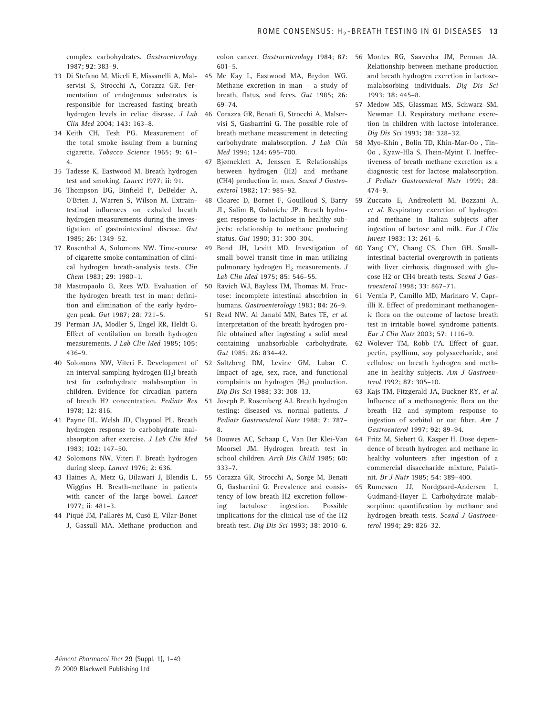complex carbohydrates. Gastroenterology 1987; 92: 383–9.

- 33 Di Stefano M, Miceli E, Missanelli A, Malservisi S, Strocchi A, Corazza GR. Fermentation of endogenous substrates is responsible for increased fasting breath hydrogen levels in celiac disease. J Lab Clin Med 2004; 143: 163–8.
- 34 Keith CH, Tesh PG. Measurement of the total smoke issuing from a burning cigarette. Tobacco Science 1965; 9: 61– 4.
- 35 Tadesse K, Eastwood M. Breath hydrogen test and smoking. Lancet 1977; ii: 91.
- 36 Thompson DG, Binfield P, DeBelder A, O'Brien J, Warren S, Wilson M. Extraintestinal influences on exhaled breath hydrogen measurements during the investigation of gastrointestinal disease. Gut 1985; 26: 1349–52.
- 37 Rosenthal A, Solomons NW. Time-course of cigarette smoke contamination of clinical hydrogen breath-analysis tests. Clin Chem 1983; 29: 1980–1.
- 38 Mastropaolo G, Rees WD. Evaluation of the hydrogen breath test in man: definition and elimination of the early hydrogen peak. Gut 1987; 28: 721–5.
- 39 Perman JA, Modler S, Engel RR, Heldt G. Effect of ventilation on breath hydrogen measurements. J Lab Clin Med 1985; 105: 436–9.
- 40 Solomons NW, Viteri F. Development of an interval sampling hydrogen  $(H<sub>2</sub>)$  breath test for carbohydrate malabsorption in children. Evidence for circadian pattern of breath H2 concentration. Pediatr Res 1978; 12: 816.
- 41 Payne DL, Welsh JD, Claypool PL. Breath hydrogen response to carbohydrate malabsorption after exercise. J Lab Clin Med 1983; 102: 147–50.
- 42 Solomons NW, Viteri F. Breath hydrogen during sleep. Lancet 1976; 2: 636.
- 43 Haines A, Metz G, Dilawari J, Blendis L, Wiggins H. Breath-methane in patients with cancer of the large bowel. Lancet 1977; ii: 481–3.
- 44 Piqué JM, Pallarés M, Cusó E, Vilar-Bonet J, Gassull MA. Methane production and

601–5.

- 45 Mc Kay L, Eastwood MA, Brydon WG. Methane excretion in man – a study of breath, flatus, and feces. Gut 1985; 26: 69–74.
- 46 Corazza GR, Benati G, Strocchi A, Malservisi S, Gasbarrini G. The possible role of breath methane measurement in detecting carbohydrate malabsorption. J Lab Clin Med 1994; 124: 695–700.
- 47 Bjørneklett A, Jenssen E. Relationships between hydrogen (H2) and methane (CH4) production in man. Scand J Gastroenterol 1982; 17: 985–92.
- 48 Cloarec D, Bornet F, Gouilloud S, Barry JL, Salim B, Galmiche JP. Breath hydrogen response to lactulose in healthy subjects: relationship to methane producing status. Gut 1990; 31: 300–304.
- 49 Bond JH, Levitt MD. Investigation of small bowel transit time in man utilizing pulmonary hydrogen  $H_2$  measurements.  $J$ Lab Clin Med 1975; 85: 546–55.
- 50 Ravich WJ, Bayless TM, Thomas M. Fructose: incomplete intestinal absorbtion in humans. Gastroenterology 1983; 84: 26-9.
- 51 Read NW, Al Janabi MN, Bates TE, et al. Interpretation of the breath hydrogen profile obtained after ingesting a solid meal containing unabsorbable carbohydrate. Gut 1985; 26: 834–42.
- 52 Saltzberg DM, Levine GM, Lubar C. Impact of age, sex, race, and functional complaints on hydrogen  $(H<sub>2</sub>)$  production. Dig Dis Sci 1988; 33: 308–13.
- 53 Joseph P, Rosemberg AJ. Breath hydrogen testing: diseased vs. normal patients. J Pediatr Gastroenterol Nutr 1988; 7: 787– 8.
- 54 Douwes AC, Schaap C, Van Der Klei-Van Moorsel JM. Hydrogen breath test in school children. Arch Dis Child 1985; 60: 333–7.
- 55 Corazza GR, Strocchi A, Sorge M, Benati G, Gasbarrini G. Prevalence and consistency of low breath H2 excretion following lactulose ingestion. Possible implications for the clinical use of the H2 breath test. Dig Dis Sci 1993; 38: 2010–6.
- colon cancer. Gastroenterology 1984; 87: 56 Montes RG, Saavedra JM, Perman JA. Relationship between methane production and breath hydrogen excretion in lactosemalabsorbing individuals. Dig Dis Sci 1993; 38: 445–8.
	- 57 Medow MS, Glassman MS, Schwarz SM, Newman LJ. Respiratory methane excretion in children with lactose intolerance. Dig Dis Sci 1993; 38: 328–32.
	- 58 Myo-Khin , Bolin TD, Khin-Mar-Oo , Tin-Oo , Kyaw-Hla S, Thein-Myint T. Ineffectiveness of breath methane excretion as a diagnostic test for lactose malabsorption. J Pediatr Gastroenterol Nutr 1999; 28: 474–9.
	- 59 Zuccato E, Andreoletti M, Bozzani A, et al. Respiratory excretion of hydrogen and methane in Italian subjects after ingestion of lactose and milk. Eur J Clin Invest 1983; 13: 261–6.
	- 60 Yang CY, Chang CS, Chen GH. Smallintestinal bacterial overgrowth in patients with liver cirrhosis, diagnosed with glucose H2 or CH4 breath tests. Scand J Gastroenterol 1998; 33: 867–71.
	- 61 Vernia P, Camillo MD, Marinaro V, Caprilli R. Effect of predominant methanogenic flora on the outcome of lactose breath test in irritable bowel syndrome patients. Eur J Clin Nutr 2003; 57: 1116–9.
	- 62 Wolever TM, Robb PA. Effect of guar, pectin, psyllium, soy polysaccharide, and cellulose on breath hydrogen and methane in healthy subjects. Am J Gastroenterol 1992; 87: 305–10.
	- 63 Kajs TM, Fitzgerald JA, Buckner RY, et al. Influence of a methanogenic flora on the breath H2 and symptom response to ingestion of sorbitol or oat fiber. Am J Gastroenterol 1997; 92: 89–94.
	- 64 Fritz M, Siebert G, Kasper H. Dose dependence of breath hydrogen and methane in healthy volunteers after ingestion of a commercial disaccharide mixture, Palatinit. Br J Nutr 1985; 54: 389–400.
	- 65 Rumessen JJ, Nordgaard-Andersen I, Gudmand-Høyer E. Carbohydrate malabsorption: quantification by methane and hydrogen breath tests. Scand J Gastroenterol 1994; 29: 826–32.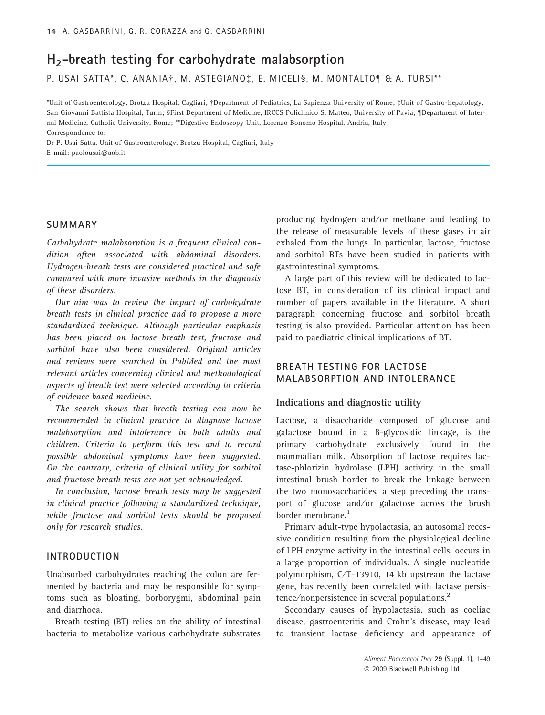## $H<sub>2</sub>$ -breath testing for carbohydrate malabsorption

P. USAI SATTA\*, C. ANANIA†, M. ASTEGIANO‡, E. MICELI§, M. MONTALTO¶ & A. TURSI\*\*

\*Unit of Gastroenterology, Brotzu Hospital, Cagliari; †Department of Pediatrics, La Sapienza University of Rome; ‡Unit of Gastro-hepatology, San Giovanni Battista Hospital, Turin; §First Department of Medicine, IRCCS Policlinico S. Matteo, University of Pavia; ¶Department of Internal Medicine, Catholic University, Rome; \*\*Digestive Endoscopy Unit, Lorenzo Bonomo Hospital, Andria, Italy Correspondence to:

Dr P. Usai Satta, Unit of Gastroenterology, Brotzu Hospital, Cagliari, Italy E-mail: paolousai@aob.it

#### SUMMARY

Carbohydrate malabsorption is a frequent clinical condition often associated with abdominal disorders. Hydrogen-breath tests are considered practical and safe compared with more invasive methods in the diagnosis of these disorders.

Our aim was to review the impact of carbohydrate breath tests in clinical practice and to propose a more standardized technique. Although particular emphasis has been placed on lactose breath test, fructose and sorbitol have also been considered. Original articles and reviews were searched in PubMed and the most relevant articles concerning clinical and methodological aspects of breath test were selected according to criteria of evidence based medicine.

The search shows that breath testing can now be recommended in clinical practice to diagnose lactose malabsorption and intolerance in both adults and children. Criteria to perform this test and to record possible abdominal symptoms have been suggested. On the contrary, criteria of clinical utility for sorbitol and fructose breath tests are not yet acknowledged.

In conclusion, lactose breath tests may be suggested in clinical practice following a standardized technique, while fructose and sorbitol tests should be proposed only for research studies.

### INTRODUCTION

Unabsorbed carbohydrates reaching the colon are fermented by bacteria and may be responsible for symptoms such as bloating, borborygmi, abdominal pain and diarrhoea.

Breath testing (BT) relies on the ability of intestinal bacteria to metabolize various carbohydrate substrates producing hydrogen and/or methane and leading to the release of measurable levels of these gases in air exhaled from the lungs. In particular, lactose, fructose and sorbitol BTs have been studied in patients with gastrointestinal symptoms.

A large part of this review will be dedicated to lactose BT, in consideration of its clinical impact and number of papers available in the literature. A short paragraph concerning fructose and sorbitol breath testing is also provided. Particular attention has been paid to paediatric clinical implications of BT.

### BREATH TESTING FOR LACTOSE MALABSORPTION AND INTOLERANCE

#### Indications and diagnostic utility

Lactose, a disaccharide composed of glucose and galactose bound in a ß-glycosidic linkage, is the primary carbohydrate exclusively found in the mammalian milk. Absorption of lactose requires lactase-phlorizin hydrolase (LPH) activity in the small intestinal brush border to break the linkage between the two monosaccharides, a step preceding the transport of glucose and/or galactose across the brush border membrane. $<sup>1</sup>$ </sup>

Primary adult-type hypolactasia, an autosomal recessive condition resulting from the physiological decline of LPH enzyme activity in the intestinal cells, occurs in a large proportion of individuals. A single nucleotide polymorphism,  $C/T-13910$ , 14 kb upstream the lactase gene, has recently been correlated with lactase persistence/nonpersistence in several populations.<sup>2</sup>

Secondary causes of hypolactasia, such as coeliac disease, gastroenteritis and Crohn's disease, may lead to transient lactase deficiency and appearance of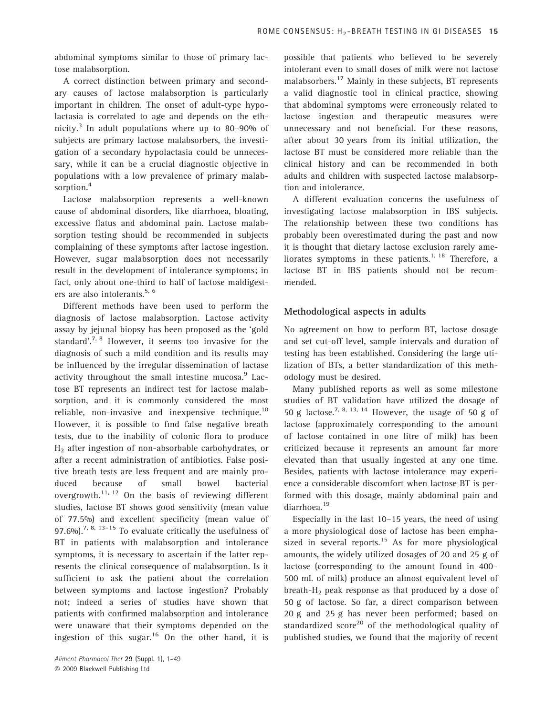abdominal symptoms similar to those of primary lactose malabsorption.

A correct distinction between primary and secondary causes of lactose malabsorption is particularly important in children. The onset of adult-type hypolactasia is correlated to age and depends on the ethnicity.<sup>3</sup> In adult populations where up to 80–90% of subjects are primary lactose malabsorbers, the investigation of a secondary hypolactasia could be unnecessary, while it can be a crucial diagnostic objective in populations with a low prevalence of primary malabsorption.<sup>4</sup>

Lactose malabsorption represents a well-known cause of abdominal disorders, like diarrhoea, bloating, excessive flatus and abdominal pain. Lactose malabsorption testing should be recommended in subjects complaining of these symptoms after lactose ingestion. However, sugar malabsorption does not necessarily result in the development of intolerance symptoms; in fact, only about one-third to half of lactose maldigesters are also intolerants.<sup>5, 6</sup>

Different methods have been used to perform the diagnosis of lactose malabsorption. Lactose activity assay by jejunal biopsy has been proposed as the 'gold standard'.<sup>7, 8</sup> However, it seems too invasive for the diagnosis of such a mild condition and its results may be influenced by the irregular dissemination of lactase activity throughout the small intestine mucosa.<sup>9</sup> Lactose BT represents an indirect test for lactose malabsorption, and it is commonly considered the most reliable, non-invasive and inexpensive technique.<sup>10</sup> However, it is possible to find false negative breath tests, due to the inability of colonic flora to produce  $H<sub>2</sub>$  after ingestion of non-absorbable carbohydrates, or after a recent administration of antibiotics. False positive breath tests are less frequent and are mainly produced because of small bowel bacterial overgrowth. $^{11, 12}$  On the basis of reviewing different studies, lactose BT shows good sensitivity (mean value of 77.5%) and excellent specificity (mean value of 97.6%).<sup>7, 8, 13-15</sup> To evaluate critically the usefulness of BT in patients with malabsorption and intolerance symptoms, it is necessary to ascertain if the latter represents the clinical consequence of malabsorption. Is it sufficient to ask the patient about the correlation between symptoms and lactose ingestion? Probably not; indeed a series of studies have shown that patients with confirmed malabsorption and intolerance were unaware that their symptoms depended on the ingestion of this sugar.16 On the other hand, it is

possible that patients who believed to be severely intolerant even to small doses of milk were not lactose malabsorbers.<sup>17</sup> Mainly in these subjects, BT represents a valid diagnostic tool in clinical practice, showing that abdominal symptoms were erroneously related to lactose ingestion and therapeutic measures were unnecessary and not beneficial. For these reasons, after about 30 years from its initial utilization, the lactose BT must be considered more reliable than the clinical history and can be recommended in both adults and children with suspected lactose malabsorption and intolerance.

A different evaluation concerns the usefulness of investigating lactose malabsorption in IBS subjects. The relationship between these two conditions has probably been overestimated during the past and now it is thought that dietary lactose exclusion rarely ameliorates symptoms in these patients.<sup>1, 18</sup> Therefore, a lactose BT in IBS patients should not be recommended.

#### Methodological aspects in adults

No agreement on how to perform BT, lactose dosage and set cut-off level, sample intervals and duration of testing has been established. Considering the large utilization of BTs, a better standardization of this methodology must be desired.

Many published reports as well as some milestone studies of BT validation have utilized the dosage of 50 g lactose.<sup>7, 8, 13, 14</sup> However, the usage of 50 g of lactose (approximately corresponding to the amount of lactose contained in one litre of milk) has been criticized because it represents an amount far more elevated than that usually ingested at any one time. Besides, patients with lactose intolerance may experience a considerable discomfort when lactose BT is performed with this dosage, mainly abdominal pain and diarrhoea.<sup>19</sup>

Especially in the last 10–15 years, the need of using a more physiological dose of lactose has been emphasized in several reports. $15$  As for more physiological amounts, the widely utilized dosages of 20 and 25 g of lactose (corresponding to the amount found in 400– 500 mL of milk) produce an almost equivalent level of breath- $H_2$  peak response as that produced by a dose of 50 g of lactose. So far, a direct comparison between 20 g and 25 g has never been performed; based on standardized score<sup>20</sup> of the methodological quality of published studies, we found that the majority of recent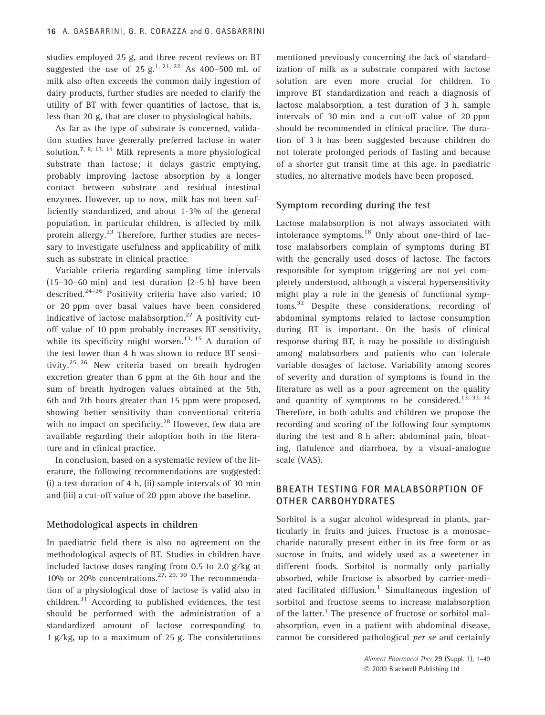studies employed 25 g, and three recent reviews on BT suggested the use of 25 g.<sup>1, 21, 22</sup> As 400–500 mL of milk also often exceeds the common daily ingestion of dairy products, further studies are needed to clarify the utility of BT with fewer quantities of lactose, that is, less than 20 g, that are closer to physiological habits.

As far as the type of substrate is concerned, validation studies have generally preferred lactose in water solution.<sup>7, 8, 13, 14</sup> Milk represents a more physiological substrate than lactose; it delays gastric emptying, probably improving lactose absorption by a longer contact between substrate and residual intestinal enzymes. However, up to now, milk has not been sufficiently standardized, and about 1-3% of the general population, in particular children, is affected by milk protein allergy.<sup>23</sup> Therefore, further studies are necessary to investigate usefulness and applicability of milk such as substrate in clinical practice.

Variable criteria regarding sampling time intervals (15–30–60 min) and test duration (2–5 h) have been described.<sup>24-26</sup> Positivity criteria have also varied; 10 or 20 ppm over basal values have been considered indicative of lactose malabsorption.<sup>27</sup> A positivity cutoff value of 10 ppm probably increases BT sensitivity, while its specificity might worsen.<sup>13, 15</sup> A duration of the test lower than 4 h was shown to reduce BT sensitivity.<sup>25, 26</sup> New criteria based on breath hydrogen excretion greater than 6 ppm at the 6th hour and the sum of breath hydrogen values obtained at the 5th, 6th and 7th hours greater than 15 ppm were proposed, showing better sensitivity than conventional criteria with no impact on specificity.<sup>28</sup> However, few data are available regarding their adoption both in the literature and in clinical practice.

In conclusion, based on a systematic review of the literature, the following recommendations are suggested: (i) a test duration of 4 h, (ii) sample intervals of 30 min and (iii) a cut-off value of 20 ppm above the baseline.

#### Methodological aspects in children

In paediatric field there is also no agreement on the methodological aspects of BT. Studies in children have included lactose doses ranging from 0.5 to 2.0  $g/kg$  at 10% or 20% concentrations.<sup>27, 29, 30</sup> The recommendation of a physiological dose of lactose is valid also in  $children.<sup>31</sup>$  According to published evidences, the test should be performed with the administration of a standardized amount of lactose corresponding to 1 g/kg, up to a maximum of 25 g. The considerations mentioned previously concerning the lack of standardization of milk as a substrate compared with lactose solution are even more crucial for children. To improve BT standardization and reach a diagnosis of lactose malabsorption, a test duration of 3 h, sample intervals of 30 min and a cut-off value of 20 ppm should be recommended in clinical practice. The duration of 3 h has been suggested because children do not tolerate prolonged periods of fasting and because of a shorter gut transit time at this age. In paediatric studies, no alternative models have been proposed.

#### Symptom recording during the test

Lactose malabsorption is not always associated with intolerance symptoms. $^{18}$  Only about one-third of lactose malabsorbers complain of symptoms during BT with the generally used doses of lactose. The factors responsible for symptom triggering are not yet completely understood, although a visceral hypersensitivity might play a role in the genesis of functional symptoms.<sup>32</sup> Despite these considerations, recording of abdominal symptoms related to lactose consumption during BT is important. On the basis of clinical response during BT, it may be possible to distinguish among malabsorbers and patients who can tolerate variable dosages of lactose. Variability among scores of severity and duration of symptoms is found in the literature as well as a poor agreement on the quality and quantity of symptoms to be considered.<sup>13, 33, 34</sup> Therefore, in both adults and children we propose the recording and scoring of the following four symptoms during the test and 8 h after: abdominal pain, bloating, flatulence and diarrhoea, by a visual-analogue scale (VAS).

### BREATH TESTING FOR MALABSORPTION OF OTHER CARBOHYDRATES

Sorbitol is a sugar alcohol widespread in plants, particularly in fruits and juices. Fructose is a monosaccharide naturally present either in its free form or as sucrose in fruits, and widely used as a sweetener in different foods. Sorbitol is normally only partially absorbed, while fructose is absorbed by carrier-mediated facilitated diffusion.<sup>1</sup> Simultaneous ingestion of sorbitol and fructose seems to increase malabsorption of the latter.<sup>1</sup> The presence of fructose or sorbitol malabsorption, even in a patient with abdominal disease, cannot be considered pathological per se and certainly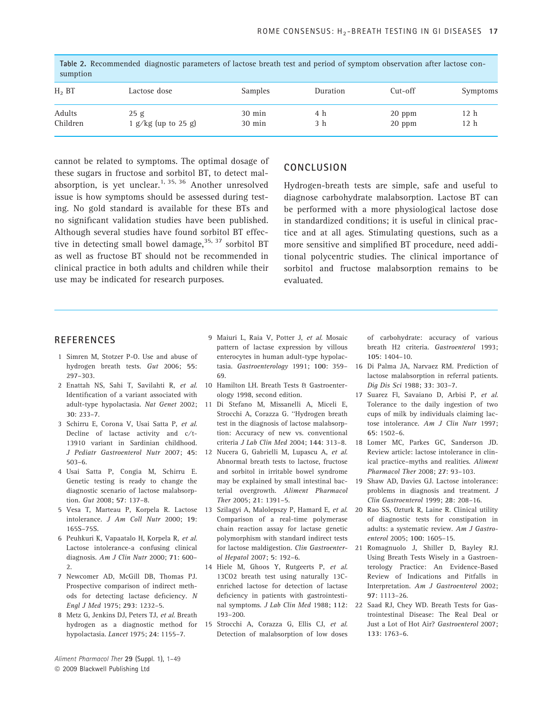| sumption           |                               |                  |            |                  |                                    |
|--------------------|-------------------------------|------------------|------------|------------------|------------------------------------|
| H <sub>2</sub> BT  | Lactose dose                  | Samples          | Duration   | Cut-off          | Symptoms                           |
| Adults<br>Children | 25 g<br>$1 g/kg$ (up to 25 g) | 30 min<br>30 min | 4 h<br>3 h | 20 ppm<br>20 ppm | 12 <sub>h</sub><br>12 <sub>h</sub> |

Table 2. Recommended diagnostic parameters of lactose breath test and period of symptom observation after lactose consumption

cannot be related to symptoms. The optimal dosage of these sugars in fructose and sorbitol BT, to detect malabsorption, is yet unclear.<sup>1, 35, 36</sup> Another unresolved issue is how symptoms should be assessed during testing. No gold standard is available for these BTs and no significant validation studies have been published. Although several studies have found sorbitol BT effective in detecting small bowel damage,  $35, 37$  sorbitol BT as well as fructose BT should not be recommended in clinical practice in both adults and children while their use may be indicated for research purposes.

#### **CONCLUSION**

Hydrogen-breath tests are simple, safe and useful to diagnose carbohydrate malabsorption. Lactose BT can be performed with a more physiological lactose dose in standardized conditions; it is useful in clinical practice and at all ages. Stimulating questions, such as a more sensitive and simplified BT procedure, need additional polycentric studies. The clinical importance of sorbitol and fructose malabsorption remains to be evaluated.

### **REFERENCES**

- 1 Simren M, Stotzer P-O. Use and abuse of hydrogen breath tests. Gut 2006; 55: 297–303.
- 2 Enattah NS, Sahi T, Savilahti R, et al. Identification of a variant associated with 30: 233–7.
- 3 Schirru E, Corona V, Usai Satta P, et al. Decline of lactase activity and  $c/t$ -13910 variant in Sardinian childhood. 503–6.
- 4 Usai Satta P, Congia M, Schirru E. Genetic testing is ready to change the diagnostic scenario of lactose malabsorption. Gut 2008; 57: 137–8.
- 5 Vesa T, Marteau P, Korpela R. Lactose intolerance. J Am Coll Nutr 2000; 19: 165S–75S.
- 6 Peuhkuri K, Vapaatalo H, Korpela R, et al. Lactose intolerance-a confusing clinical diagnosis. Am J Clin Nutr 2000; 71: 600– 2.
- 7 Newcomer AD, McGill DB, Thomas PJ. Prospective comparison of indirect methods for detecting lactase deficiency. N Engl J Med 1975; 293: 1232–5.
- 8 Metz G, Jenkins DJ, Peters TJ, et al. Breath hydrogen as a diagnostic method for hypolactasia. Lancet 1975; 24: 1155–7.

Aliment Pharmacol Ther 29 (Suppl. 1), 1–49  $@$  2009 Blackwell Publishing Ltd

- 9 Maiuri L, Raia V, Potter J, et al. Mosaic pattern of lactase expression by villous enterocytes in human adult-type hypolactasia. Gastroenterology 1991; 100: 359– 69.
- 10 Hamilton LH. Breath Tests & Gastroenterology 1998, second edition.
- adult-type hypolactasia. Nat Genet 2002; 11 Di Stefano M, Missanelli A, Miceli E, Strocchi A, Corazza G. ''Hydrogen breath test in the diagnosis of lactose malabsorption: Accuracy of new vs. conventional criteria J Lab Clin Med 2004; 144: 313–8.
- J Pediatr Gastroenterol Nutr 2007; 45: 12 Nucera G, Gabrielli M, Lupascu A, et al. Abnormal breath tests to lactose, fructose and sorbitol in irritable bowel syndrome may be explained by small intestinal bacterial overgrowth. Aliment Pharmacol Ther 2005; 21: 1391–5.
	- 13 Szilagyi A, Malolepszy P, Hamard E, et al. Comparison of a real-time polymerase chain reaction assay for lactase genetic polymorphism with standard indirect tests for lactose maldigestion. Clin Gastroenterol Hepatol 2007; 5: 192–6.
	- 14 Hiele M, Ghoos Y, Rutgeerts P, et al. 13CO2 breath test using naturally 13Cenriched lactose for detection of lactase deficiency in patients with gastrointestinal symptoms. J Lab Clin Med 1988; 112: 193–200.
	- 15 Strocchi A, Corazza G, Ellis CJ, et al. Detection of malabsorption of low doses

of carbohydrate: accuracy of various breath H2 criteria. Gastroenterol 1993;  $105: 1404 - 10$ 

- 16 Di Palma JA, Narvaez RM. Prediction of lactose malabsorption in referral patients. Dig Dis Sci 1988; 33: 303–7.
- 17 Suarez Fl, Savaiano D, Arbisi P, et al. Tolerance to the daily ingestion of two cups of milk by individuals claiming lactose intolerance. Am J Clin Nutr 1997; 65: 1502–6.
- 18 Lomer MC, Parkes GC, Sanderson JD. Review article: lactose intolerance in clinical practice–myths and realities. Aliment Pharmacol Ther 2008; 27: 93–103.
- 19 Shaw AD, Davies GJ. Lactose intolerance: problems in diagnosis and treatment. J Clin Gastroenterol 1999; 28: 208–16.
- 20 Rao SS, Ozturk R, Laine R. Clinical utility of diagnostic tests for constipation in adults: a systematic review. Am J Gastroenterol 2005; 100: 1605–15.
- 21 Romagnuolo J, Shiller D, Bayley RJ. Using Breath Tests Wisely in a Gastroenterology Practice: An Evidence-Based Review of Indications and Pitfalls in Interpretation. Am J Gastroenterol 2002; 97: 1113–26.
- 22 Saad RJ, Chey WD. Breath Tests for Gastrointestinal Disease: The Real Deal or Just a Lot of Hot Air? Gastroenterol 2007; 133: 1763–6.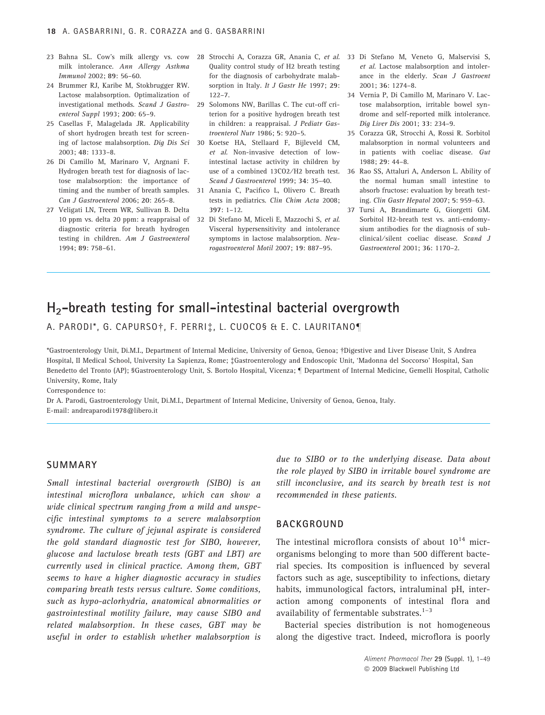- 23 Bahna SL. Cow's milk allergy vs. cow milk intolerance. Ann Allergy Asthma Immunol 2002; 89: 56–60.
- 24 Brummer RJ, Karibe M, Stokbrugger RW. Lactose malabsorption. Optimalization of investigational methods. Scand J Gastroenterol Suppl 1993; 200: 65–9.
- 25 Casellas F, Malagelada JR. Applicability of short hydrogen breath test for screening of lactose malabsorption. Dig Dis Sci 2003; 48: 1333–8.
- 26 Di Camillo M, Marinaro V, Argnani F. Hydrogen breath test for diagnosis of lactose malabsorption: the importance of timing and the number of breath samples. Can J Gastroenterol 2006; 20: 265–8.
- 27 Veligati LN, Treem WR, Sullivan B. Delta 10 ppm vs. delta 20 ppm: a reappraisal of diagnostic criteria for breath hydrogen testing in children. Am J Gastroenterol 1994; 89: 758–61.
- 28 Strocchi A, Corazza GR, Anania C, *et al.* 33 Di Stefano M, Veneto G, Malservisi S, Quality control study of H2 breath testing for the diagnosis of carbohydrate malabsorption in Italy. It J Gastr He 1997; 29: 122–7.
- 29 Solomons NW, Barillas C. The cut-off criterion for a positive hydrogen breath test in children: a reappraisal. J Pediatr Gastroenterol Nutr 1986; 5: 920–5.
- 30 Koetse HA, Stellaard F, Bijleveld CM, et al. Non-invasive detection of lowintestinal lactase activity in children by use of a combined 13CO2/H2 breath test. Scand J Gastroenterol 1999; 34: 35–40.
- 31 Anania C, Pacifico L, Olivero C. Breath tests in pediatrics. Clin Chim Acta 2008; 397: 1–12.
- 32 Di Stefano M, Miceli E, Mazzochi S, et al. Visceral hypersensitivity and intolerance symptoms in lactose malabsorption. Neurogastroenterol Motil 2007; 19: 887–95.
- et al. Lactose malabsorption and intolerance in the elderly. Scan J Gastroent 2001; 36: 1274–8.
- 34 Vernia P, Di Camillo M, Marinaro V. Lactose malabsorption, irritable bowel syndrome and self-reported milk intolerance. Dig Liver Dis 2001; 33: 234–9.
- 35 Corazza GR, Strocchi A, Rossi R. Sorbitol malabsorption in normal volunteers and in patients with coeliac disease. Gut 1988; 29: 44–8.
- 36 Rao SS, Attaluri A, Anderson L. Ability of the normal human small intestine to absorb fructose: evaluation by breath testing. Clin Gastr Hepatol 2007; 5: 959–63.
- 37 Tursi A, Brandimarte G, Giorgetti GM. Sorbitol H2-breath test vs. anti-endomysium antibodies for the diagnosis of subclinical/silent coeliac disease. Scand J Gastroenterol 2001; 36: 1170–2.

## $H<sub>2</sub>$ -breath testing for small-intestinal bacterial overgrowth

A. PARODI\*, G. CAPURSO†, F. PERRI‡, L. CUOCO§ & E. C. LAURITANO¶

\*Gastroenterology Unit, Di.M.I., Department of Internal Medicine, University of Genoa, Genoa; †Digestive and Liver Disease Unit, S Andrea Hospital, II Medical School, University La Sapienza, Rome; #Gastroenterology and Endoscopic Unit, 'Madonna del Soccorso' Hospital, San Benedetto del Tronto (AP); §Gastroenterology Unit, S. Bortolo Hospital, Vicenza; ¶ Department of Internal Medicine, Gemelli Hospital, Catholic University, Rome, Italy

Correspondence to:

Dr A. Parodi, Gastroenterology Unit, Di.M.I., Department of Internal Medicine, University of Genoa, Genoa, Italy. E-mail: andreaparodi1978@libero.it

#### SUMMARY

Small intestinal bacterial overgrowth (SIBO) is an intestinal microflora unbalance, which can show a wide clinical spectrum ranging from a mild and unspecific intestinal symptoms to a severe malabsorption syndrome. The culture of jejunal aspirate is considered the gold standard diagnostic test for SIBO, however, glucose and lactulose breath tests (GBT and LBT) are currently used in clinical practice. Among them, GBT seems to have a higher diagnostic accuracy in studies comparing breath tests versus culture. Some conditions, such as hypo-aclorhydria, anatomical abnormalities or gastrointestinal motility failure, may cause SIBO and related malabsorption. In these cases, GBT may be useful in order to establish whether malabsorption is

due to SIBO or to the underlying disease. Data about the role played by SIBO in irritable bowel syndrome are still inconclusive, and its search by breath test is not recommended in these patients.

#### BACKGROUND

The intestinal microflora consists of about  $10^{14}$  microrganisms belonging to more than 500 different bacterial species. Its composition is influenced by several factors such as age, susceptibility to infections, dietary habits, immunological factors, intraluminal pH, interaction among components of intestinal flora and availability of fermentable substrates. $1-3$ 

Bacterial species distribution is not homogeneous along the digestive tract. Indeed, microflora is poorly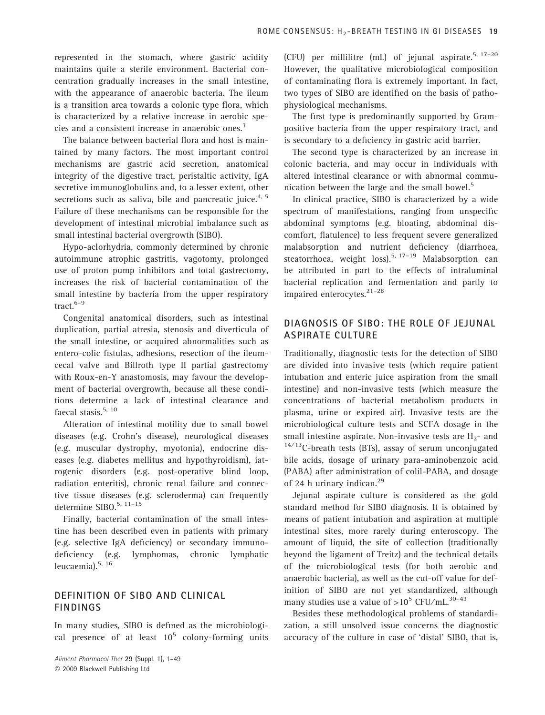represented in the stomach, where gastric acidity maintains quite a sterile environment. Bacterial concentration gradually increases in the small intestine, with the appearance of anaerobic bacteria. The ileum is a transition area towards a colonic type flora, which is characterized by a relative increase in aerobic species and a consistent increase in anaerobic ones.<sup>3</sup>

The balance between bacterial flora and host is maintained by many factors. The most important control mechanisms are gastric acid secretion, anatomical integrity of the digestive tract, peristaltic activity, IgA secretive immunoglobulins and, to a lesser extent, other secretions such as saliva, bile and pancreatic juice. $4, 5$ Failure of these mechanisms can be responsible for the development of intestinal microbial imbalance such as small intestinal bacterial overgrowth (SIBO).

Hypo-aclorhydria, commonly determined by chronic autoimmune atrophic gastritis, vagotomy, prolonged use of proton pump inhibitors and total gastrectomy, increases the risk of bacterial contamination of the small intestine by bacteria from the upper respiratory tract. $6-9$ 

Congenital anatomical disorders, such as intestinal duplication, partial atresia, stenosis and diverticula of the small intestine, or acquired abnormalities such as entero-colic fistulas, adhesions, resection of the ileumcecal valve and Billroth type II partial gastrectomy with Roux-en-Y anastomosis, may favour the development of bacterial overgrowth, because all these conditions determine a lack of intestinal clearance and faecal stasis.<sup>5, 10</sup>

Alteration of intestinal motility due to small bowel diseases (e.g. Crohn's disease), neurological diseases (e.g. muscular dystrophy, myotonia), endocrine diseases (e.g. diabetes mellitus and hypothyroidism), iatrogenic disorders (e.g. post-operative blind loop, radiation enteritis), chronic renal failure and connective tissue diseases (e.g. scleroderma) can frequently determine SIBO.<sup>5, 11-15</sup>

Finally, bacterial contamination of the small intestine has been described even in patients with primary (e.g. selective IgA deficiency) or secondary immunodeficiency (e.g. lymphomas, chronic lymphatic leucaemia).<sup>5, 16</sup>

### DEFINITION OF SIBO AND CLINICAL FINDINGS

In many studies, SIBO is defined as the microbiological presence of at least  $10^5$  colony-forming units (CFU) per millilitre (mL) of jejunal aspirate.<sup>5, 17-20</sup> However, the qualitative microbiological composition of contaminating flora is extremely important. In fact, two types of SIBO are identified on the basis of pathophysiological mechanisms.

The first type is predominantly supported by Grampositive bacteria from the upper respiratory tract, and is secondary to a deficiency in gastric acid barrier.

The second type is characterized by an increase in colonic bacteria, and may occur in individuals with altered intestinal clearance or with abnormal communication between the large and the small bowel.<sup>5</sup>

In clinical practice, SIBO is characterized by a wide spectrum of manifestations, ranging from unspecific abdominal symptoms (e.g. bloating, abdominal discomfort, flatulence) to less frequent severe generalized malabsorption and nutrient deficiency (diarrhoea, steatorrhoea, weight loss).<sup>5, 17-19</sup> Malabsorption can be attributed in part to the effects of intraluminal bacterial replication and fermentation and partly to impaired enterocytes. $2^{1-28}$ 

## DIAGNOSIS OF SIBO: THE ROLE OF JEJUNAL ASPIRATE CULTURE

Traditionally, diagnostic tests for the detection of SIBO are divided into invasive tests (which require patient intubation and enteric juice aspiration from the small intestine) and non-invasive tests (which measure the concentrations of bacterial metabolism products in plasma, urine or expired air). Invasive tests are the microbiological culture tests and SCFA dosage in the small intestine aspirate. Non-invasive tests are  $H_{2}$ - and  $14/13$ C-breath tests (BTs), assay of serum unconjugated bile acids, dosage of urinary para-aminobenzoic acid (PABA) after administration of colil-PABA, and dosage of 24 h urinary indican. $^{29}$ 

Jejunal aspirate culture is considered as the gold standard method for SIBO diagnosis. It is obtained by means of patient intubation and aspiration at multiple intestinal sites, more rarely during enteroscopy. The amount of liquid, the site of collection (traditionally beyond the ligament of Treitz) and the technical details of the microbiological tests (for both aerobic and anaerobic bacteria), as well as the cut-off value for definition of SIBO are not yet standardized, although many studies use a value of  $>10^5$  CFU/mL.<sup>30-43</sup>

Besides these methodological problems of standardization, a still unsolved issue concerns the diagnostic accuracy of the culture in case of 'distal' SIBO, that is,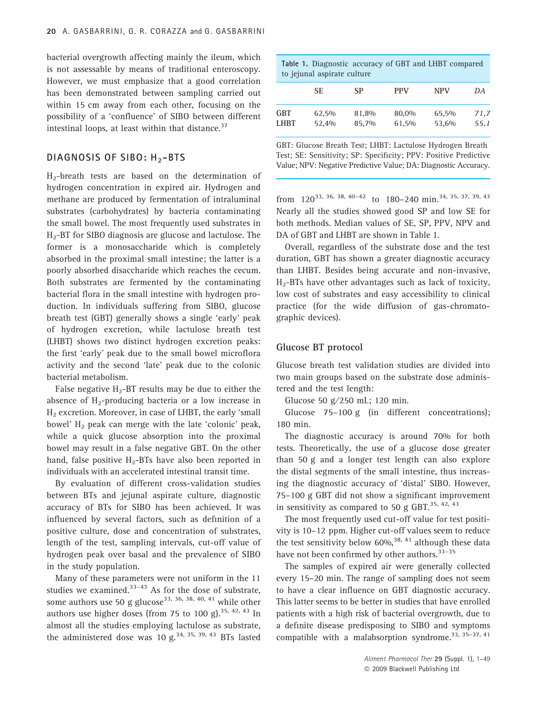bacterial overgrowth affecting mainly the ileum, which is not assessable by means of traditional enteroscopy. However, we must emphasize that a good correlation has been demonstrated between sampling carried out within 15 cm away from each other, focusing on the possibility of a 'confluence' of SIBO between different intestinal loops, at least within that distance.<sup>37</sup>

#### DIAGNOSIS OF SIBO: H<sub>2</sub>-BTS

H2-breath tests are based on the determination of hydrogen concentration in expired air. Hydrogen and methane are produced by fermentation of intraluminal substrates (carbohydrates) by bacteria contaminating the small bowel. The most frequently used substrates in  $H<sub>2</sub>$ -BT for SIBO diagnosis are glucose and lactulose. The former is a monosaccharide which is completely absorbed in the proximal small intestine; the latter is a poorly absorbed disaccharide which reaches the cecum. Both substrates are fermented by the contaminating bacterial flora in the small intestine with hydrogen production. In individuals suffering from SIBO, glucose breath test (GBT) generally shows a single 'early' peak of hydrogen excretion, while lactulose breath test (LHBT) shows two distinct hydrogen excretion peaks: the first 'early' peak due to the small bowel microflora activity and the second 'late' peak due to the colonic bacterial metabolism.

False negative  $H_2$ -BT results may be due to either the absence of  $H_2$ -producing bacteria or a low increase in H2 excretion. Moreover, in case of LHBT, the early 'small bowel'  $H_2$  peak can merge with the late 'colonic' peak, while a quick glucose absorption into the proximal bowel may result in a false negative GBT. On the other hand, false positive  $H_2$ -BTs have also been reported in individuals with an accelerated intestinal transit time.

By evaluation of different cross-validation studies between BTs and jejunal aspirate culture, diagnostic accuracy of BTs for SIBO has been achieved. It was influenced by several factors, such as definition of a positive culture, dose and concentration of substrates, length of the test, sampling intervals, cut-off value of hydrogen peak over basal and the prevalence of SIBO in the study population.

Many of these parameters were not uniform in the 11 studies we examined. $33-43$  As for the dose of substrate, some authors use 50 g glucose<sup>33, 36, 38, 40, 41</sup> while other authors use higher doses (from 75 to 100 g).<sup>35, 42, 43</sup> In almost all the studies employing lactulose as substrate, the administered dose was 10  $g^{34, 35, 39, 43}$  BTs lasted

Table 1. Diagnostic accuracy of GBT and LHBT compared to jejunal aspirate culture

|                    | SE             | SP             | <b>PPV</b>     | <b>NPV</b>     | DA           |
|--------------------|----------------|----------------|----------------|----------------|--------------|
| GBT<br><b>LHBT</b> | 62,5%<br>52,4% | 81,8%<br>85.7% | 80,0%<br>61,5% | 65,5%<br>53,6% | 71,7<br>55,1 |

GBT: Glucose Breath Test; LHBT: Lactulose Hydrogen Breath Test; SE: Sensitivity; SP: Specificity; PPV: Positive Predictive Value; NPV: Negative Predictive Value; DA: Diagnostic Accuracy.

from  $120^{33, 36, 38, 40-42}$  to  $180-240$  min.<sup>34, 35, 37, 39, 43</sup> Nearly all the studies showed good SP and low SE for both methods. Median values of SE, SP, PPV, NPV and DA of GBT and LHBT are shown in Table 1.

Overall, regardless of the substrate dose and the test duration, GBT has shown a greater diagnostic accuracy than LHBT. Besides being accurate and non-invasive,  $H<sub>2</sub>$ -BTs have other advantages such as lack of toxicity, low cost of substrates and easy accessibility to clinical practice (for the wide diffusion of gas-chromatographic devices).

#### Glucose BT protocol

Glucose breath test validation studies are divided into two main groups based on the substrate dose administered and the test length:

Glucose 50 g/250 mL; 120 min.

Glucose 75–100 g (in different concentrations); 180 min.

The diagnostic accuracy is around 70% for both tests. Theoretically, the use of a glucose dose greater than 50 g and a longer test length can also explore the distal segments of the small intestine, thus increasing the diagnostic accuracy of 'distal' SIBO. However, 75–100 g GBT did not show a significant improvement in sensitivity as compared to 50 g GBT.<sup>35, 42, 43</sup>

The most frequently used cut-off value for test positivity is 10–12 ppm. Higher cut-off values seem to reduce the test sensitivity below  $60\%$ ,<sup>38, 41</sup> although these data have not been confirmed by other authors. $33-35$ 

The samples of expired air were generally collected every 15–20 min. The range of sampling does not seem to have a clear influence on GBT diagnostic accuracy. This latter seems to be better in studies that have enrolled patients with a high risk of bacterial overgrowth, due to a definite disease predisposing to SIBO and symptoms compatible with a malabsorption syndrome.<sup>33, 35-37, 41</sup>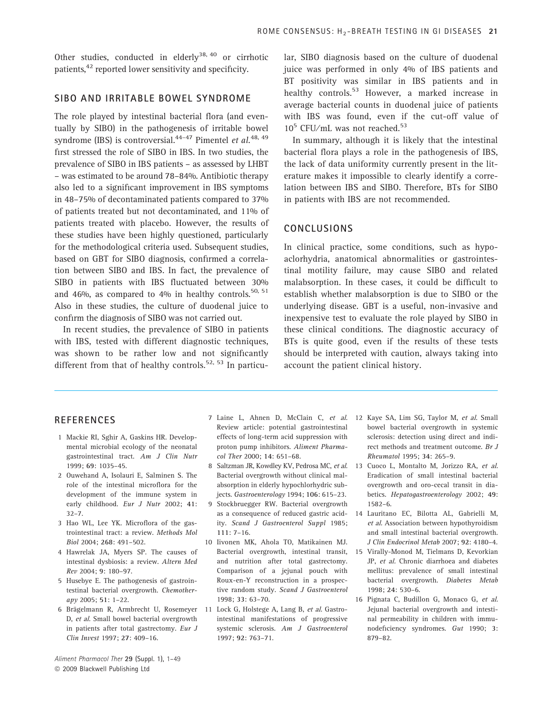Other studies, conducted in elderly<sup>38, 40</sup> or cirrhotic patients,<sup>42</sup> reported lower sensitivity and specificity.

## SIBO AND IRRITABLE BOWEL SYNDROME

The role played by intestinal bacterial flora (and eventually by SIBO) in the pathogenesis of irritable bowel syndrome (IBS) is controversial.<sup>44-47</sup> Pimentel et al.<sup>48, 49</sup> first stressed the role of SIBO in IBS. In two studies, the prevalence of SIBO in IBS patients – as assessed by LHBT – was estimated to be around 78–84%. Antibiotic therapy also led to a significant improvement in IBS symptoms in 48–75% of decontaminated patients compared to 37% of patients treated but not decontaminated, and 11% of patients treated with placebo. However, the results of these studies have been highly questioned, particularly for the methodological criteria used. Subsequent studies, based on GBT for SIBO diagnosis, confirmed a correlation between SIBO and IBS. In fact, the prevalence of SIBO in patients with IBS fluctuated between 30% and 46%, as compared to 4% in healthy controls.<sup>50, 51</sup> Also in these studies, the culture of duodenal juice to confirm the diagnosis of SIBO was not carried out.

In recent studies, the prevalence of SIBO in patients with IBS, tested with different diagnostic techniques, was shown to be rather low and not significantly different from that of healthy controls.<sup>52, 53</sup> In particular, SIBO diagnosis based on the culture of duodenal juice was performed in only 4% of IBS patients and BT positivity was similar in IBS patients and in healthy controls.<sup>53</sup> However, a marked increase in average bacterial counts in duodenal juice of patients with IBS was found, even if the cut-off value of  $10^5$  CFU/mL was not reached.<sup>53</sup>

In summary, although it is likely that the intestinal bacterial flora plays a role in the pathogenesis of IBS, the lack of data uniformity currently present in the literature makes it impossible to clearly identify a correlation between IBS and SIBO. Therefore, BTs for SIBO in patients with IBS are not recommended.

#### CONCLUSIONS

In clinical practice, some conditions, such as hypoaclorhydria, anatomical abnormalities or gastrointestinal motility failure, may cause SIBO and related malabsorption. In these cases, it could be difficult to establish whether malabsorption is due to SIBO or the underlying disease. GBT is a useful, non-invasive and inexpensive test to evaluate the role played by SIBO in these clinical conditions. The diagnostic accuracy of BTs is quite good, even if the results of these tests should be interpreted with caution, always taking into account the patient clinical history.

#### REFERENCES

- 1 Mackie RI, Sghir A, Gaskins HR. Developmental microbial ecology of the neonatal gastrointestinal tract. Am J Clin Nutr 1999; 69: 1035–45.
- 2 Ouwehand A, Isolauri E, Salminen S. The role of the intestinal microflora for the development of the immune system in early childhood. Eur J Nutr 2002; 41: 32–7.
- 3 Hao WL, Lee YK. Microflora of the gastrointestinal tract: a review. Methods Mol Biol 2004; 268: 491–502.
- 4 Hawrelak JA, Myers SP. The causes of intestinal dysbiosis: a review. Altern Med Rev 2004; 9: 180–97.
- 5 Husebye E. The pathogenesis of gastrointestinal bacterial overgrowth. Chemotherapy 2005; 51: 1–22.
- 6 Brägelmann R, Armbrecht U, Rosemeyer D, et al. Small bowel bacterial overgrowth in patients after total gastrectomy. Eur J Clin Invest 1997; 27: 409–16.

Aliment Pharmacol Ther 29 (Suppl. 1), 1–49  $@$  2009 Blackwell Publishing Ltd

- 7 Laine L, Ahnen D, McClain C, et al. Review article: potential gastrointestinal effects of long-term acid suppression with proton pump inhibitors. Aliment Pharmacol Ther 2000; 14: 651–68.
- 8 Saltzman JR, Kowdley KV, Pedrosa MC, et al. Bacterial overgrowth without clinical malabsorption in elderly hypochlorhydric subjects. Gastroenterology 1994; 106: 615–23.
- 9 Stockbruegger RW. Bacterial overgrowth as a consequence of reduced gastric acidity. Scand J Gastroenterol Suppl 1985; 111: 7–16.
- 10 Iivonen MK, Ahola TO, Matikainen MJ. Bacterial overgrowth, intestinal transit, and nutrition after total gastrectomy. Comparison of a jejunal pouch with Roux-en-Y reconstruction in a prospective random study. Scand J Gastroenterol 1998; 33: 63–70.
- 11 Lock G, Holstege A, Lang B, et al. Gastrointestinal manifestations of progressive systemic sclerosis. Am J Gastroenterol 1997; 92: 763–71.
- 12 Kaye SA, Lim SG, Taylor M, et al. Small bowel bacterial overgrowth in systemic sclerosis: detection using direct and indirect methods and treatment outcome. Br J Rheumatol 1995; 34: 265–9.
- 13 Cuoco L, Montalto M, Jorizzo RA, et al. Eradication of small intestinal bacterial overgrowth and oro-cecal transit in diabetics. Hepatogastroenterology 2002; 49: 1582–6.
- 14 Lauritano EC, Bilotta AL, Gabrielli M, et al. Association between hypothyroidism and small intestinal bacterial overgrowth. J Clin Endocrinol Metab 2007; 92: 4180–4.
- 15 Virally-Monod M, Tielmans D, Kevorkian JP, et al. Chronic diarrhoea and diabetes mellitus: prevalence of small intestinal bacterial overgrowth. Diabetes Metab 1998; 24: 530–6.
- 16 Pignata C, Budillon G, Monaco G, et al. Jejunal bacterial overgrowth and intestinal permeability in children with immunodeficiency syndromes. Gut 1990; 3: 879–82.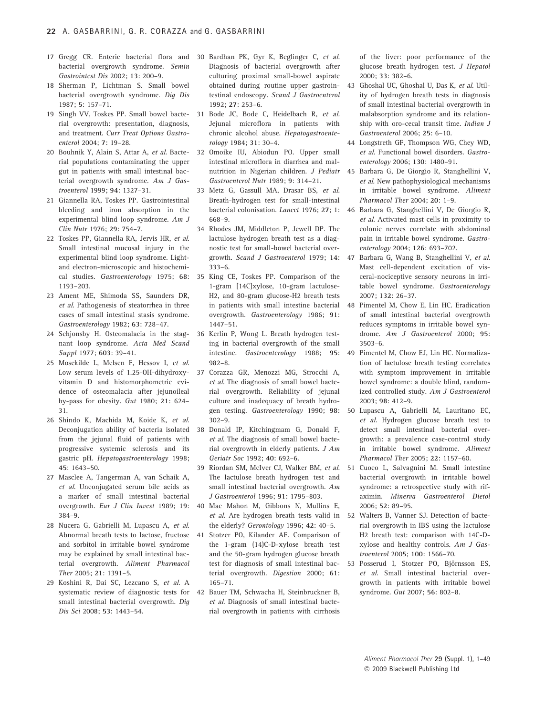- 17 Gregg CR. Enteric bacterial flora and bacterial overgrowth syndrome. Semin Gastrointest Dis 2002; 13: 200–9.
- 18 Sherman P, Lichtman S. Small bowel bacterial overgrowth syndrome. Dig Dis 1987; 5: 157–71.
- 19 Singh VV, Toskes PP. Small bowel bacterial overgrowth: presentation, diagnosis, and treatment. Curr Treat Options Gastroenterol 2004; 7: 19–28.
- 20 Bouhnik Y, Alain S, Attar A, et al. Bacterial populations contaminating the upper gut in patients with small intestinal bacterial overgrowth syndrome. Am J Gastroenterol 1999; 94: 1327–31.
- 21 Giannella RA, Toskes PP. Gastrointestinal bleeding and iron absorption in the experimental blind loop syndrome. Am J Clin Nutr 1976; 29: 754–7.
- 22 Toskes PP, Giannella RA, Jervis HR, et al. Small intestinal mucosal injury in the experimental blind loop syndrome. Lightand electron-microscopic and histochemical studies. Gastroenterology 1975; 68: 1193–203.
- 23 Ament ME, Shimoda SS, Saunders DR, et al. Pathogenesis of steatorrhea in three cases of small intestinal stasis syndrome. Gastroenterology 1982; 63: 728–47.
- 24 Schjonsby H. Osteomalacia in the stagnant loop syndrome. Acta Med Scand Suppl 1977; 603: 39–41.
- 25 Mosekilde L, Melsen F, Hessov I, et al. Low serum levels of 1.25-OH-dihydroxyvitamin D and histomorphometric evidence of osteomalacia after jejunoileal by-pass for obesity. Gut 1980; 21: 624– 31.
- 26 Shindo K, Machida M, Koide K, et al. Deconjugation ability of bacteria isolated from the jejunal fluid of patients with progressive systemic sclerosis and its gastric pH. Hepatogastroenterology 1998; 45: 1643–50.
- 27 Masclee A, Tangerman A, van Schaik A, et al. Unconjugated serum bile acids as a marker of small intestinal bacterial overgrowth. Eur J Clin Invest 1989; 19: 384–9.
- 28 Nucera G, Gabrielli M, Lupascu A, et al. Abnormal breath tests to lactose, fructose and sorbitol in irritable bowel syndrome may be explained by small intestinal bacterial overgrowth. Aliment Pharmacol Ther 2005; 21: 1391–5.
- 29 Koshini R, Dai SC, Lezcano S, et al. A systematic review of diagnostic tests for small intestinal bacterial overgrowth. Dig Dis Sci 2008; 53: 1443–54.
- 30 Bardhan PK, Gyr K, Beglinger C, et al. Diagnosis of bacterial overgrowth after culturing proximal small-bowel aspirate obtained during routine upper gastrointestinal endoscopy. Scand J Gastroenterol 1992; 27: 253–6.
- 31 Bode JC, Bode C, Heidelbach R, et al. Jejunal microflora in patients with chronic alcohol abuse. Hepatogastroenterology 1984; 31: 30–4.
- 32 Omoike IU, Abiodun PO. Upper small intestinal microflora in diarrhea and malnutrition in Nigerian children. J Pediatr Gastroenterol Nutr 1989; 9: 314–21.
- 33 Metz G, Gassull MA, Drasar BS, et al. Breath-hydrogen test for small-intestinal 668–9.
- 34 Rhodes JM, Middleton P, Jewell DP. The lactulose hydrogen breath test as a diagnostic test for small-bowel bacterial overgrowth. Scand J Gastroenterol 1979; 14: 333–6.
- 35 King CE, Toskes PP. Comparison of the 1-gram [14C]xylose, 10-gram lactulose-H2, and 80-gram glucose-H2 breath tests in patients with small intestine bacterial overgrowth. Gastroenterology 1986; 91: 1447–51.
- 36 Kerlin P, Wong L. Breath hydrogen testing in bacterial overgrowth of the small intestine. Gastroenterology 1988; 95: 982–8.
- 37 Corazza GR, Menozzi MG, Strocchi A, et al. The diagnosis of small bowel bacterial overgrowth. Reliability of jejunal culture and inadequacy of breath hydrogen testing. Gastroenterology 1990; 98: 302–9.
- 38 Donald IP, Kitchingmam G, Donald F, et al. The diagnosis of small bowel bacterial overgrowth in elderly patients. J Am Geriatr Soc 1992; 40: 692–6.
- 39 Riordan SM, McIver CJ, Walker BM, et al. The lactulose breath hydrogen test and small intestinal bacterial overgrowth. Am J Gastroenterol 1996; 91: 1795–803.
- 40 Mac Mahon M, Gibbons N, Mullins E, et al. Are hydrogen breath tests valid in the elderly? Gerontology 1996; 42: 40–5.
- 41 Stotzer PO, Kilander AF. Comparison of the 1-gram (14)C-D-xylose breath test and the 50-gram hydrogen glucose breath test for diagnosis of small intestinal bacterial overgrowth. Digestion 2000; 61: 165–71.
- 42 Bauer TM, Schwacha H, Steinbruckner B, et al. Diagnosis of small intestinal bacterial overgrowth in patients with cirrhosis

of the liver: poor performance of the glucose breath hydrogen test. J Hepatol 2000; 33: 382–6.

- 43 Ghoshal UC, Ghoshal U, Das K, et al. Utility of hydrogen breath tests in diagnosis of small intestinal bacterial overgrowth in malabsorption syndrome and its relationship with oro-cecal transit time. Indian J Gastroenterol 2006; 25: 6–10.
- 44 Longstreth GF, Thompson WG, Chey WD, et al. Functional bowel disorders. Gastroenterology 2006; 130: 1480–91.
- 45 Barbara G, De Giorgio R, Stanghellini V, et al. New pathophysiological mechanisms in irritable bowel syndrome. Aliment Pharmacol Ther 2004; 20: 1–9.
- bacterial colonisation. *Lancet* 1976; 27; 1: 46 Barbara G, Stanghellini V, De Giorgio R, et al. Activated mast cells in proximity to colonic nerves correlate with abdominal pain in irritable bowel syndrome. Gastroenterology 2004; 126: 693–702.
	- 47 Barbara G, Wang B, Stanghellini V, et al. Mast cell-dependent excitation of visceral-nociceptive sensory neurons in irritable bowel syndrome. Gastroenterology 2007; 132: 26–37.
	- 48 Pimentel M, Chow E, Lin HC. Eradication of small intestinal bacterial overgrowth reduces symptoms in irritable bowel syndrome. Am J Gastroenterol 2000; 95: 3503–6.
	- 49 Pimentel M, Chow EJ, Lin HC. Normalization of lactulose breath testing correlates with symptom improvement in irritable bowel syndrome: a double blind, randomized controlled study. Am J Gastroenterol 2003; 98: 412–9.
	- 50 Lupascu A, Gabrielli M, Lauritano EC, et al. Hydrogen glucose breath test to detect small intestinal bacterial overgrowth: a prevalence case-control study in irritable bowel syndrome. Aliment Pharmacol Ther 2005; 22: 1157–60.
	- 51 Cuoco L, Salvagnini M. Small intestine bacterial overgrowth in irritable bowel syndrome: a retrospective study with rifaximin. Minerva Gastroenterol Dietol 2006; 52: 89–95.
	- 52 Walters B, Vanner SJ. Detection of bacterial overgrowth in IBS using the lactulose H2 breath test: comparison with 14C-Dxylose and healthy controls. Am J Gastroenterol 2005; 100: 1566–70.
	- 53 Posserud I, Stotzer PO, Björnsson ES, et al. Small intestinal bacterial overgrowth in patients with irritable bowel syndrome. Gut 2007; 56: 802–8.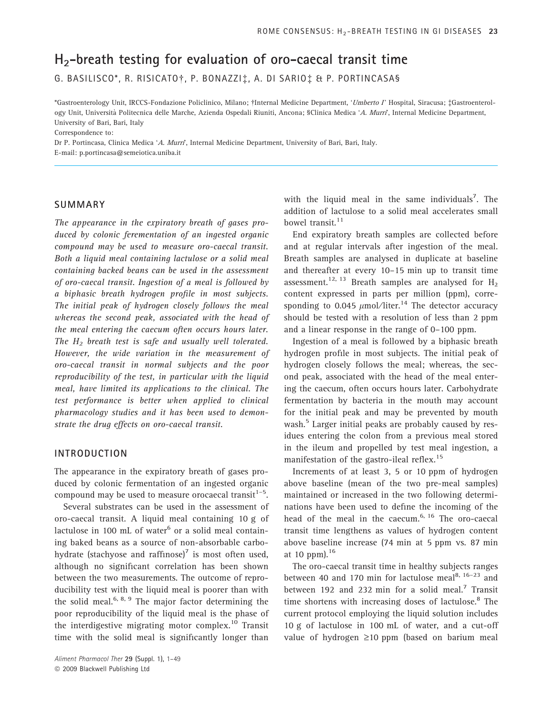## $H<sub>2</sub>$ -breath testing for evaluation of oro-caecal transit time

G. BASILISCO\*, R. RISICATO†, P. BONAZZI‡, A. DI SARIO‡ & P. PORTINCASA§

\*Gastroenterology Unit, IRCCS-Fondazione Policlinico, Milano; †Internal Medicine Department, '*Umberto I*' Hospital, Siracusa; ‡Gastroenterology Unit, Università Politecnica delle Marche, Azienda Ospedali Riuniti, Ancona; §Clinica Medica 'A. Murri', Internal Medicine Department, University of Bari, Bari, Italy

Correspondence to:

Dr P. Portincasa, Clinica Medica 'A. Murri', Internal Medicine Department, University of Bari, Bari, Italy. E-mail: p.portincasa@semeiotica.uniba.it

#### SUMMARY

The appearance in the expiratory breath of gases produced by colonic ferementation of an ingested organic compound may be used to measure oro-caecal transit. Both a liquid meal containing lactulose or a solid meal containing backed beans can be used in the assessment of oro-caecal transit. Ingestion of a meal is followed by a biphasic breath hydrogen profile in most subjects. The initial peak of hydrogen closely follows the meal whereas the second peak, associated with the head of the meal entering the caecum often occurs hours later. The  $H_2$  breath test is safe and usually well tolerated. However, the wide variation in the measurement of oro-caecal transit in normal subjects and the poor reproducibility of the test, in particular with the liquid meal, have limited its applications to the clinical. The test performance is better when applied to clinical pharmacology studies and it has been used to demonstrate the drug effects on oro-caecal transit.

### INTRODUCTION

The appearance in the expiratory breath of gases produced by colonic fermentation of an ingested organic compound may be used to measure orocaecal transit<sup>1-5</sup>.

Several substrates can be used in the assessment of oro-caecal transit. A liquid meal containing 10 g of lactulose in 100 mL of water $6$  or a solid meal containing baked beans as a source of non-absorbable carbohydrate (stachyose and raffinose)<sup>7</sup> is most often used, although no significant correlation has been shown between the two measurements. The outcome of reproducibility test with the liquid meal is poorer than with the solid meal.<sup>6, 8, 9</sup> The major factor determining the poor reproducibility of the liquid meal is the phase of the interdigestive migrating motor complex.<sup>10</sup> Transit time with the solid meal is significantly longer than

with the liquid meal in the same individuals<sup>7</sup>. The addition of lactulose to a solid meal accelerates small bowel transit.<sup>11</sup>

End expiratory breath samples are collected before and at regular intervals after ingestion of the meal. Breath samples are analysed in duplicate at baseline and thereafter at every 10–15 min up to transit time assessment.<sup>12, 13</sup> Breath samples are analysed for  $H_2$ content expressed in parts per million (ppm), corresponding to 0.045  $\mu$ mol/liter.<sup>14</sup> The detector accuracy should be tested with a resolution of less than 2 ppm and a linear response in the range of 0–100 ppm.

Ingestion of a meal is followed by a biphasic breath hydrogen profile in most subjects. The initial peak of hydrogen closely follows the meal; whereas, the second peak, associated with the head of the meal entering the caecum, often occurs hours later. Carbohydrate fermentation by bacteria in the mouth may account for the initial peak and may be prevented by mouth wash.<sup>5</sup> Larger initial peaks are probably caused by residues entering the colon from a previous meal stored in the ileum and propelled by test meal ingestion, a manifestation of the gastro-ileal reflex.<sup>15</sup>

Increments of at least 3, 5 or 10 ppm of hydrogen above baseline (mean of the two pre-meal samples) maintained or increased in the two following determinations have been used to define the incoming of the head of the meal in the caecum.<sup>6, 16</sup> The oro-caecal transit time lengthens as values of hydrogen content above baseline increase (74 min at 5 ppm vs. 87 min at 10 ppm). $16$ 

The oro-caecal transit time in healthy subjects ranges between 40 and 170 min for lactulose meal<sup>8, 16-23</sup> and between 192 and 232 min for a solid meal.<sup>7</sup> Transit time shortens with increasing doses of lactulose. $8$  The current protocol employing the liquid solution includes 10 g of lactulose in 100 mL of water, and a cut-off value of hydrogen  $\geq 10$  ppm (based on barium meal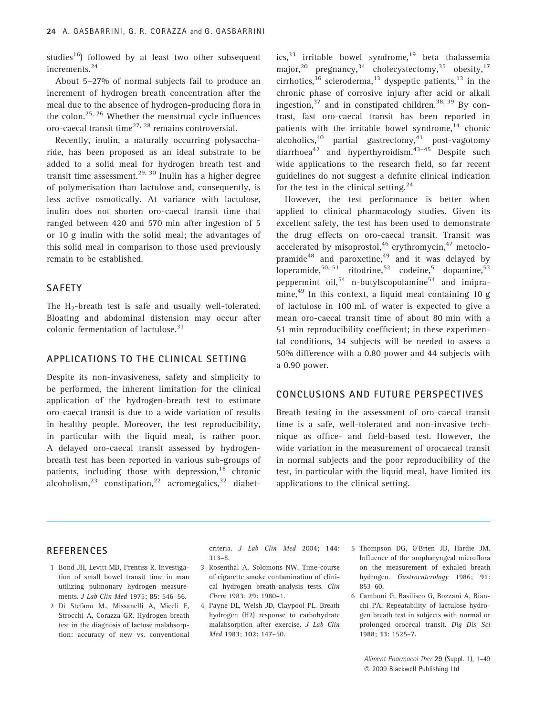studies<sup>16</sup>) followed by at least two other subsequent increments.<sup>24</sup>

About 5–27% of normal subjects fail to produce an increment of hydrogen breath concentration after the meal due to the absence of hydrogen-producing flora in the colon.<sup>25, 26</sup> Whether the menstrual cycle influences oro-caecal transit time $^{27, 28}$  remains controversial.

Recently, inulin, a naturally occurring polysaccharide, has been proposed as an ideal substrate to be added to a solid meal for hydrogen breath test and transit time assessment.<sup>29, 30</sup> Inulin has a higher degree of polymerisation than lactulose and, consequently, is less active osmotically. At variance with lactulose, inulin does not shorten oro-caecal transit time that ranged between 420 and 570 min after ingestion of 5 or 10 g inulin with the solid meal; the advantages of this solid meal in comparison to those used previously remain to be established.

### SAFETY

The  $H_2$ -breath test is safe and usually well-tolerated. Bloating and abdominal distension may occur after colonic fermentation of lactulose.<sup>31</sup>

## APPLICATIONS TO THE CLINICAL SETTING

Despite its non-invasiveness, safety and simplicity to be performed, the inherent limitation for the clinical application of the hydrogen-breath test to estimate oro-caecal transit is due to a wide variation of results in healthy people. Moreover, the test reproducibility, in particular with the liquid meal, is rather poor. A delayed oro-caecal transit assessed by hydrogenbreath test has been reported in various sub-groups of patients, including those with depression, $18$  chronic alcoholism, $^{23}$  constipation, $^{22}$  acromegalics, $^{32}$  diabetics,<sup>33</sup> irritable bowel syndrome,<sup>19</sup> beta thalassemia major,<sup>20</sup> pregnancy,<sup>34</sup> cholecystectomy,<sup>35</sup> obesity,<sup>17</sup> cirrhotics,  $36$  scleroderma,  $13$  dyspeptic patients,  $13$  in the chronic phase of corrosive injury after acid or alkali ingestion,  $37$  and in constipated children.  $38, 39$  By contrast, fast oro-caecal transit has been reported in patients with the irritable bowel syndrome, $14$  chonic alcoholics, $40$  partial gastrectomy, $41$  post-vagotomy diarrhoea<sup>42</sup> and hyperthyroidism.<sup>43-45</sup> Despite such wide applications to the research field, so far recent guidelines do not suggest a definite clinical indication for the test in the clinical setting.<sup>24</sup>

However, the test performance is better when applied to clinical pharmacology studies. Given its excellent safety, the test has been used to demonstrate the drug effects on oro-caecal transit. Transit was accelerated by misoprostol, $46$  erythromycin, $47$  metoclopramide<sup>48</sup> and paroxetine,<sup>49</sup> and it was delayed by loperamide,  $50, 51$  ritodrine,  $52$  codeine,  $5$  dopamine,  $53$ peppermint oil,<sup>54</sup> n-butylscopolamine<sup>54</sup> and imipramine, $49$  In this context, a liquid meal containing 10 g of lactulose in 100 mL of water is expected to give a mean oro-caecal transit time of about 80 min with a 51 min reproducibility coefficient; in these experimental conditions, 34 subjects will be needed to assess a 50% difference with a 0.80 power and 44 subjects with a 0.90 power.

### CONCLUSIONS AND FUTURE PERSPECTIVES

Breath testing in the assessment of oro-caecal transit time is a safe, well-tolerated and non-invasive technique as office- and field-based test. However, the wide variation in the measurement of orocaecal transit in normal subjects and the poor reproducibility of the test, in particular with the liquid meal, have limited its applications to the clinical setting.

#### REFERENCES

- 1 Bond JH, Levitt MD, Prentiss R. Investigation of small bowel transit time in man utilizing pulmonary hydrogen measurements. J Lab Clin Med 1975; 85: 546–56.
- 2 Di Stefano M., Missanelli A, Miceli E, Strocchi A, Corazza GR. Hydrogen breath test in the diagnosis of lactose malabsorption: accuracy of new vs. conventional

criteria. J Lab Clin Med 2004; 144: 313–8.

- 3 Rosenthal A, Solomons NW. Time-course of cigarette smoke contamination of clinical hydrogen breath-analysis tests. Clin Chem 1983; 29: 1980–1.
- 4 Payne DL, Welsh JD, Claypool PL. Breath hydrogen (H2) response to carbohydrate malabsorption after exercise. J Lab Clin Med 1983; 102: 147–50.
- 5 Thompson DG, O'Brien JD, Hardie JM. Influence of the oropharyngeal microflora on the measurement of exhaled breath hydrogen. Gastroenterology 1986; 91: 853–60.
- 6 Camboni G, Basilisco G, Bozzani A, Bianchi PA. Repeatability of lactulose hydrogen breath test in subjects with normal or prolonged orocecal transit. Dig Dis Sci 1988; 33: 1525–7.

Aliment Pharmacol Ther 29 (Suppl. 1), 1–49  $@$  2009 Blackwell Publishing Ltd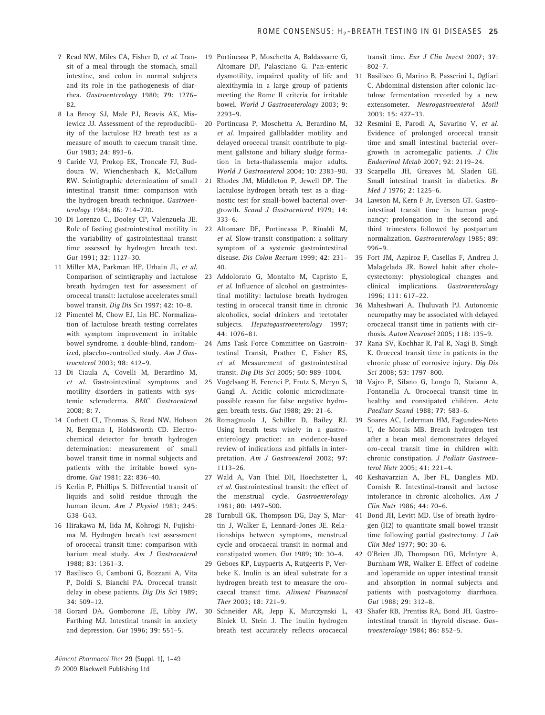- 7 Read NW, Miles CA, Fisher D, et al. Transit of a meal through the stomach, small intestine, and colon in normal subjects and its role in the pathogenesis of diarrhea. Gastroenterology 1980; 79: 1276– 82
- 8 La Brooy SJ, Male PJ, Beavis AK, Misiewicz JJ. Assessment of the reproducibility of the lactulose H2 breath test as a measure of mouth to caecum transit time. Gut 1983; 24: 893–6.
- 9 Caride VJ, Prokop EK, Troncale FJ, Buddoura W, Wienchenbach K, McCallum RW. Scintigraphic determination of small intestinal transit time: comparison with the hydrogen breath technique. Gastroenterology 1984; 86: 714–720.
- 10 Di Lorenzo C., Dooley CP, Valenzuela JE. Role of fasting gastrointestinal motility in the variability of gastrointestinal transit time assessed by hydrogen breath test. Gut 1991; 32: 1127–30.
- 11 Miller MA, Parkman HP, Urbain JL, et al. breath hydrogen test for assessment of orocecal transit: lactulose accelerates small bowel transit. Dig Dis Sci 1997; 42: 10–8.
- 12 Pimentel M, Chow EJ, Lin HC. Normalization of lactulose breath testing correlates with symptom improvement in irritable bowel syndrome. a double-blind, randomized, placebo-controlled study. Am J Gastroenterol 2003; 98: 412–9.
- 13 Di Ciaula A, Covelli M, Berardino M, et al. Gastrointestinal symptoms and motility disorders in patients with systemic scleroderma. BMC Gastroenterol 2008; 8: 7.
- 14 Corbett CL, Thomas S, Read NW, Hobson N, Bergman I, Holdsworth CD. Electrochemical detector for breath hydrogen determination: measurement of small bowel transit time in normal subjects and patients with the irritable bowel syndrome. Gut 1981; 22: 836–40.
- 15 Kerlin P, Phillips S. Differential transit of liquids and solid residue through the human ileum. Am J Physiol 1983; 245: G38–G43.
- 16 Hirakawa M, Iida M, Kohrogi N, Fujishima M. Hydrogen breath test assessment of orocecal transit time: comparison with barium meal study. Am J Gastroenterol 1988; 83: 1361–3.
- 17 Basilisco G, Camboni G, Bozzani A, Vita P, Doldi S, Bianchi PA. Orocecal transit delay in obese patients. Dig Dis Sci 1989;  $34.509 - 12$
- 18 Gorard DA, Gomborone JE, Libby JW, Farthing MJ. Intestinal transit in anxiety and depression. Gut 1996; 39: 551–5.

Aliment Pharmacol Ther 29 (Suppl. 1), 1–49  $@$  2009 Blackwell Publishing Ltd

- 19 Portincasa P, Moschetta A, Baldassarre G, Altomare DF, Palasciano G. Pan-enteric dysmotility, impaired quality of life and alexithymia in a large group of patients meeting the Rome II criteria for irritable bowel. World J Gastroenterology 2003; 9: 2293–9.
- 20 Portincasa P, Moschetta A, Berardino M, et al. Impaired gallbladder motility and delayed orocecal transit contribute to pigment gallstone and biliary sludge formation in beta-thalassemia major adults. World J Gastroenterol 2004; 10: 2383–90.
- 21 Rhodes JM, Middleton P, Jewell DP. The lactulose hydrogen breath test as a diagnostic test for small-bowel bacterial overgrowth. Scand J Gastroenterol 1979; 14: 333–6.
- 22 Altomare DF, Portincasa P, Rinaldi M, et al. Slow-transit constipation: a solitary symptom of a systemic gastrointestinal disease. Dis Colon Rectum 1999; 42: 231– 40.
- Comparison of scintigraphy and lactulose 23 Addolorato G, Montalto M, Capristo E, et al. Influence of alcohol on gastrointestinal motility: lactulose breath hydrogen testing in orocecal transit time in chronic alcoholics, social drinkers and teetotaler subjects. Hepatogastroenterology 1997; 44: 1076–81.
	- 24 Ams Task Force Committee on Gastrointestinal Transit, Prather C, Fisher RS, et al. Measurement of gastrointestinal transit. Dig Dis Sci 2005; 50: 989–1004.
	- 25 Vogelsang H, Ferenci P, Frotz S, Meryn S, Gangl A. Acidic colonic microclimate– possible reason for false negative hydrogen breath tests. Gut 1988; 29: 21–6.
	- 26 Romagnuolo J, Schiller D, Bailey RJ. Using breath tests wisely in a gastroenterology practice: an evidence-based review of indications and pitfalls in interpretation. Am J Gastroenterol 2002; 97: 1113–26.
	- 27 Wald A, Van Thiel DH, Hoechstetter L, et al. Gastrointestinal transit: the effect of the menstrual cycle. Gastroenterology 1981; 80: 1497–500.
	- 28 Turnbull GK, Thompson DG, Day S, Martin J, Walker E, Lennard-Jones JE. Relationships between symptoms, menstrual cycle and orocaecal transit in normal and constipated women. Gut 1989; 30: 30–4.
	- 29 Geboes KP, Luypaerts A, Rutgeerts P, Verbeke K. Inulin is an ideal substrate for a hydrogen breath test to measure the orocaecal transit time. Aliment Pharmacol Ther 2003; 18: 721–9.
	- 30 Schneider AR, Jepp K, Murczynski L, Biniek U, Stein J. The inulin hydrogen breath test accurately reflects orocaecal

transit time. Eur J Clin Invest 2007; 37:  $802 - 7$ 

- 31 Basilisco G, Marino B, Passerini L, Ogliari C. Abdominal distension after colonic lactulose fermentation recorded by a new extensometer. Neurogastroenterol Motil 2003; 15: 427–33.
- 32 Resmini E, Parodi A, Savarino V, et al. Evidence of prolonged orocecal transit time and small intestinal bacterial overgrowth in acromegalic patients. J Clin Endocrinol Metab 2007; 92: 2119–24.
- 33 Scarpello JH, Greaves M, Sladen GE. Small intestinal transit in diabetics. Br Med J 1976; 2: 1225–6.
- 34 Lawson M, Kern F Jr, Everson GT. Gastrointestinal transit time in human pregnancy: prolongation in the second and third trimesters followed by postpartum normalization. Gastroenterology 1985; 89: 996–9.
- 35 Fort JM, Azpiroz F, Casellas F, Andreu J, Malagelada JR. Bowel habit after cholecystectomy: physiological changes and clinical implications. Gastroenterology 1996; 111: 617–22.
- 36 Maheshwari A, Thuluvath PJ. Autonomic neuropathy may be associated with delayed orocaecal transit time in patients with cirrhosis. Auton Neurosci 2005; 118: 135–9.
- 37 Rana SV, Kochhar R, Pal R, Nagi B, Singh K. Orocecal transit time in patients in the chronic phase of corrosive injury. Dig Dis Sci 2008; 53: 1797–800.
- 38 Vajro P, Silano G, Longo D, Staiano A, Fontanella A. Orocoecal transit time in healthy and constipated children. Acta Paediatr Scand 1988; 77: 583–6.
- 39 Soares AC, Lederman HM, Fagundes-Neto U, de Morais MB. Breath hydrogen test after a bean meal demonstrates delayed oro-cecal transit time in children with chronic constipation. J Pediatr Gastroenterol Nutr 2005; 41: 221–4.
- 40 Keshavarzian A, Iber FL, Dangleis MD, Cornish R. Intestinal-transit and lactose intolerance in chronic alcoholics. Am J Clin Nutr 1986; 44: 70–6.
- 41 Bond JH, Levitt MD. Use of breath hydrogen (H2) to quantitate small bowel transit time following partial gastrectomy. J Lab Clin Med 1977; 90: 30–6.
- 42 O'Brien JD, Thompson DG, McIntyre A, Burnham WR, Walker E. Effect of codeine and loperamide on upper intestinal transit and absorption in normal subjects and patients with postvagotomy diarrhoea. Gut 1988; 29: 312–8.
- 43 Shafer RB, Prentiss RA, Bond JH. Gastrointestinal transit in thyroid disease. Gastroenterology 1984; 86: 852–5.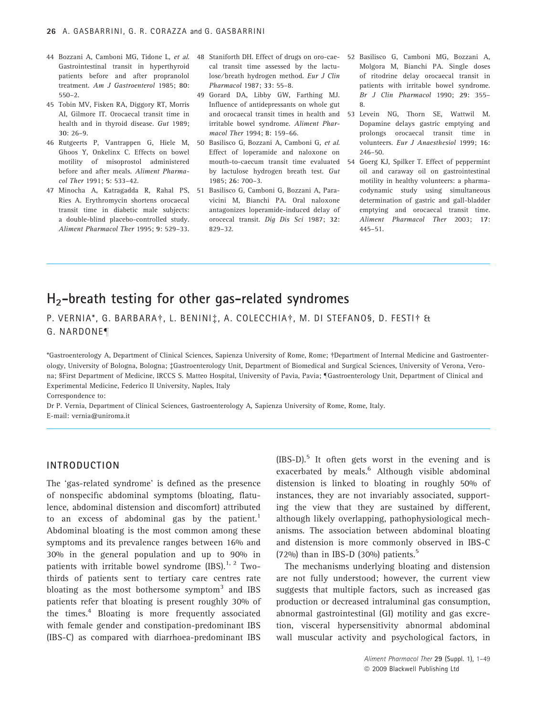- 44 Bozzani A, Camboni MG, Tidone L, et al. Gastrointestinal transit in hyperthyroid patients before and after propranolol treatment. Am J Gastroenterol 1985; 80: 550–2.
- 45 Tobin MV, Fisken RA, Diggory RT, Morris AI, Gilmore IT. Orocaecal transit time in health and in thyroid disease. Gut 1989; 30: 26–9.
- 46 Rutgeerts P, Vantrappen G, Hiele M, Ghoos Y, Onkelinx C. Effects on bowel motility of misoprostol administered before and after meals. Aliment Pharmacol Ther 1991; 5: 533–42.
- 47 Minocha A, Katragadda R, Rahal PS, 51 Basilisco G, Camboni G, Bozzani A, Para-Ries A. Erythromycin shortens orocaecal transit time in diabetic male subjects: a double-blind placebo-controlled study. Aliment Pharmacol Ther 1995; 9: 529–33.
- 48 Staniforth DH. Effect of drugs on oro-caecal transit time assessed by the lactulose ⁄ breath hydrogen method. Eur J Clin Pharmacol 1987; 33: 55–8.
- 49 Gorard DA, Libby GW, Farthing MJ. Influence of antidepressants on whole gut and orocaecal transit times in health and irritable bowel syndrome. Aliment Pharmacol Ther 1994; 8: 159–66.
- 50 Basilisco G, Bozzani A, Camboni G, et al. Effect of loperamide and naloxone on mouth-to-caecum transit time evaluated by lactulose hydrogen breath test. Gut 1985; 26: 700–3.
- vicini M, Bianchi PA. Oral naloxone antagonizes loperamide-induced delay of orocecal transit. Dig Dis Sci 1987; 32: 829–32.
- 52 Basilisco G, Camboni MG, Bozzani A, Molgora M, Bianchi PA. Single doses of ritodrine delay orocaecal transit in patients with irritable bowel syndrome. Br J Clin Pharmacol 1990; 29: 355– 8.
- 53 Levein NG, Thorn SE, Wattwil M. Dopamine delays gastric emptying and prolongs orocaecal transit time in volunteers. Eur J Anaesthesiol 1999; 16: 246–50.
- 54 Goerg KJ, Spilker T. Effect of peppermint oil and caraway oil on gastrointestinal motility in healthy volunteers: a pharmacodynamic study using simultaneous determination of gastric and gall-bladder emptying and orocaecal transit time. Aliment Pharmacol Ther 2003; 17: 445–51.

## $H<sub>2</sub>$ -breath testing for other gas-related syndromes

P. VERNIA\*, G. BARBARA†, L. BENINI‡, A. COLECCHIA†, M. DI STEFANO§, D. FESTI† & G. NARDONE–

\*Gastroenterology A, Department of Clinical Sciences, Sapienza University of Rome, Rome; -Department of Internal Medicine and Gastroenterology, University of Bologna, Bologna; Gastroenterology Unit, Department of Biomedical and Surgical Sciences, University of Verona, Verona; §First Department of Medicine, IRCCS S. Matteo Hospital, University of Pavia, Pavia; ¶Gastroenterology Unit, Department of Clinical and Experimental Medicine, Federico II University, Naples, Italy

Correspondence to:

Dr P. Vernia, Department of Clinical Sciences, Gastroenterology A, Sapienza University of Rome, Rome, Italy. E-mail: vernia@uniroma.it

#### INTRODUCTION

The 'gas-related syndrome' is defined as the presence of nonspecific abdominal symptoms (bloating, flatulence, abdominal distension and discomfort) attributed to an excess of abdominal gas by the patient.<sup>1</sup> Abdominal bloating is the most common among these symptoms and its prevalence ranges between 16% and 30% in the general population and up to 90% in patients with irritable bowel syndrome  $[IBS]$ .<sup>1, 2</sup> Twothirds of patients sent to tertiary care centres rate bloating as the most bothersome symptom $3$  and IBS patients refer that bloating is present roughly 30% of the times.<sup>4</sup> Bloating is more frequently associated with female gender and constipation-predominant IBS (IBS-C) as compared with diarrhoea-predominant IBS  $(IBS-D)<sup>5</sup>$  It often gets worst in the evening and is exacerbated by meals.<sup>6</sup> Although visible abdominal distension is linked to bloating in roughly 50% of instances, they are not invariably associated, supporting the view that they are sustained by different, although likely overlapping, pathophysiological mechanisms. The association between abdominal bloating and distension is more commonly observed in IBS-C (72%) than in IBS-D (30%) patients.<sup>5</sup>

The mechanisms underlying bloating and distension are not fully understood; however, the current view suggests that multiple factors, such as increased gas production or decreased intraluminal gas consumption, abnormal gastrointestinal (GI) motility and gas excretion, visceral hypersensitivity abnormal abdominal wall muscular activity and psychological factors, in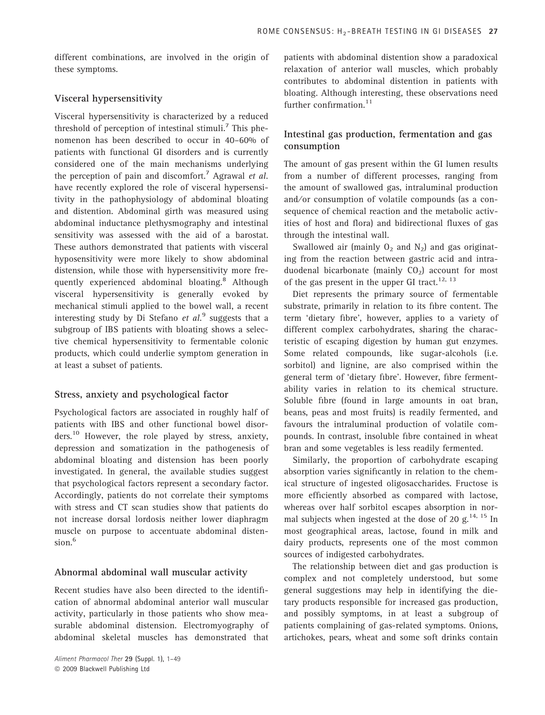different combinations, are involved in the origin of these symptoms.

## Visceral hypersensitivity

Visceral hypersensitivity is characterized by a reduced threshold of perception of intestinal stimuli.<sup>7</sup> This phenomenon has been described to occur in 40–60% of patients with functional GI disorders and is currently considered one of the main mechanisms underlying the perception of pain and discomfort.<sup>7</sup> Agrawal et al. have recently explored the role of visceral hypersensitivity in the pathophysiology of abdominal bloating and distention. Abdominal girth was measured using abdominal inductance plethysmography and intestinal sensitivity was assessed with the aid of a barostat. These authors demonstrated that patients with visceral hyposensitivity were more likely to show abdominal distension, while those with hypersensitivity more frequently experienced abdominal bloating.<sup>8</sup> Although visceral hypersensitivity is generally evoked by mechanical stimuli applied to the bowel wall, a recent interesting study by Di Stefano et  $al<sup>9</sup>$  suggests that a subgroup of IBS patients with bloating shows a selective chemical hypersensitivity to fermentable colonic products, which could underlie symptom generation in at least a subset of patients.

## Stress, anxiety and psychological factor

Psychological factors are associated in roughly half of patients with IBS and other functional bowel disorders.<sup>10</sup> However, the role played by stress, anxiety, depression and somatization in the pathogenesis of abdominal bloating and distension has been poorly investigated. In general, the available studies suggest that psychological factors represent a secondary factor. Accordingly, patients do not correlate their symptoms with stress and CT scan studies show that patients do not increase dorsal lordosis neither lower diaphragm muscle on purpose to accentuate abdominal distension.<sup>6</sup>

## Abnormal abdominal wall muscular activity

Recent studies have also been directed to the identification of abnormal abdominal anterior wall muscular activity, particularly in those patients who show measurable abdominal distension. Electromyography of abdominal skeletal muscles has demonstrated that

patients with abdominal distention show a paradoxical relaxation of anterior wall muscles, which probably contributes to abdominal distention in patients with bloating. Although interesting, these observations need further confirmation.<sup>11</sup>

## Intestinal gas production, fermentation and gas consumption

The amount of gas present within the GI lumen results from a number of different processes, ranging from the amount of swallowed gas, intraluminal production and/or consumption of volatile compounds (as a consequence of chemical reaction and the metabolic activities of host and flora) and bidirectional fluxes of gas through the intestinal wall.

Swallowed air (mainly  $O_2$  and  $N_2$ ) and gas originating from the reaction between gastric acid and intraduodenal bicarbonate (mainly  $CO<sub>2</sub>$ ) account for most of the gas present in the upper GI tract.<sup>12, 13</sup>

Diet represents the primary source of fermentable substrate, primarily in relation to its fibre content. The term 'dietary fibre', however, applies to a variety of different complex carbohydrates, sharing the characteristic of escaping digestion by human gut enzymes. Some related compounds, like sugar-alcohols (i.e. sorbitol) and lignine, are also comprised within the general term of 'dietary fibre'. However, fibre fermentability varies in relation to its chemical structure. Soluble fibre (found in large amounts in oat bran, beans, peas and most fruits) is readily fermented, and favours the intraluminal production of volatile compounds. In contrast, insoluble fibre contained in wheat bran and some vegetables is less readily fermented.

Similarly, the proportion of carbohydrate escaping absorption varies significantly in relation to the chemical structure of ingested oligosaccharides. Fructose is more efficiently absorbed as compared with lactose, whereas over half sorbitol escapes absorption in normal subjects when ingested at the dose of 20 g.<sup>14, 15</sup> In most geographical areas, lactose, found in milk and dairy products, represents one of the most common sources of indigested carbohydrates.

The relationship between diet and gas production is complex and not completely understood, but some general suggestions may help in identifying the dietary products responsible for increased gas production, and possibly symptoms, in at least a subgroup of patients complaining of gas-related symptoms. Onions, artichokes, pears, wheat and some soft drinks contain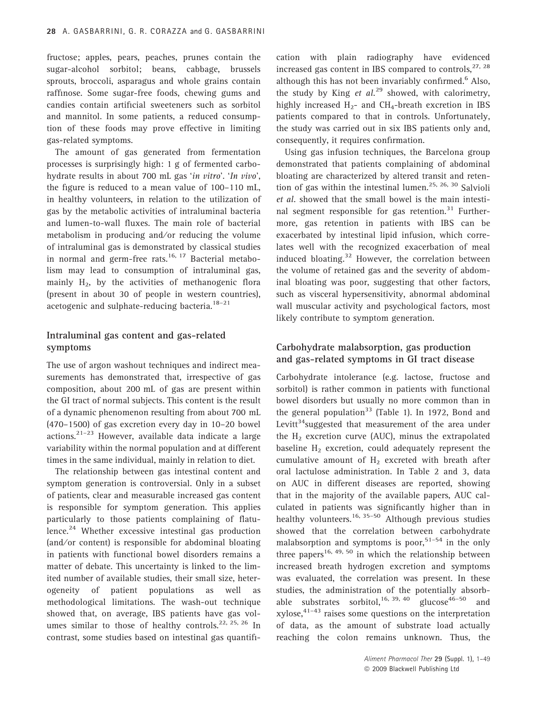fructose; apples, pears, peaches, prunes contain the sugar-alcohol sorbitol; beans, cabbage, brussels sprouts, broccoli, asparagus and whole grains contain raffinose. Some sugar-free foods, chewing gums and candies contain artificial sweeteners such as sorbitol and mannitol. In some patients, a reduced consumption of these foods may prove effective in limiting gas-related symptoms.

The amount of gas generated from fermentation processes is surprisingly high: 1 g of fermented carbohydrate results in about 700 mL gas 'in vitro'. 'In vivo', the figure is reduced to a mean value of 100–110 mL, in healthy volunteers, in relation to the utilization of gas by the metabolic activities of intraluminal bacteria and lumen-to-wall fluxes. The main role of bacterial metabolism in producing and/or reducing the volume of intraluminal gas is demonstrated by classical studies in normal and germ-free rats.<sup>16, 17</sup> Bacterial metabolism may lead to consumption of intraluminal gas, mainly  $H_2$ , by the activities of methanogenic flora (present in about 30 of people in western countries), acetogenic and sulphate-reducing bacteria.<sup>18-21</sup>

## Intraluminal gas content and gas-related symptoms

The use of argon washout techniques and indirect measurements has demonstrated that, irrespective of gas composition, about 200 mL of gas are present within the GI tract of normal subjects. This content is the result of a dynamic phenomenon resulting from about 700 mL (470–1500) of gas excretion every day in 10–20 bowel actions.21–23 However, available data indicate a large variability within the normal population and at different times in the same individual, mainly in relation to diet.

The relationship between gas intestinal content and symptom generation is controversial. Only in a subset of patients, clear and measurable increased gas content is responsible for symptom generation. This applies particularly to those patients complaining of flatulence.<sup>24</sup> Whether excessive intestinal gas production (and/or content) is responsible for abdominal bloating in patients with functional bowel disorders remains a matter of debate. This uncertainty is linked to the limited number of available studies, their small size, heterogeneity of patient populations as well as methodological limitations. The wash-out technique showed that, on average, IBS patients have gas volumes similar to those of healthy controls.<sup>22, 25, 26</sup> In contrast, some studies based on intestinal gas quantification with plain radiography have evidenced increased gas content in IBS compared to controls,  $27, 28$ although this has not been invariably confirmed.<sup>6</sup> Also, the study by King et  $al.^{29}$  showed, with calorimetry, highly increased  $H_2$ - and CH<sub>4</sub>-breath excretion in IBS patients compared to that in controls. Unfortunately, the study was carried out in six IBS patients only and, consequently, it requires confirmation.

Using gas infusion techniques, the Barcelona group demonstrated that patients complaining of abdominal bloating are characterized by altered transit and retention of gas within the intestinal lumen.<sup>25, 26, 30</sup> Salvioli et al. showed that the small bowel is the main intestinal segment responsible for gas retention.<sup>31</sup> Furthermore, gas retention in patients with IBS can be exacerbated by intestinal lipid infusion, which correlates well with the recognized exacerbation of meal induced bloating. $32$  However, the correlation between the volume of retained gas and the severity of abdominal bloating was poor, suggesting that other factors, such as visceral hypersensitivity, abnormal abdominal wall muscular activity and psychological factors, most likely contribute to symptom generation.

## Carbohydrate malabsorption, gas production and gas-related symptoms in GI tract disease

Carbohydrate intolerance (e.g. lactose, fructose and sorbitol) is rather common in patients with functional bowel disorders but usually no more common than in the general population<sup>33</sup> (Table 1). In 1972, Bond and Levitt<sup>34</sup> suggested that measurement of the area under the  $H_2$  excretion curve (AUC), minus the extrapolated baseline  $H_2$  excretion, could adequately represent the cumulative amount of  $H<sub>2</sub>$  excreted with breath after oral lactulose administration. In Table 2 and 3, data on AUC in different diseases are reported, showing that in the majority of the available papers, AUC calculated in patients was significantly higher than in healthy volunteers.<sup>16, 35–50</sup> Although previous studies showed that the correlation between carbohydrate malabsorption and symptoms is poor,  $51-54$  in the only three papers<sup>16, 49, 50</sup> in which the relationship between increased breath hydrogen excretion and symptoms was evaluated, the correlation was present. In these studies, the administration of the potentially absorbable substrates sorbitol,  $16, 39, 40$  glucose<sup>46–50</sup> and xylose, $4^{1-43}$  raises some questions on the interpretation of data, as the amount of substrate load actually reaching the colon remains unknown. Thus, the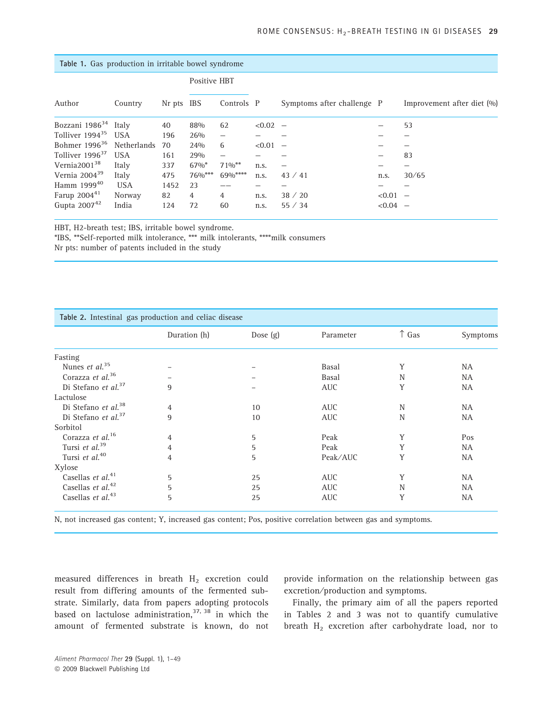| <b>Table 1.</b> Gas production in irritable bowel syndrome |             |        |              |                          |           |                            |        |                            |
|------------------------------------------------------------|-------------|--------|--------------|--------------------------|-----------|----------------------------|--------|----------------------------|
|                                                            |             |        | Positive HBT |                          |           |                            |        |                            |
| Author                                                     | Country     | Nr pts | <b>IBS</b>   | Controls P               |           | Symptoms after challenge P |        | Improvement after diet (%) |
| Bozzani 1986 <sup>34</sup> Italy                           |             | 40     | 88%          | 62                       | $<0.02 -$ |                            |        | 53                         |
| Tolliver 1994 <sup>35</sup>                                | <b>USA</b>  | 196    | 26%          | $\qquad \qquad -$        |           |                            |        |                            |
| Bohmer 1996 <sup>36</sup>                                  | Netherlands | 70     | 24%          | 6                        | < 0.01    |                            |        |                            |
| Tolliver 1996 <sup>37</sup>                                | <b>USA</b>  | 161    | 29%          | $\overline{\phantom{0}}$ |           |                            |        | 83                         |
| Vernia2001 <sup>38</sup>                                   | Italy       | 337    | $67\%$       | $71\%$ **                | n.s.      |                            |        |                            |
| Vernia $2004^{39}$                                         | Italy       | 475    | 76%***       | 69%****                  | n.s.      | 43/41                      | n.s.   | 30/65                      |
| Hamm 1999 <sup>40</sup>                                    | <b>USA</b>  | 1452   | 23           |                          |           |                            |        |                            |
| Farup $2004^{41}$                                          | Norway      | 82     | 4            | 4                        | n.s.      | 38 / 20                    | < 0.01 |                            |
| Gupta 2007 <sup>42</sup>                                   | India       | 124    | 72           | 60                       | n.s.      | 55 / 34                    | < 0.04 |                            |

HBT, H2-breath test; IBS, irritable bowel syndrome.

\*IBS, \*\*Self-reported milk intolerance, \*\*\* milk intolerants, \*\*\*\*milk consumers

Nr pts: number of patents included in the study

| Table 2. Intestinal gas production and celiac disease |              |            |              |       |          |
|-------------------------------------------------------|--------------|------------|--------------|-------|----------|
|                                                       | Duration (h) | Dose $(g)$ | Parameter    | T Gas | Symptoms |
| Fasting                                               |              |            |              |       |          |
| Nunes et al. <sup>35</sup>                            |              |            | <b>Basal</b> | Y     | NA       |
| Corazza et al. <sup>36</sup>                          |              |            | <b>Basal</b> | N     | NA       |
| Di Stefano et al. <sup>37</sup>                       | 9            |            | <b>AUC</b>   | Y     | NA       |
| Lactulose                                             |              |            |              |       |          |
| Di Stefano et al. <sup>38</sup>                       | 4            | 10         | <b>AUC</b>   | N     | NA       |
| Di Stefano et al. <sup>37</sup>                       | 9            | 10         | <b>AUC</b>   | N     | NA       |
| Sorbitol                                              |              |            |              |       |          |
| Corazza et al. <sup>16</sup>                          | 4            | 5          | Peak         | Y     | Pos      |
| Tursi et al. <sup>39</sup>                            | 4            | 5          | Peak         | Y     | NA       |
| Tursi et al. <sup>40</sup>                            | 4            | 5          | Peak/AUC     | Y     | NA       |
| Xylose                                                |              |            |              |       |          |
| Casellas et al. <sup>41</sup>                         | 5            | 25         | <b>AUC</b>   | Y     | NA       |
| Casellas et al. <sup>42</sup>                         | 5            | 25         | <b>AUC</b>   | N     | NA       |
| Casellas et al. <sup>43</sup>                         | 5            | 25         | <b>AUC</b>   | Y     | NA       |

N, not increased gas content; Y, increased gas content; Pos, positive correlation between gas and symptoms.

measured differences in breath  $H_2$  excretion could result from differing amounts of the fermented substrate. Similarly, data from papers adopting protocols based on lactulose administration,  $37, 38$  in which the amount of fermented substrate is known, do not provide information on the relationship between gas excretion/production and symptoms.

Finally, the primary aim of all the papers reported in Tables 2 and 3 was not to quantify cumulative breath  $H_2$  excretion after carbohydrate load, nor to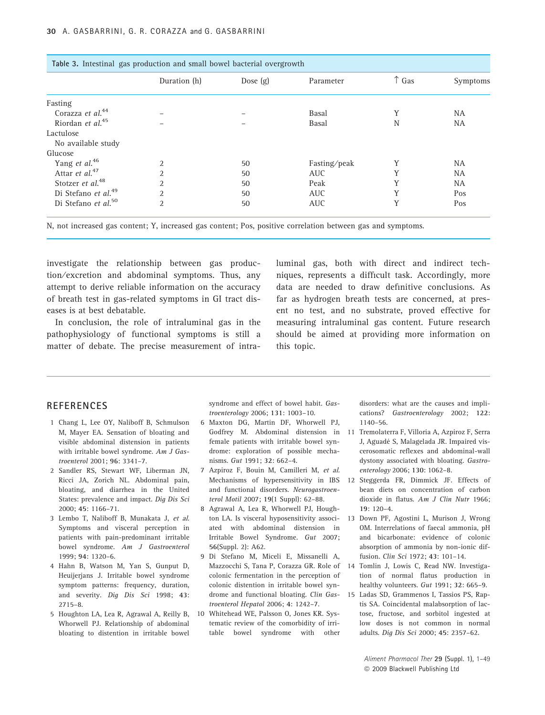| <b>Table 3.</b> Intestinal gas production and small bowel bacterial overgrowth |                |            |              |             |           |
|--------------------------------------------------------------------------------|----------------|------------|--------------|-------------|-----------|
|                                                                                | Duration (h)   | Dose $(g)$ | Parameter    | ↑ Gas       | Symptoms  |
| Fasting                                                                        |                |            |              |             |           |
| Corazza et $al^{44}$                                                           |                |            | Basal        | Y           | NA        |
| Riordan et al. <sup>45</sup>                                                   |                |            | Basal        | N           | <b>NA</b> |
| Lactulose                                                                      |                |            |              |             |           |
| No available study                                                             |                |            |              |             |           |
| Glucose                                                                        |                |            |              |             |           |
| Yang et al. <sup>46</sup>                                                      | 2              | 50         | Fasting/peak | Y           | NA        |
| Attar et al. <sup>47</sup>                                                     | 2              | 50         | <b>AUC</b>   | Y           | NA        |
| Stotzer et al. <sup>48</sup>                                                   | 2              | 50         | Peak         | Y           | NA.       |
| Di Stefano et al. <sup>49</sup>                                                | $\overline{2}$ | 50         | <b>AUC</b>   | Y           | Pos       |
| Di Stefano et al. <sup>50</sup>                                                | $\overline{2}$ | 50         | <b>AUC</b>   | $\mathbf v$ | Pos       |

N, not increased gas content; Y, increased gas content; Pos, positive correlation between gas and symptoms.

investigate the relationship between gas production/excretion and abdominal symptoms. Thus, any attempt to derive reliable information on the accuracy of breath test in gas-related symptoms in GI tract diseases is at best debatable.

In conclusion, the role of intraluminal gas in the pathophysiology of functional symptoms is still a matter of debate. The precise measurement of intraluminal gas, both with direct and indirect techniques, represents a difficult task. Accordingly, more data are needed to draw definitive conclusions. As far as hydrogen breath tests are concerned, at present no test, and no substrate, proved effective for measuring intraluminal gas content. Future research should be aimed at providing more information on this topic.

## **REFERENCES**

- 1 Chang L, Lee OY, Naliboff B, Schmulson M, Mayer EA. Sensation of bloating and visible abdominal distension in patients with irritable bowel syndrome. Am J Gastroenterol 2001; 96: 3341–7.
- 2 Sandler RS, Stewart WF, Liberman JN, Ricci JA, Zorich NL. Abdominal pain, bloating, and diarrhea in the United States: prevalence and impact. Dig Dis Sci  $2000 \cdot 45 \cdot 1166 - 71$
- 3 Lembo T, Naliboff B, Munakata J, et al. Symptoms and visceral perception in patients with pain-predominant irritable bowel syndrome. Am J Gastroenterol 1999; 94: 1320–6.
- 4 Hahn B, Watson M, Yan S, Gunput D, Heuijerjans J. Irritable bowel syndrome symptom patterns: frequency, duration, and severity. Dig Dis Sci 1998; 43: 2715–8.
- 5 Houghton LA, Lea R, Agrawal A, Reilly B, Whorwell PJ. Relationship of abdominal bloating to distention in irritable bowel

syndrome and effect of bowel habit. Gastroenterology 2006; 131: 1003–10.

- 6 Maxton DG, Martin DF, Whorwell PJ, Godfrey M. Abdominal distension in female patients with irritable bowel syndrome: exploration of possible mechanisms. Gut 1991; 32: 662–4.
- 7 Azpiroz F, Bouin M, Camilleri M, et al. Mechanisms of hypersensitivity in IBS and functional disorders. Neurogastroenterol Motil 2007; 19(1 Suppl): 62–88.
- 8 Agrawal A, Lea R, Whorwell PJ, Houghton LA. Is visceral hyposensitivity associated with abdominal distension in Irritable Bowel Syndrome. Gut 2007; 56(Suppl. 2): A62.
- 9 Di Stefano M, Miceli E, Missanelli A, Mazzocchi S, Tana P, Corazza GR. Role of colonic fermentation in the perception of colonic distention in irritable bowel syntroenterol Hepatol 2006; 4: 1242–7.
- 10 Whitehead WE, Palsson O, Jones KR. Systematic review of the comorbidity of irritable bowel syndrome with other

disorders: what are the causes and implications? Gastroenterology 2002; 122: 1140–56.

- 11 Tremolaterra F, Villoria A, Azpiroz F, Serra J, Aguadé S, Malagelada JR. Impaired viscerosomatic reflexes and abdominal-wall dystony associated with bloating. Gastroenterology 2006; 130: 1062–8.
- 12 Steggerda FR, Dimmick JF. Effects of bean diets on concentration of carbon dioxide in flatus. Am J Clin Nutr 1966;  $19: 120 - 4$
- 13 Down PF, Agostini L, Murison J, Wrong OM. Interrelations of faecal ammonia, pH and bicarbonate: evidence of colonic absorption of ammonia by non-ionic diffusion. Clin Sci 1972; 43: 101–14.
- 14 Tomlin J, Lowis C, Read NW. Investigation of normal flatus production in healthy volunteers. Gut 1991; 32: 665-9.
- drome and functional bloating. Clin Gas- 15 Ladas SD, Grammenos I, Tassios PS, Raptis SA. Coincidental malabsorption of lactose, fructose, and sorbitol ingested at low doses is not common in normal adults. Dig Dis Sci 2000; 45: 2357–62.

Aliment Pharmacol Ther 29 (Suppl. 1), 1–49  $@$  2009 Blackwell Publishing Ltd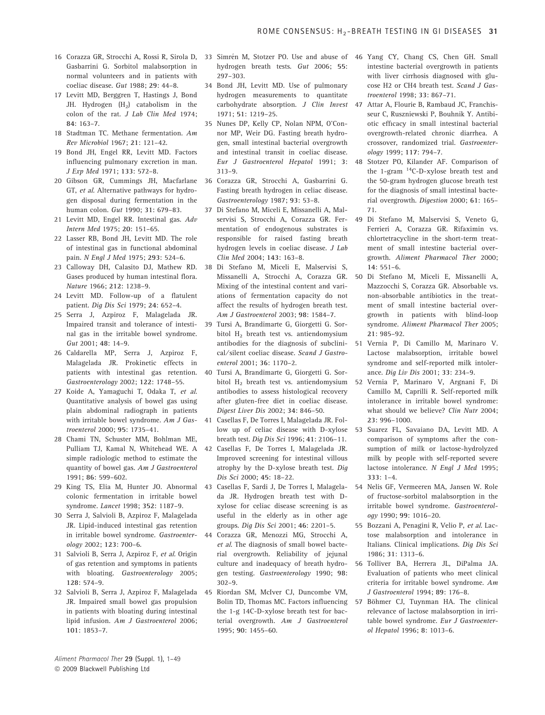- 16 Corazza GR, Strocchi A, Rossi R, Sirola D, Gasbarrini G. Sorbitol malabsorption in normal volunteers and in patients with coeliac disease. Gut 1988; 29: 44–8.
- 17 Levitt MD, Berggren T, Hastings J, Bond JH. Hydrogen  $(H<sub>2</sub>)$  catabolism in the colon of the rat. J Lab Clin Med 1974; 84: 163–7.
- 18 Stadtman TC. Methane fermentation. Am Rev Microbiol 1967; 21: 121–42.
- 19 Bond JH, Engel RR, Levitt MD. Factors influencing pulmonary excretion in man. J Exp Med 1971; 133: 572–8.
- 20 Gibson GR, Cummings JH, Macfarlane GT, et al. Alternative pathways for hydrogen disposal during fermentation in the human colon. Gut 1990; 31: 679–83.
- 21 Levitt MD, Engel RR. Intestinal gas. Adv Intern Med 1975; 20: 151–65.
- 22 Lasser RB, Bond JH, Levitt MD. The role of intestinal gas in functional abdominal pain. N Engl J Med 1975; 293: 524–6.
- 23 Calloway DH, Calasito DJ, Mathew RD. Gases produced by human intestinal flora. Nature 1966; 212: 1238–9.
- 24 Levitt MD. Follow-up of a flatulent patient. Dig Dis Sci 1979; 24: 652–4.
- 25 Serra J, Azpiroz F, Malagelada JR. Impaired transit and tolerance of intestinal gas in the irritable bowel syndrome. Gut 2001; 48: 14–9.
- 26 Caldarella MP, Serra J, Azpiroz F, Malagelada JR. Prokinetic effects in patients with intestinal gas retention. Gastroenterology 2002; 122: 1748–55.
- 27 Koide A, Yamaguchi T, Odaka T, et al. Quantitative analysis of bowel gas using plain abdominal radiograph in patients with irritable bowel syndrome. Am J Gastroenterol 2000; 95: 1735–41.
- 28 Chami TN, Schuster MM, Bohlman ME, Pulliam TJ, Kamal N, Whitehead WE. A simple radiologic method to estimate the quantity of bowel gas. Am J Gastroenterol 1991; 86: 599–602.
- 29 King TS, Elia M, Hunter JO. Abnormal colonic fermentation in irritable bowel syndrome. Lancet 1998; 352: 1187–9.
- 30 Serra J, Salvioli B, Azpiroz F, Malagelada JR. Lipid-induced intestinal gas retention in irritable bowel syndrome. Gastroenterology 2002; 123: 700–6.
- 31 Salvioli B, Serra J, Azpiroz F, et al. Origin of gas retention and symptoms in patients with bloating. Gastroenterology 2005;  $128.574-9$
- 32 Salvioli B, Serra J, Azpiroz F, Malagelada JR. Impaired small bowel gas propulsion in patients with bloating during intestinal lipid infusion. Am J Gastroenterol 2006; 101: 1853–7.
- 33 Simrén M, Stotzer PO. Use and abuse of 46 Yang CY, Chang CS, Chen GH. Small hydrogen breath tests. Gut 2006; 55: 297–303.
- 34 Bond JH, Levitt MD. Use of pulmonary hydrogen measurements to quantitate carbohydrate absorption. J Clin Invest 1971; 51: 1219–25.
- 35 Nunes DP, Kelly CP, Nolan NPM, O'Connor MP, Weir DG. Fasting breath hydrogen, small intestinal bacterial overgrowth and intestinal transit in coeliac disease. Eur J Gastroenterol Hepatol 1991; 3: 313–9.
- 36 Corazza GR, Strocchi A, Gasbarrini G. Fasting breath hydrogen in celiac disease. Gastroenterology 1987; 93: 53–8.
- 37 Di Stefano M, Miceli E, Missanelli A, Malservisi S, Strocchi A, Corazza GR. Fermentation of endogenous substrates is responsible for raised fasting breath hydrogen levels in coeliac disease. J Lab Clin Med 2004; 143: 163–8.
- 38 Di Stefano M, Miceli E, Malservisi S, Missanelli A, Strocchi A, Corazza GR. Mixing of the intestinal content and variations of fermentation capacity do not affect the results of hydrogen breath test. Am J Gastroenterol 2003; 98: 1584–7.
- 39 Tursi A, Brandimarte G, Giorgetti G. Sorbitol H<sub>2</sub> breath test vs. antiendomysium antibodies for the diagnosis of subclinical/silent coeliac disease. Scand J Gastroenterol 2001; 36: 1170–2.
- 40 Tursi A, Brandimarte G, Giorgetti G. Sorbitol H<sub>2</sub> breath test vs. antiendomysium antibodies to assess histological recovery after gluten-free diet in coeliac disease. Digest Liver Dis 2002; 34: 846–50.
- 41 Casellas F, De Torres I, Malagelada JR. Follow up of celiac disease with D-xylose breath test. Dig Dis Sci 1996; 41: 2106–11.
- 42 Casellas F, De Torres I, Malagelada JR. Improved screening for intestinal villous atrophy by the D-xylose breath test. Dig Dis Sci 2000; 45: 18–22.
- 43 Casellas F, Sardi J, De Torres I, Malagelada JR. Hydrogen breath test with Dxylose for celiac disease screening is as useful in the elderly as in other age groups. Dig Dis Sci 2001; 46: 2201–5.
- 44 Corazza GR, Menozzi MG, Strocchi A, et al. The diagnosis of small bowel bacterial overgrowth. Reliability of jejunal culture and inadequacy of breath hydrogen testing. Gastroenterology 1990; 98: 302–9.
- 45 Riordan SM, McIver CJ, Duncombe VM, Bolin TD, Thomas MC. Factors influencing the 1-g 14C-D-xylose breath test for bacterial overgrowth. Am J Gastroenterol 1995; 90: 1455–60.
- intestine bacterial overgrowth in patients with liver cirrhosis diagnosed with glucose H2 or CH4 breath test. Scand J Gastroenterol 1998; 33: 867–71.
- 47 Attar A, Flourie B, Rambaud JC, Franchisseur C, Ruszniewski P, Bouhnik Y. Antibiotic efficacy in small intestinal bacterial overgrowth-related chronic diarrhea. A crossover, randomized trial. Gastroenterology 1999; 117: 794–7.
- 48 Stotzer PO, Kilander AF. Comparison of the 1-gram  $^{14}$ C-D-xylose breath test and the 50-gram hydrogen glucose breath test for the diagnosis of small intestinal bacterial overgrowth. Digestion 2000; 61: 165– 71.
- 49 Di Stefano M, Malservisi S, Veneto G, Ferrieri A, Corazza GR. Rifaximin vs. chlortetracycline in the short-term treatment of small intestine bacterial overgrowth. Aliment Pharmacol Ther 2000; 14: 551–6.
- 50 Di Stefano M, Miceli E, Missanelli A, Mazzocchi S, Corazza GR. Absorbable vs. non-absorbable antibiotics in the treatment of small intestine bacterial overgrowth in patients with blind-loop syndrome. Aliment Pharmacol Ther 2005; 21: 985–92.
- 51 Vernia P, Di Camillo M, Marinaro V. Lactose malabsorption, irritable bowel syndrome and self-reported milk intolerance. Dig Liv Dis 2001; 33: 234–9.
- 52 Vernia P, Marinaro V, Argnani F, Di Camillo M, Caprilli R. Self-reported milk intolerance in irritable bowel syndrome: what should we believe? Clin Nutr 2004: 23: 996–1000.
- 53 Suarez FL, Savaiano DA, Levitt MD. A comparison of symptoms after the consumption of milk or lactose-hydrolyzed milk by people with self-reported severe lactose intolerance. N Engl J Med 1995; 333: 1–4.
- 54 Nelis GF, Vermeeren MA, Jansen W. Role of fructose-sorbitol malabsorption in the irritable bowel syndrome. Gastroenterology 1990; 99: 1016–20.
- 55 Bozzani A, Penagini R, Velio P, et al. Lactose malabsorption and intolerance in Italians. Clinical implications. Dig Dis Sci 1986; 31: 1313–6.
- 56 Tolliver BA, Herrera JL, DiPalma JA. Evaluation of patients who meet clinical criteria for irritable bowel syndrome. Am J Gastroenterol 1994; 89: 176–8.
- 57 Böhmer CJ, Tuynman HA. The clinical relevance of lactose malabsorption in irritable bowel syndrome. Eur J Gastroenterol Hepatol 1996; 8: 1013–6.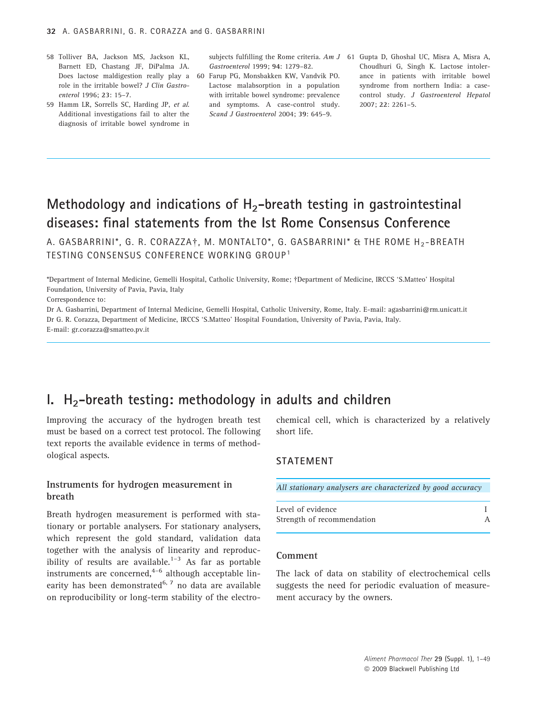- 58 Tolliver BA, Jackson MS, Jackson KL, Barnett ED, Chastang JF, DiPalma JA. role in the irritable bowel? J Clin Gastroenterol 1996; 23: 15–7.
- 59 Hamm LR, Sorrells SC, Harding JP, et al. Additional investigations fail to alter the diagnosis of irritable bowel syndrome in

Gastroenterol 1999; 94: 1279–82.

- Does lactose maldigestion really play a 60 Farup PG, Monsbakken KW, Vandvik PO. Lactose malabsorption in a population with irritable bowel syndrome: prevalence and symptoms. A case-control study. Scand J Gastroenterol 2004; 39: 645–9.
- subjects fulfilling the Rome criteria.  $Am\,J\;$  61 Gupta D, Ghoshal UC, Misra A, Misra A, Choudhuri G, Singh K. Lactose intolerance in patients with irritable bowel syndrome from northern India: a casecontrol study. J Gastroenterol Hepatol 2007; 22: 2261–5.

# Methodology and indications of  $H_2$ -breath testing in gastrointestinal diseases: final statements from the Ist Rome Consensus Conference

A.  $\mathsf{GASBARINI^*}$ ,  $\mathsf{G.~R.~CORAZZA\dagger}$ , M. MONTALTO\*,  $\mathsf{G.~GSBARRINI^*}$  & THE ROME <code>H $_2$ -BREATH</code> TESTING CONSENSUS CONFERENCE WORKING GROUP<sup>1</sup>

\*Department of Internal Medicine, Gemelli Hospital, Catholic University, Rome; -Department of Medicine, IRCCS 'S.Matteo' Hospital Foundation, University of Pavia, Pavia, Italy

Correspondence to:

Dr A. Gasbarrini, Department of Internal Medicine, Gemelli Hospital, Catholic University, Rome, Italy. E-mail: agasbarrini@rm.unicatt.it Dr G. R. Corazza, Department of Medicine, IRCCS 'S.Matteo' Hospital Foundation, University of Pavia, Pavia, Italy. E-mail: gr.corazza@smatteo.pv.it

## I.  $H_2$ -breath testing: methodology in adults and children

Improving the accuracy of the hydrogen breath test must be based on a correct test protocol. The following text reports the available evidence in terms of methodological aspects.

### Instruments for hydrogen measurement in breath

Breath hydrogen measurement is performed with stationary or portable analysers. For stationary analysers, which represent the gold standard, validation data together with the analysis of linearity and reproducibility of results are available. $1-3$  As far as portable instruments are concerned, $4-6$  although acceptable linearity has been demonstrated<sup>6, 7</sup> no data are available on reproducibility or long-term stability of the electrochemical cell, which is characterized by a relatively short life.

## STATEMENT

| All stationary analysers are characterized by good accuracy |  |
|-------------------------------------------------------------|--|
|                                                             |  |
| Level of evidence                                           |  |
| Strength of recommendation                                  |  |

#### Comment

The lack of data on stability of electrochemical cells suggests the need for periodic evaluation of measurement accuracy by the owners.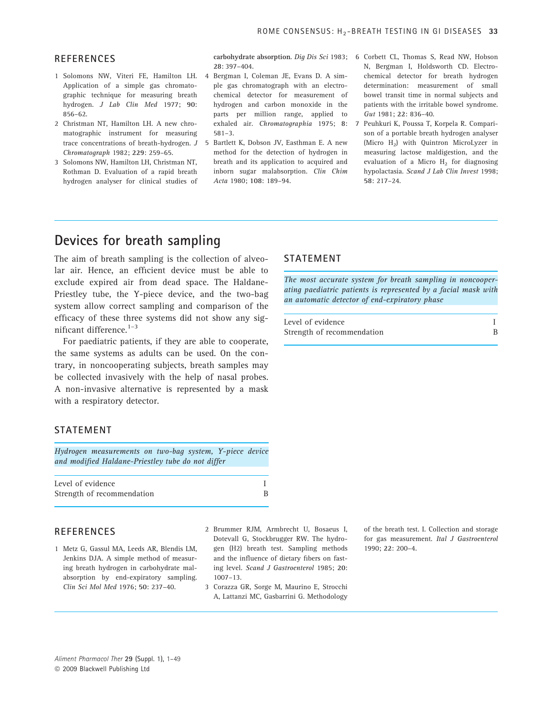### REFERENCES

- 1 Solomons NW, Viteri FE, Hamilton LH. Application of a simple gas chromatographic technique for measuring breath hydrogen. J Lab Clin Med 1977; 90: 856–62.
- 2 Christman NT, Hamilton LH. A new chromatographic instrument for measuring trace concentrations of breath-hydrogen. J Chromatograph 1982; 229: 259–65.
- 3 Solomons NW, Hamilton LH, Christman NT, Rothman D. Evaluation of a rapid breath hydrogen analyser for clinical studies of

28: 397–404.

- 4 Bergman I, Coleman JE, Evans D. A simple gas chromatograph with an electrochemical detector for measurement of hydrogen and carbon monoxide in the parts per million range, applied to exhaled air. Chromatographia 1975; 8: 581–3.
- 5 Bartlett K, Dobson JV, Easthman E. A new method for the detection of hydrogen in breath and its application to acquired and inborn sugar malabsorption. Clin Chim Acta 1980; 108: 189–94.
- carbohydrate absorption. *Dig Dis Sci* 1983; 6 Corbett CL, Thomas S, Read NW, Hobson N, Bergman I, Holdsworth CD. Electrochemical detector for breath hydrogen determination: measurement of small bowel transit time in normal subjects and patients with the irritable bowel syndrome. Gut 1981; 22: 836–40.
	- 7 Peuhkuri K, Poussa T, Korpela R. Comparison of a portable breath hydrogen analyser (Micro  $H_2$ ) with Quintron MicroLyzer in measuring lactose maldigestion, and the evaluation of a Micro  $H_2$  for diagnosing hypolactasia. Scand J Lab Clin Invest 1998; 58: 217–24.

## Devices for breath sampling

The aim of breath sampling is the collection of alveolar air. Hence, an efficient device must be able to exclude expired air from dead space. The Haldane-Priestley tube, the Y-piece device, and the two-bag system allow correct sampling and comparison of the efficacy of these three systems did not show any significant difference.<sup>1-3</sup>

For paediatric patients, if they are able to cooperate, the same systems as adults can be used. On the contrary, in noncooperating subjects, breath samples may be collected invasively with the help of nasal probes. A non-invasive alternative is represented by a mask with a respiratory detector.

### STATEMENT

|                                                | Hydrogen measurements on two-bag system, Y-piece device |  |  |  |
|------------------------------------------------|---------------------------------------------------------|--|--|--|
|                                                | and modified Haldane-Priestley tube do not differ       |  |  |  |
|                                                |                                                         |  |  |  |
| $I \text{ and } af \text{ or id} \text{ are }$ |                                                         |  |  |  |

| Level of evidence          |  |
|----------------------------|--|
| Strength of recommendation |  |

#### **REFERENCES**

- 1 Metz G, Gassul MA, Leeds AR, Blendis LM, Jenkins DJA. A simple method of measuring breath hydrogen in carbohydrate malabsorption by end-expiratory sampling. Clin Sci Mol Med 1976; 50: 237–40.
- 2 Brummer RJM, Armbrecht U, Bosaeus I, Dotevall G, Stockbrugger RW. The hydrogen (H2) breath test. Sampling methods and the influence of dietary fibers on fasting level. Scand J Gastroenterol 1985; 20: 1007–13.
- 3 Corazza GR, Sorge M, Maurino E, Strocchi A, Lattanzi MC, Gasbarrini G. Methodology

of the breath test. I. Collection and storage for gas measurement. Ital J Gastroenterol 1990; 22: 200–4.

#### STATEMENT

The most accurate system for breath sampling in noncooperating paediatric patients is represented by a facial mask with an automatic detector of end-expiratory phase

| Level of evidence          |  |
|----------------------------|--|
| Strength of recommendation |  |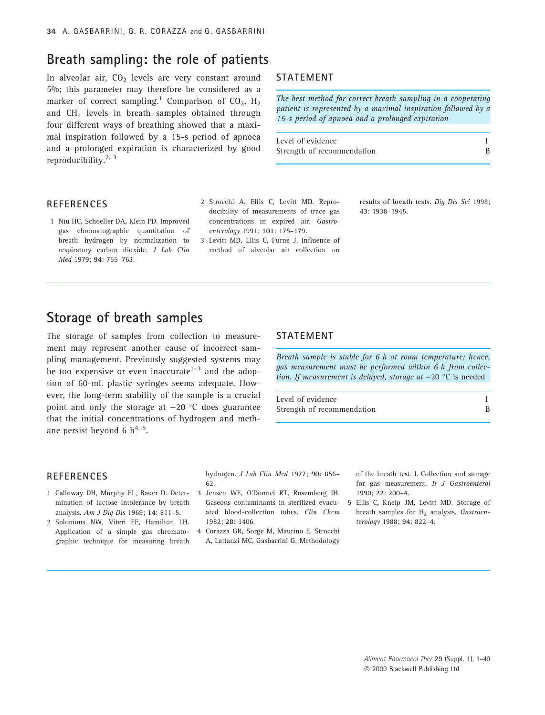## Breath sampling: the role of patients

In alveolar air,  $CO<sub>2</sub>$  levels are very constant around 5%; this parameter may therefore be considered as a marker of correct sampling.<sup>1</sup> Comparison of CO<sub>2</sub>, H<sub>2</sub> and CH4 levels in breath samples obtained through four different ways of breathing showed that a maximal inspiration followed by a 15-s period of apnoea and a prolonged expiration is characterized by good reproducibility. $2, 3$ 

## **REFERENCES**

- 1 Niu HC, Schoeller DA, Klein PD. Improved gas chromatographic quantitation of breath hydrogen by normalization to respiratory carbon dioxide. J Lab Clin Med 1979; 94: 755–763.
- 2 Strocchi A, Ellis C, Levitt MD. Reproducibility of measurements of trace gas concentrations in expired air. Gastroenterology 1991; 101: 175–179.
- 3 Levitt MD, Ellis C, Furne J. Influence of method of alveolar air collection on

#### STATEMENT

The best method for correct breath sampling in a cooperating patient is represented by a maximal inspiration followed by a 15-s period of apnoea and a prolonged expiration

| Level of evidence          |  |
|----------------------------|--|
| Strength of recommendation |  |

results of breath tests. Dig Dis Sci 1998; 43: 1938–1945.

## Storage of breath samples

The storage of samples from collection to measurement may represent another cause of incorrect sampling management. Previously suggested systems may be too expensive or even inaccurate<sup> $1-3$ </sup> and the adoption of 60-mL plastic syringes seems adequate. However, the long-term stability of the sample is a crucial point and only the storage at  $-20$  °C does guarantee that the initial concentrations of hydrogen and methane persist beyond 6  $h^{4, 5}$ .

#### STATEMENT

Breath sample is stable for 6 h at room temperature; hence, gas measurement must be performed within 6 h from collection. If measurement is delayed, storage at  $-20$  °C is needed

| Level of evidence          |  |
|----------------------------|--|
| Strength of recommendation |  |

#### REFERENCES

- 1 Calloway DH, Murphy EL, Bauer D. Determination of lactose intolerance by breath analysis. Am J Dig Dis 1969; 14: 811–5.
- 2 Solomons NW, Viteri FE, Hamilton LH. Application of a simple gas chromatographic technique for measuring breath

hydrogen. J Lab Clin Med 1977; 90: 856– 62.

- 3 Jensen WE, O'Donnel RT, Rosemberg IH. Gaseous contaminants in sterilized evacuated blood-collection tubes. Clin Chem 1982; 28: 1406.
- 4 Corazza GR, Sorge M, Maurino E, Strocchi A, Lattanzi MC, Gasbarrini G. Methodology

of the breath test. I. Collection and storage for gas measurement. It J Gastroenterol 1990; 22: 200–4.

5 Ellis C, Kneip JM, Levitt MD. Storage of breath samples for  $H<sub>2</sub>$  analysis. Gastroenterology 1988; 94: 822–4.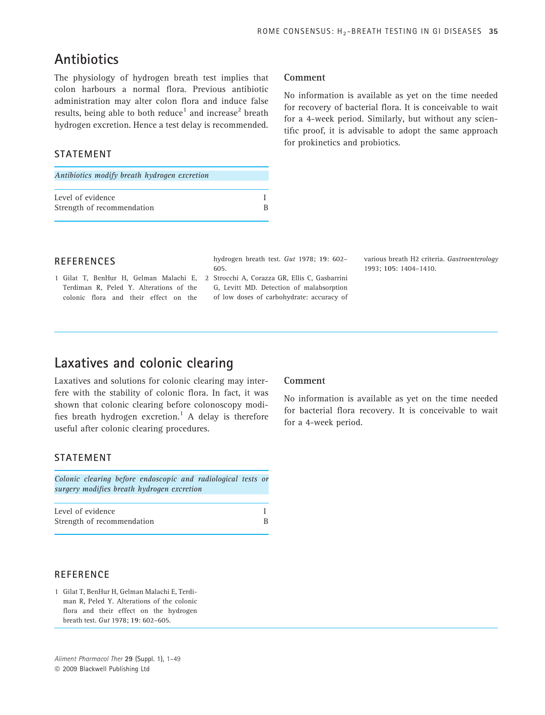## Antibiotics

The physiology of hydrogen breath test implies that colon harbours a normal flora. Previous antibiotic administration may alter colon flora and induce false results, being able to both reduce<sup>1</sup> and increase<sup>2</sup> breath hydrogen excretion. Hence a test delay is recommended.

### STATEMENT

|                   | Antibiotics modify breath hydrogen excretion |  |
|-------------------|----------------------------------------------|--|
| Level of evidence | Strength of recommendation                   |  |

#### Comment

No information is available as yet on the time needed for recovery of bacterial flora. It is conceivable to wait for a 4-week period. Similarly, but without any scientific proof, it is advisable to adopt the same approach for prokinetics and probiotics.

### **REFERENCES**

1 Gilat T, BenHur H, Gelman Malachi E, 2 Strocchi A, Corazza GR, Ellis C, Gasbarrini Terdiman R, Peled Y. Alterations of the colonic flora and their effect on the

hydrogen breath test. Gut 1978; 19: 602– 605.

G, Levitt MD. Detection of malabsorption of low doses of carbohydrate: accuracy of various breath H2 criteria. Gastroenterology 1993; 105: 1404–1410.

## Laxatives and colonic clearing

Laxatives and solutions for colonic clearing may interfere with the stability of colonic flora. In fact, it was shown that colonic clearing before colonoscopy modifies breath hydrogen excretion.<sup>1</sup> A delay is therefore useful after colonic clearing procedures.

#### Comment

No information is available as yet on the time needed for bacterial flora recovery. It is conceivable to wait for a 4-week period.

#### STATEMENT

| Colonic clearing before endoscopic and radiological tests or<br>surgery modifies breath hydrogen excretion |  |
|------------------------------------------------------------------------------------------------------------|--|
| Level of evidence                                                                                          |  |
| Strength of recommendation                                                                                 |  |

#### **REFERENCE**

1 Gilat T, BenHur H, Gelman Malachi E, Terdiman R, Peled Y. Alterations of the colonic flora and their effect on the hydrogen breath test. Gut 1978; 19: 602–605.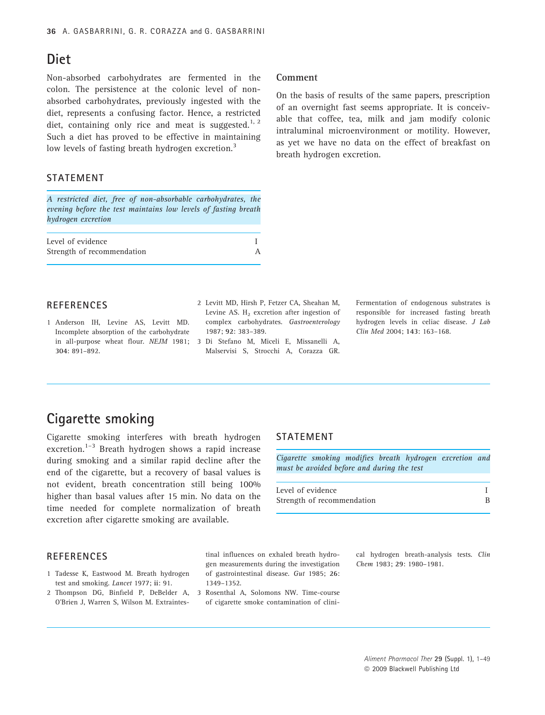## Diet

Non-absorbed carbohydrates are fermented in the colon. The persistence at the colonic level of nonabsorbed carbohydrates, previously ingested with the diet, represents a confusing factor. Hence, a restricted diet, containing only rice and meat is suggested.<sup>1, 2</sup> Such a diet has proved to be effective in maintaining low levels of fasting breath hydrogen excretion.<sup>3</sup>

### STATEMENT

| A restricted diet, free of non-absorbable carbohydrates, the   |  |
|----------------------------------------------------------------|--|
| evening before the test maintains low levels of fasting breath |  |
| hydrogen excretion                                             |  |
|                                                                |  |
| Level of evidence                                              |  |
| Strength of recommendation                                     |  |
|                                                                |  |

#### REFERENCES

- 1 Anderson IH, Levine AS, Levitt MD. Incomplete absorption of the carbohydrate 304: 891–892.
- 2 Levitt MD, Hirsh P, Fetzer CA, Sheahan M, Levine AS.  $H_2$  excretion after ingestion of complex carbohydrates. Gastroenterology 1987; 92: 383–389.
- in all-purpose wheat flour. NEJM 1981; 3 Di Stefano M, Miceli E, Missanelli A, Malservisi S, Strocchi A, Corazza GR.

## Comment

On the basis of results of the same papers, prescription of an overnight fast seems appropriate. It is conceivable that coffee, tea, milk and jam modify colonic intraluminal microenvironment or motility. However, as yet we have no data on the effect of breakfast on breath hydrogen excretion.

> Fermentation of endogenous substrates is responsible for increased fasting breath hydrogen levels in celiac disease. J Lab Clin Med 2004; 143: 163–168.

## Cigarette smoking

Cigarette smoking interferes with breath hydrogen excretion.<sup>1-3</sup> Breath hydrogen shows a rapid increase during smoking and a similar rapid decline after the end of the cigarette, but a recovery of basal values is not evident, breath concentration still being 100% higher than basal values after 15 min. No data on the time needed for complete normalization of breath excretion after cigarette smoking are available.

#### STATEMENT

| Cigarette smoking modifies breath hydrogen excretion and |  |   |
|----------------------------------------------------------|--|---|
| must be avoided before and during the test               |  |   |
|                                                          |  |   |
| Level of evidence                                        |  |   |
| Strength of recommendation                               |  | R |

### REFERENCES

- 1 Tadesse K, Eastwood M. Breath hydrogen test and smoking. Lancet 1977; ii: 91.
- 2 Thompson DG, Binfield P, DeBelder A, 3 Rosenthal A, Solomons NW. Time-course O'Brien J, Warren S, Wilson M. Extraintes-

tinal influences on exhaled breath hydrogen measurements during the investigation of gastrointestinal disease. Gut 1985; 26: 1349–1352.

of cigarette smoke contamination of clini-

cal hydrogen breath-analysis tests. Clin Chem 1983; 29: 1980–1981.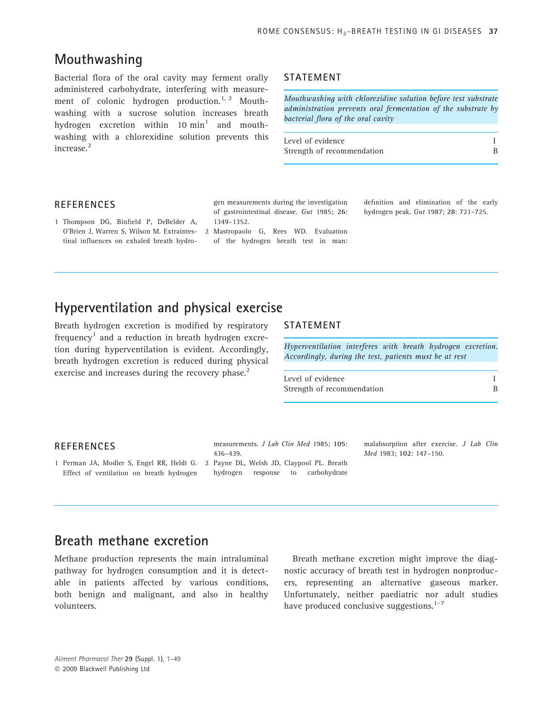## Mouthwashing

Bacterial flora of the oral cavity may ferment orally administered carbohydrate, interfering with measurement of colonic hydrogen production.<sup>1, 2</sup> Mouthwashing with a sucrose solution increases breath hydrogen excretion within  $10 \text{ min}^1$  and mouthwashing with a chlorexidine solution prevents this increase<sup>2</sup>

#### STATEMENT

Mouthwashing with chlorexidine solution before test substrate administration prevents oral fermentation of the substrate by bacterial flora of the oral cavity

| Level of evidence          |  |
|----------------------------|--|
| Strength of recommendation |  |

#### **REFERENCES**

1 Thompson DG, Binfield P, DeBelder A, O'Brien J, Warren S, Wilson M. Extraintes-2 Mastropaolo G, Rees WD. Evaluation tinal influences on exhaled breath hydro-

gen measurements during the investigation of gastrointestinal disease. Gut 1985; 26: 1349–1352.

of the hydrogen breath test in man:

definition and elimination of the early hydrogen peak. Gut 1987; 28: 721–725.

## Hyperventilation and physical exercise

Breath hydrogen excretion is modified by respiratory frequency<sup>1</sup> and a reduction in breath hydrogen excretion during hyperventilation is evident. Accordingly, breath hydrogen excretion is reduced during physical exercise and increases during the recovery phase.<sup>2</sup>

#### STATEMENT

Hyperventilation interferes with breath hydrogen excretion. Accordingly, during the test, patients must be at rest

| Level of evidence          |  |
|----------------------------|--|
| Strength of recommendation |  |

## **REFERENCES**

1 Perman JA, Modler S, Engel RR, Heldt G. 2 Payne DL, Welsh JD, Claypool PL. Breath Effect of ventilation on breath hydrogen

measurements. J Lab Clin Med 1985; 105: 436–439.

hydrogen response to carbohydrate

malabsorption after exercise. J Lab Clin Med 1983; 102: 147–150.

## Breath methane excretion

Methane production represents the main intraluminal pathway for hydrogen consumption and it is detectable in patients affected by various conditions, both benign and malignant, and also in healthy volunteers.

Breath methane excretion might improve the diagnostic accuracy of breath test in hydrogen nonproducers, representing an alternative gaseous marker. Unfortunately, neither paediatric nor adult studies have produced conclusive suggestions.<sup>1-7</sup>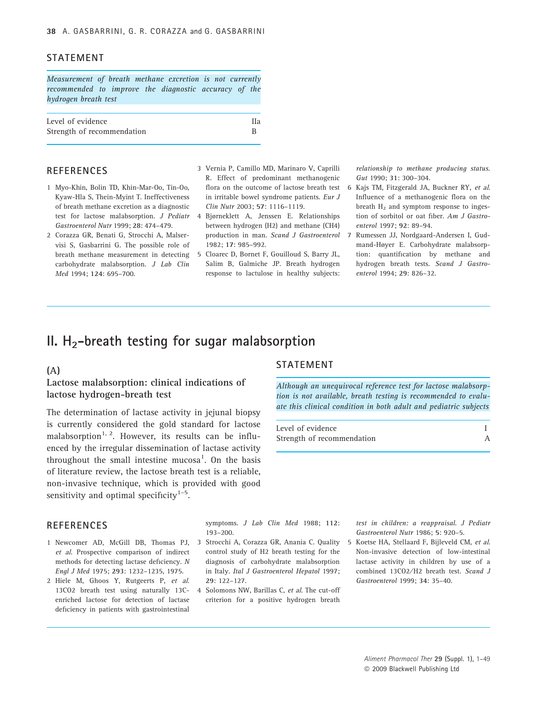### STATEMENT

Measurement of breath methane excretion is not currently recommended to improve the diagnostic accuracy of the hydrogen breath test

| Level of evidence          | Hа |
|----------------------------|----|
| Strength of recommendation |    |

### **REFERENCES**

- 1 Myo-Khin, Bolin TD, Khin-Mar-Oo, Tin-Oo, Kyaw-Hla S, Thein-Myint T. Ineffectiveness of breath methane excretion as a diagnostic Gastroenterol Nutr 1999; 28: 474–479.
- 2 Corazza GR, Benati G, Strocchi A, Malservisi S, Gasbarrini G. The possible role of breath methane measurement in detecting carbohydrate malabsorption. J Lab Clin Med 1994; 124: 695–700.
- 3 Vernia P, Camillo MD, Marinaro V, Caprilli R. Effect of predominant methanogenic flora on the outcome of lactose breath test in irritable bowel syndrome patients. Eur J Clin Nutr 2003; 57: 1116–1119.
- test for lactose malabsorption. J Pediatr 4 Bjørneklett A, Jenssen E. Relationships between hydrogen (H2) and methane (CH4) production in man. Scand J Gastroenterol 1982; 17: 985–992.
	- 5 Cloarec D, Bornet F, Gouilloud S, Barry JL, Salim B, Galmiche JP. Breath hydrogen response to lactulose in healthy subjects:

relationship to methane producing status. Gut 1990; 31: 300–304.

- 6 Kajs TM, Fitzgerald JA, Buckner RY, et al. Influence of a methanogenic flora on the breath  $H_2$  and symptom response to ingestion of sorbitol or oat fiber. Am J Gastroenterol 1997; 92: 89–94.
- 7 Rumessen JJ, Nordgaard-Andersen I, Gudmand-Høyer E. Carbohydrate malabsorption: quantification by methane and hydrogen breath tests. Scand J Gastroenterol 1994; 29: 826–32.

## II.  $H_2$ -breath testing for sugar malabsorption

#### (A)

### Lactose malabsorption: clinical indications of lactose hydrogen-breath test

The determination of lactase activity in jejunal biopsy is currently considered the gold standard for lactose malabsorption<sup>1, 2</sup>. However, its results can be influenced by the irregular dissemination of lactase activity throughout the small intestine mucosa<sup>1</sup>. On the basis of literature review, the lactose breath test is a reliable, non-invasive technique, which is provided with good sensitivity and optimal specificity $1-5$ .

#### **REFERENCES**

- 1 Newcomer AD, McGill DB, Thomas PJ, et al. Prospective comparison of indirect methods for detecting lactase deficiency. N Engl J Med 1975; 293: 1232–1235, 1975.
- 2 Hiele M, Ghoos Y, Rutgeerts P, et al. 13CO2 breath test using naturally 13Cenriched lactose for detection of lactase deficiency in patients with gastrointestinal

tion is not available, breath testing is recommended to evaluate this clinical condition in both adult and pediatric subjects

STATEMENT

| Level of evidence          |  |
|----------------------------|--|
| Strength of recommendation |  |

Although an unequivocal reference test for lactose malabsorp-

symptoms. J Lab Clin Med 1988; 112: 193–200.

- 3 Strocchi A, Corazza GR, Anania C. Quality control study of H2 breath testing for the diagnosis of carbohydrate malabsorption in Italy. Ital J Gastroenterol Hepatol 1997;  $29: 122-127$
- 4 Solomons NW, Barillas C, et al. The cut-off criterion for a positive hydrogen breath

test in children: a reappraisal. J Pediatr Gastroenterol Nutr 1986; 5: 920–5.

5 Koetse HA, Stellaard F, Bijleveld CM, et al. Non-invasive detection of low-intestinal lactase activity in children by use of a combined 13CO2/H2 breath test. Scand J Gastroenterol 1999; 34: 35–40.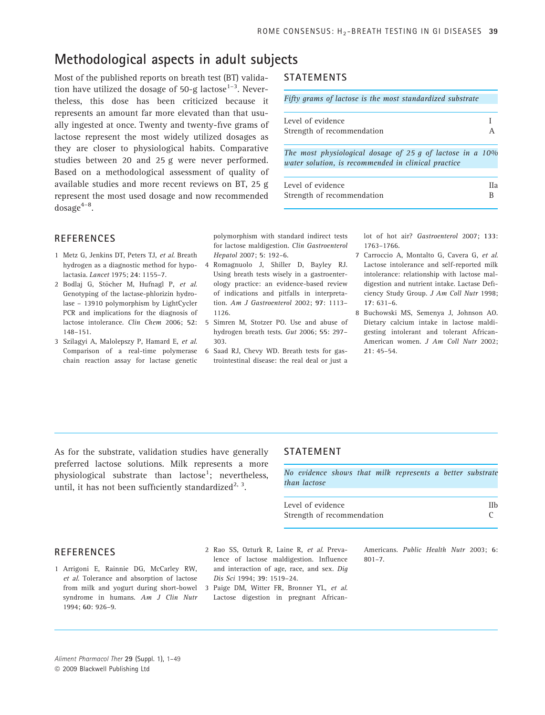## Methodological aspects in adult subjects

Most of the published reports on breath test (BT) validation have utilized the dosage of 50-g lactose<sup>1-3</sup>. Nevertheless, this dose has been criticized because it represents an amount far more elevated than that usually ingested at once. Twenty and twenty-five grams of lactose represent the most widely utilized dosages as they are closer to physiological habits. Comparative studies between 20 and 25 g were never performed. Based on a methodological assessment of quality of available studies and more recent reviews on BT, 25 g represent the most used dosage and now recommended  $d$ osage $4-8$ .

#### STATEMENTS

|  |  | Fifty grams of lactose is the most standardized substrate |
|--|--|-----------------------------------------------------------|
|--|--|-----------------------------------------------------------|

| Level of evidence<br>Strength of recommendation                                                                  |  |
|------------------------------------------------------------------------------------------------------------------|--|
| The most physiological dosage of 25 q of lactose in a 10%<br>water solution, is recommended in clinical practice |  |

| Level of evidence          | Пa |
|----------------------------|----|
| Strength of recommendation |    |

#### **REFERENCES**

- 1 Metz G, Jenkins DT, Peters TJ, et al. Breath hydrogen as a diagnostic method for hypolactasia. Lancet 1975; 24: 1155–7.
- 2 Bodlaj G, Stöcher M, Hufnagl P, et al. Genotyping of the lactase-phlorizin hydrolase – 13910 polymorphism by LightCycler PCR and implications for the diagnosis of lactose intolerance. Clin Chem 2006; 52: 148–151.
- 3 Szilagyi A, Malolepszy P, Hamard E, et al. Comparison of a real-time polymerase chain reaction assay for lactase genetic

polymorphism with standard indirect tests for lactose maldigestion. Clin Gastroenterol Hepatol 2007; 5: 192–6.

- 4 Romagnuolo J, Shiller D, Bayley RJ. Using breath tests wisely in a gastroenterology practice: an evidence-based review of indications and pitfalls in interpretation. Am J Gastroenterol 2002; 97: 1113– 1126.
- 5 Simren M, Stotzer PO. Use and abuse of hydrogen breath tests. Gut 2006; 55: 297– 303.
- 6 Saad RJ, Chevy WD. Breath tests for gastrointestinal disease: the real deal or just a

lot of hot air? Gastroenterol 2007; 133: 1763–1766.

- 7 Carroccio A, Montalto G, Cavera G, et al. Lactose intolerance and self-reported milk intolerance: relationship with lactose maldigestion and nutrient intake. Lactase Deficiency Study Group. J Am Coll Nutr 1998; 17: 631–6.
- 8 Buchowski MS, Semenya J, Johnson AO. Dietary calcium intake in lactose maldigesting intolerant and tolerant African-American women. J Am Coll Nutr 2002; 21: 45–54.

As for the substrate, validation studies have generally preferred lactose solutions. Milk represents a more physiological substrate than lactose<sup>1</sup>; nevertheless, until, it has not been sufficiently standardized<sup>2, 3</sup>.

### STATEMENT

| than lactose               |  |  |  | No evidence shows that milk represents a better substrate |  |  |     |
|----------------------------|--|--|--|-----------------------------------------------------------|--|--|-----|
|                            |  |  |  |                                                           |  |  |     |
| Level of evidence          |  |  |  |                                                           |  |  | IIb |
| Strength of recommendation |  |  |  |                                                           |  |  |     |

#### REFERENCES

1 Arrigoni E, Rainnie DG, McCarley RW, et al. Tolerance and absorption of lactose from milk and yogurt during short-bowel syndrome in humans. Am J Clin Nutr 1994; 60: 926–9.

2 Rao SS, Ozturk R, Laine R, et al. Prevalence of lactose maldigestion. Influence and interaction of age, race, and sex. Dig Dis Sci 1994; 39: 1519–24.

3 Paige DM, Witter FR, Bronner YL, et al. Lactose digestion in pregnant AfricanAmericans. Public Health Nutr 2003; 6: 801–7.

Aliment Pharmacol Ther 29 (Suppl. 1), 1–49  $@$  2009 Blackwell Publishing Ltd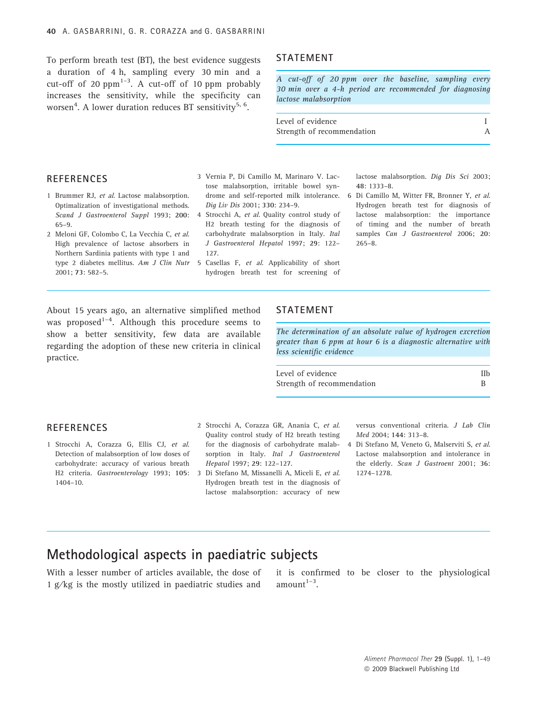To perform breath test (BT), the best evidence suggests a duration of 4 h, sampling every 30 min and a cut-off of 20  $ppm^{1-3}$ . A cut-off of 10 ppm probably increases the sensitivity, while the specificity can worsen<sup>4</sup>. A lower duration reduces BT sensitivity<sup>5, 6</sup>.

### STATEMENT

A cut-off of 20 ppm over the baseline, sampling every 30 min over a 4-h period are recommended for diagnosing lactose malabsorption

| Level of evidence          |  |
|----------------------------|--|
| Strength of recommendation |  |

#### **REFERENCES**

- 1 Brummer RJ, et al. Lactose malabsorption. Optimalization of investigational methods. Scand J Gastroenterol Suppl 1993; 200: 65–9.
- 2 Meloni GF, Colombo C, La Vecchia C, et al. High prevalence of lactose absorbers in Northern Sardinia patients with type 1 and type 2 diabetes mellitus. Am J Clin Nutr 2001; 73: 582–5.
- 3 Vernia P, Di Camillo M, Marinaro V. Lactose malabsorption, irritable bowel syn-Dig Liv Dis 2001; 330: 234–9.
- 4 Strocchi A, et al. Quality control study of H2 breath testing for the diagnosis of carbohydrate malabsorption in Italy. Ital J Gastroenterol Hepatol 1997; 29: 122– 127.
- 5 Casellas F, et al. Applicability of short hydrogen breath test for screening of

lactose malabsorption. Dig Dis Sci 2003;  $48.1333 - 8$ 

drome and self-reported milk intolerance. 6 Di Camillo M, Witter FR, Bronner Y, et al. Hydrogen breath test for diagnosis of lactose malabsorption: the importance of timing and the number of breath samples Can J Gastroenterol 2006; 20: 265–8.

About 15 years ago, an alternative simplified method was proposed<sup>1-4</sup>. Although this procedure seems to show a better sensitivity, few data are available regarding the adoption of these new criteria in clinical practice.

#### STATEMENT

The determination of an absolute value of hydrogen excretion greater than 6 ppm at hour 6 is a diagnostic alternative with less scientific evidence

| Level of evidence          | IIb |
|----------------------------|-----|
| Strength of recommendation |     |

#### REFERENCES

- 1 Strocchi A, Corazza G, Ellis CJ, et al. Detection of malabsorption of low doses of carbohydrate: accuracy of various breath 1404–10.
- 2 Strocchi A, Corazza GR, Anania C, et al. Quality control study of H2 breath testing for the diagnosis of carbohydrate malabsorption in Italy. Ital J Gastroenterol Hepatol 1997; 29: 122–127.
- H2 criteria. Gastroenterology 1993; 105: 3 Di Stefano M, Missanelli A, Miceli E, et al. Hydrogen breath test in the diagnosis of lactose malabsorption: accuracy of new

versus conventional criteria. J Lab Clin Med 2004; 144: 313–8.

4 Di Stefano M, Veneto G, Malserviti S, et al. Lactose malabsorption and intolerance in the elderly. Scan J Gastroent 2001; 36: 1274–1278.

## Methodological aspects in paediatric subjects

With a lesser number of articles available, the dose of  $1 g/kg$  is the mostly utilized in paediatric studies and

it is confirmed to be closer to the physiological  $amount^{1-3}$ .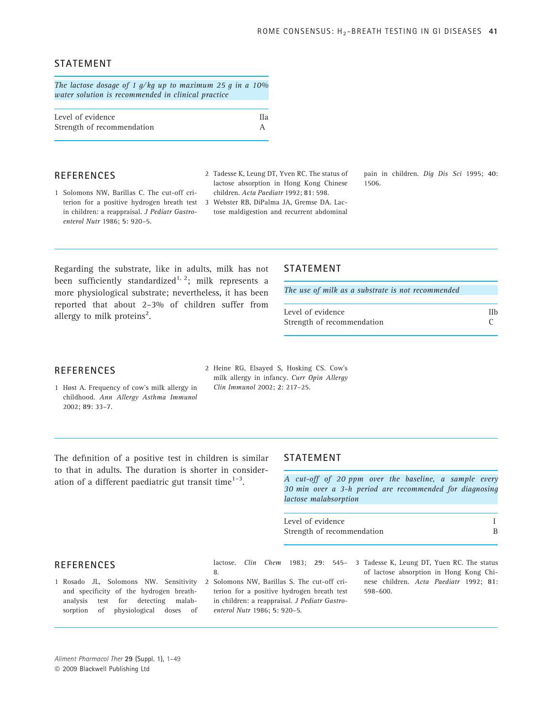#### STATEMENT

| The lactose dosage of 1 $q/kg$ up to maximum 25 q in a 10% |     |
|------------------------------------------------------------|-----|
| water solution is recommended in clinical practice         |     |
|                                                            |     |
| Level of evidence                                          | Ha. |
| Strength of recommendation                                 |     |

#### REFERENCES

- 1 Solomons NW, Barillas C. The cut-off criin children: a reappraisal. J Pediatr Gastroenterol Nutr 1986; 5: 920–5.
- 2 Tadesse K, Leung DT, Yven RC. The status of lactose absorption in Hong Kong Chinese children. Acta Paediatr 1992; 81: 598.
- terion for a positive hydrogen breath test 3 Webster RB, DiPalma JA, Gremse DA. Lactose maldigestion and recurrent abdominal

pain in children. Dig Dis Sci 1995; 40: 1506.

Regarding the substrate, like in adults, milk has not been sufficiently standardized<sup>1, 2</sup>; milk represents a more physiological substrate; nevertheless, it has been reported that about 2–3% of children suffer from allergy to milk proteins<sup>2</sup>.

#### STATEMENT

| The use of milk as a substrate is not recommended |      |
|---------------------------------------------------|------|
|                                                   |      |
| Level of evidence                                 | IIb. |
| Strength of recommendation                        |      |

#### REFERENCES

1 Høst A. Frequency of cow's milk allergy in childhood. Ann Allergy Asthma Immunol 2002; 89: 33–7.

2 Heine RG, Elsayed S, Hosking CS. Cow's milk allergy in infancy. Curr Opin Allergy Clin Immunol 2002; 2: 217–25.

The definition of a positive test in children is similar to that in adults. The duration is shorter in consideration of a different paediatric gut transit time<sup>1-3</sup>.

#### STATEMENT

A cut-off of 20 ppm over the baseline, a sample every 30 min over a 3-h period are recommended for diagnosing lactose malabsorption

| Level of evidence          |  |
|----------------------------|--|
| Strength of recommendation |  |

#### REFERENCES

1 Rosado JL, Solomons NW. Sensitivity and specificity of the hydrogen breathanalysis test for detecting malabsorption of physiological doses of

8.

2 Solomons NW, Barillas S. The cut-off criterion for a positive hydrogen breath test in children: a reappraisal. J Pediatr Gastroenterol Nutr 1986; 5: 920–5.

lactose. *Clin Chem* 1983; 29: 545- 3 Tadesse K, Leung DT, Yuen RC. The status of lactose absorption in Hong Kong Chinese children. Acta Paediatr 1992; 81: 598–600.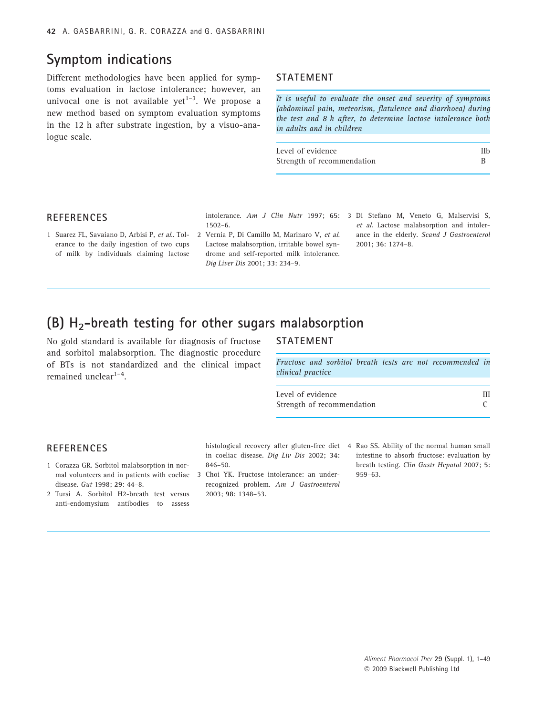## Symptom indications

Different methodologies have been applied for symptoms evaluation in lactose intolerance; however, an univocal one is not available yet<sup> $1-3$ </sup>. We propose a new method based on symptom evaluation symptoms in the 12 h after substrate ingestion, by a visuo-analogue scale.

### STATEMENT

It is useful to evaluate the onset and severity of symptoms (abdominal pain, meteorism, flatulence and diarrhoea) during the test and 8 h after, to determine lactose intolerance both in adults and in children

| Level of evidence          | Пb |
|----------------------------|----|
| Strength of recommendation |    |

## **REFERENCES**

- 1 Suarez FL, Savaiano D, Arbisi P, et al.. Tol- 2 Vernia P, Di Camillo M, Marinaro V, et al. erance to the daily ingestion of two cups of milk by individuals claiming lactose
- 1502–6.
	- Lactose malabsorption, irritable bowel syndrome and self-reported milk intolerance. Dig Liver Dis 2001; 33: 234–9.
- intolerance. Am J Clin Nutr 1997; 65: 3 Di Stefano M, Veneto G, Malservisi S, et al. Lactose malabsorption and intolerance in the elderly. Scand J Gastroenterol 2001; 36: 1274–8.

## (B)  $H_2$ -breath testing for other sugars malabsorption

No gold standard is available for diagnosis of fructose and sorbitol malabsorption. The diagnostic procedure of BTs is not standardized and the clinical impact remained unclear $1-4$ .

## STATEMENT

Fructose and sorbitol breath tests are not recommended in clinical practice

| Level of evidence          |  |
|----------------------------|--|
| Strength of recommendation |  |

#### REFERENCES

- 1 Corazza GR. Sorbitol malabsorption in normal volunteers and in patients with coeliac disease. Gut 1998; 29: 44–8.
- 2 Tursi A. Sorbitol H2-breath test versus anti-endomysium antibodies to assess

histological recovery after gluten-free diet 4 Rao SS. Ability of the normal human small in coeliac disease. Dig Liv Dis 2002; 34: 846–50.

- 3 Choi YK. Fructose intolerance: an underrecognized problem. Am J Gastroenterol 2003; 98: 1348–53.
- intestine to absorb fructose: evaluation by breath testing. Clin Gastr Hepatol 2007; 5: 959–63.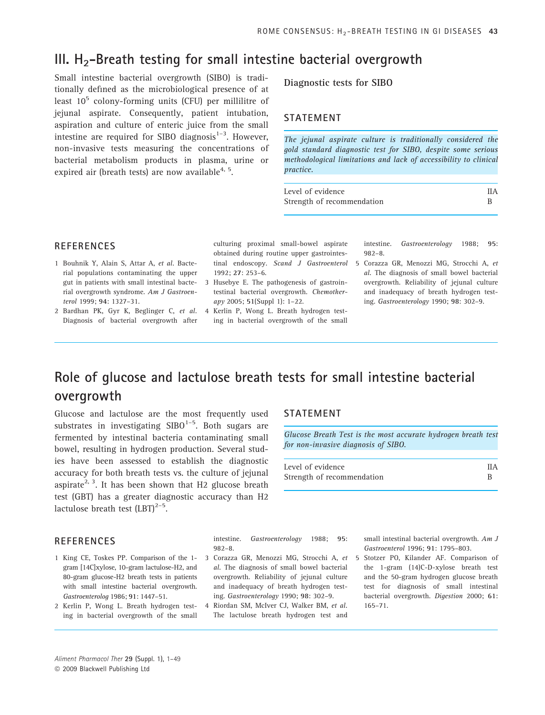## III.  $H_2$ -Breath testing for small intestine bacterial overgrowth

Small intestine bacterial overgrowth (SIBO) is traditionally defined as the microbiological presence of at least  $10^5$  colony-forming units (CFU) per millilitre of jejunal aspirate. Consequently, patient intubation, aspiration and culture of enteric juice from the small intestine are required for SIBO diagnosis $1-3$ . However, non-invasive tests measuring the concentrations of bacterial metabolism products in plasma, urine or expired air (breath tests) are now available<sup>4, 5</sup>.

#### Diagnostic tests for SIBO

### STATEMENT

The jejunal aspirate culture is traditionally considered the gold standard diagnostic test for SIBO, despite some serious methodological limitations and lack of accessibility to clinical practice.

| Level of evidence          | <b>IIA</b> |
|----------------------------|------------|
| Strength of recommendation |            |

Glucose Breath Test is the most accurate hydrogen breath test

Level of evidence IIA Strength of recommendation B

#### **REFERENCES**

- 1 Bouhnik Y, Alain S, Attar A, et al. Bacterial populations contaminating the upper gut in patients with small intestinal bacterial overgrowth syndrome. Am J Gastroenterol 1999; 94: 1327–31.
- 2 Bardhan PK, Gyr K, Beglinger C, et al. Diagnosis of bacterial overgrowth after

culturing proximal small-bowel aspirate obtained during routine upper gastrointestinal endoscopy. Scand J Gastroenterol 1992; 27: 253–6.

- 3 Husebye E. The pathogenesis of gastrointestinal bacterial overgrowth. Chemotherapy 2005; 51(Suppl 1): 1–22.
- 4 Kerlin P, Wong L. Breath hydrogen testing in bacterial overgrowth of the small

intestine. Gastroenterology 1988; 95: 982–8.

5 Corazza GR, Menozzi MG, Strocchi A, et al. The diagnosis of small bowel bacterial overgrowth. Reliability of jejunal culture and inadequacy of breath hydrogen testing. Gastroenterology 1990; 98: 302–9.

# Role of glucose and lactulose breath tests for small intestine bacterial overgrowth

Glucose and lactulose are the most frequently used substrates in investigating  $SIBO<sup>1-5</sup>$ . Both sugars are fermented by intestinal bacteria contaminating small bowel, resulting in hydrogen production. Several studies have been assessed to establish the diagnostic accuracy for both breath tests vs. the culture of jejunal aspirate<sup>2, 3</sup>. It has been shown that H2 glucose breath test (GBT) has a greater diagnostic accuracy than H2 lactulose breath test  $(LBT)^{2-5}$ .

### REFERENCES

- 1 King CE, Toskes PP. Comparison of the 1- 3 Corazza GR, Menozzi MG, Strocchi A, et gram [14C]xylose, 10-gram lactulose-H2, and 80-gram glucose-H2 breath tests in patients with small intestine bacterial overgrowth. Gastroenterolog 1986; 91: 1447–51.
- 2 Kerlin P, Wong L. Breath hydrogen testing in bacterial overgrowth of the small

intestine. Gastroenterology 1988; 95:

STATEMENT

for non-invasive diagnosis of SIBO.

al. The diagnosis of small bowel bacterial overgrowth. Reliability of jejunal culture and inadequacy of breath hydrogen testing. Gastroenterology 1990; 98: 302–9.

982–8.

4 Riordan SM, McIver CJ, Walker BM, et al. The lactulose breath hydrogen test and small intestinal bacterial overgrowth. Am J Gastroenterol 1996; 91: 1795–803.

5 Stotzer PO, Kilander AF. Comparison of the 1-gram (14)C-D-xylose breath test and the 50-gram hydrogen glucose breath test for diagnosis of small intestinal bacterial overgrowth. Digestion 2000; 61: 165–71.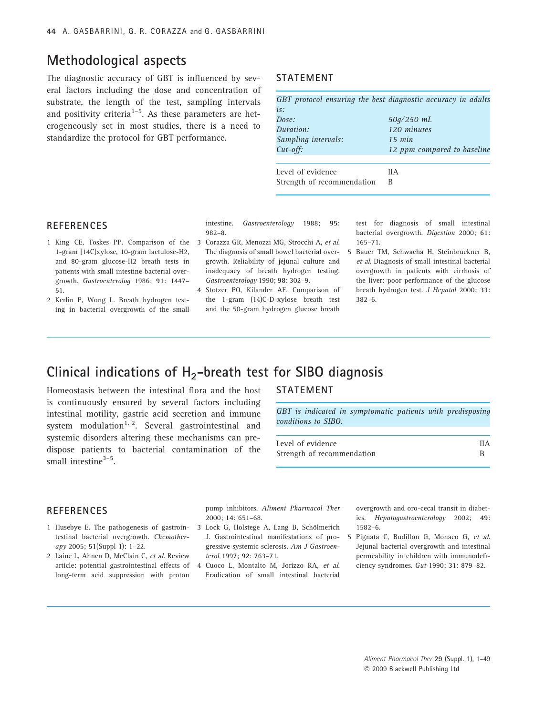## Methodological aspects

The diagnostic accuracy of GBT is influenced by several factors including the dose and concentration of substrate, the length of the test, sampling intervals and positivity criteria<sup>1-5</sup>. As these parameters are heterogeneously set in most studies, there is a need to standardize the protocol for GBT performance.

#### STATEMENT

| GBT protocol ensuring the best diagnostic accuracy in adults |                             |
|--------------------------------------------------------------|-----------------------------|
| is:                                                          |                             |
| Dose:                                                        | $50q/250$ mL                |
| Duration:                                                    | 120 minutes                 |
| Sampling intervals:                                          | $15 \text{ min}$            |
| $Cut-off:$                                                   | 12 ppm compared to baseline |
| Level of evidence                                            | HА                          |
| Strength of recommendation                                   | B                           |

## **REFERENCES**

- 1 King CE, Toskes PP. Comparison of the 1-gram [14C]xylose, 10-gram lactulose-H2, and 80-gram glucose-H2 breath tests in patients with small intestine bacterial overgrowth. Gastroenterolog 1986; 91: 1447– 51.
- 2 Kerlin P, Wong L. Breath hydrogen testing in bacterial overgrowth of the small

intestine. Gastroenterology 1988; 95: 982–8.

- 3 Corazza GR, Menozzi MG, Strocchi A, et al. The diagnosis of small bowel bacterial overgrowth. Reliability of jejunal culture and inadequacy of breath hydrogen testing. Gastroenterology 1990; 98: 302–9.
- 4 Stotzer PO, Kilander AF. Comparison of the 1-gram (14)C-D-xylose breath test and the 50-gram hydrogen glucose breath

test for diagnosis of small intestinal bacterial overgrowth. Digestion 2000; 61: 165–71.

5 Bauer TM, Schwacha H, Steinbruckner B, et al. Diagnosis of small intestinal bacterial overgrowth in patients with cirrhosis of the liver: poor performance of the glucose breath hydrogen test. J Hepatol 2000; 33: 382–6.

## Clinical indications of  $H_2$ -breath test for SIBO diagnosis

Homeostasis between the intestinal flora and the host is continuously ensured by several factors including intestinal motility, gastric acid secretion and immune system modulation<sup>1, 2</sup>. Several gastrointestinal and systemic disorders altering these mechanisms can predispose patients to bacterial contamination of the small intestine $3-5$ .

## STATEMENT

GBT is indicated in symptomatic patients with predisposing conditions to SIBO.

| Level of evidence          | <b>IIA</b> |
|----------------------------|------------|
| Strength of recommendation |            |

### **REFERENCES**

- 1 Husebye E. The pathogenesis of gastrointestinal bacterial overgrowth. Chemotherapy 2005; 51(Suppl 1): 1–22.
- 2 Laine L, Ahnen D, McClain C, et al. Review article: potential gastrointestinal effects of long-term acid suppression with proton

pump inhibitors. Aliment Pharmacol Ther 2000; 14: 651–68.

- 3 Lock G, Holstege A, Lang B, Schölmerich J. Gastrointestinal manifestations of progressive systemic sclerosis. Am J Gastroenterol 1997; 92: 763–71.
- 4 Cuoco L, Montalto M, Jorizzo RA, et al. Eradication of small intestinal bacterial

overgrowth and oro-cecal transit in diabetics. Hepatogastroenterology 2002; 49: 1582–6.

5 Pignata C, Budillon G, Monaco G, et al. Jejunal bacterial overgrowth and intestinal permeability in children with immunodeficiency syndromes. Gut 1990; 31: 879–82.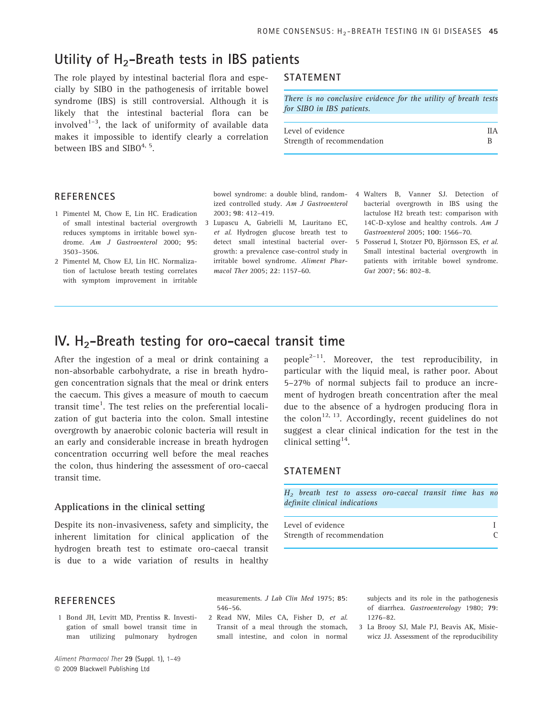## Utility of  $H_2$ -Breath tests in IBS patients

The role played by intestinal bacterial flora and especially by SIBO in the pathogenesis of irritable bowel syndrome (IBS) is still controversial. Although it is likely that the intestinal bacterial flora can be involved $1-3$ , the lack of uniformity of available data makes it impossible to identify clearly a correlation between IBS and  $SIBO<sup>4, 5</sup>$ .

#### STATEMENT

There is no conclusive evidence for the utility of breath tests for SIBO in IBS patients.

| Level of evidence          | HА |
|----------------------------|----|
| Strength of recommendation |    |

### REFERENCES

- 1 Pimentel M, Chow E, Lin HC. Eradication of small intestinal bacterial overgrowth reduces symptoms in irritable bowel syndrome. Am J Gastroenterol 2000; 95: 3503–3506.
- 2 Pimentel M, Chow EJ, Lin HC. Normalization of lactulose breath testing correlates with symptom improvement in irritable

ized controlled study. Am J Gastroenterol 2003; 98: 412–419.

- 3 Lupascu A, Gabrielli M, Lauritano EC, et al. Hydrogen glucose breath test to detect small intestinal bacterial overgrowth: a prevalence case-control study in irritable bowel syndrome. Aliment Pharmacol Ther 2005; 22: 1157–60.
- bowel syndrome: a double blind, random-4 Walters B, Vanner SJ. Detection of bacterial overgrowth in IBS using the lactulose H2 breath test: comparison with 14C-D-xylose and healthy controls. Am J Gastroenterol 2005; 100: 1566–70.
	- 5 Posserud I, Stotzer PO, Björnsson ES, et al. Small intestinal bacterial overgrowth in patients with irritable bowel syndrome. Gut 2007; 56: 802–8.

## IV.  $H<sub>2</sub>$ -Breath testing for oro-caecal transit time

After the ingestion of a meal or drink containing a non-absorbable carbohydrate, a rise in breath hydrogen concentration signals that the meal or drink enters the caecum. This gives a measure of mouth to caecum transit time<sup>1</sup>. The test relies on the preferential localization of gut bacteria into the colon. Small intestine overgrowth by anaerobic colonic bacteria will result in an early and considerable increase in breath hydrogen concentration occurring well before the meal reaches the colon, thus hindering the assessment of oro-caecal transit time.

#### Applications in the clinical setting

Despite its non-invasiveness, safety and simplicity, the inherent limitation for clinical application of the hydrogen breath test to estimate oro-caecal transit is due to a wide variation of results in healthy people<sup>2–11</sup>. Moreover, the test reproducibility, in particular with the liquid meal, is rather poor. About 5–27% of normal subjects fail to produce an increment of hydrogen breath concentration after the meal due to the absence of a hydrogen producing flora in the colon<sup>12, 13</sup>. Accordingly, recent guidelines do not suggest a clear clinical indication for the test in the clinical setting<sup>14</sup>.

#### STATEMENT

|                   |                            |  |                               | $H2$ breath test to assess oro-caecal transit time has no |  |  |  |
|-------------------|----------------------------|--|-------------------------------|-----------------------------------------------------------|--|--|--|
|                   |                            |  | definite clinical indications |                                                           |  |  |  |
|                   |                            |  |                               |                                                           |  |  |  |
| Level of evidence |                            |  |                               |                                                           |  |  |  |
|                   | Strength of recommendation |  |                               |                                                           |  |  |  |

#### REFERENCES

1 Bond JH, Levitt MD, Prentiss R. Investigation of small bowel transit time in man utilizing pulmonary hydrogen

Aliment Pharmacol Ther 29 (Suppl. 1), 1–49  $@$  2009 Blackwell Publishing Ltd

measurements. J Lab Clin Med 1975; 85: 546–56.

2 Read NW, Miles CA, Fisher D, et al. Transit of a meal through the stomach, small intestine, and colon in normal subjects and its role in the pathogenesis of diarrhea. Gastroenterology 1980; 79: 1276–82.

3 La Brooy SJ, Male PJ, Beavis AK, Misiewicz JJ. Assessment of the reproducibility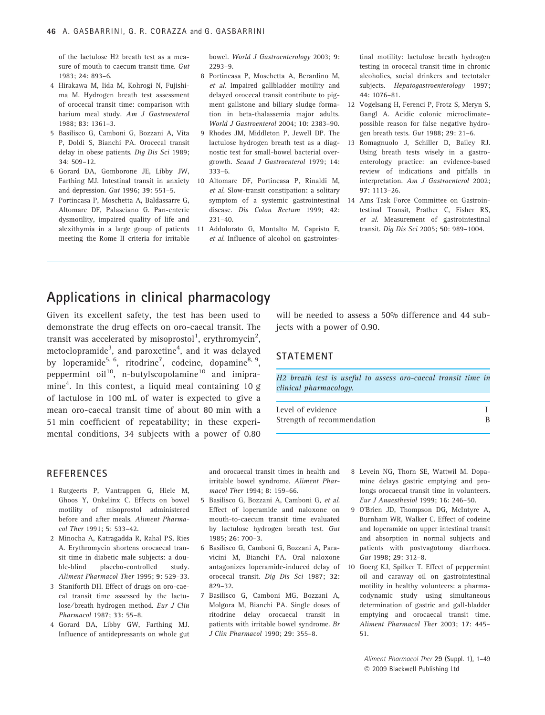of the lactulose H2 breath test as a measure of mouth to caecum transit time. Gut 1983; 24: 893–6.

- 4 Hirakawa M, Iida M, Kohrogi N, Fujishima M. Hydrogen breath test assessment of orocecal transit time: comparison with barium meal study. Am J Gastroenterol 1988; 83: 1361–3.
- 5 Basilisco G, Camboni G, Bozzani A, Vita P, Doldi S, Bianchi PA. Orocecal transit delay in obese patients. Dig Dis Sci 1989; 34: 509–12.
- 6 Gorard DA, Gomborone JE, Libby JW, Farthing MJ. Intestinal transit in anxiety and depression. Gut 1996; 39: 551–5.
- 7 Portincasa P, Moschetta A, Baldassarre G, Altomare DF, Palasciano G. Pan-enteric dysmotility, impaired quality of life and alexithymia in a large group of patients meeting the Rome II criteria for irritable

bowel. World J Gastroenterology 2003: 9: 2293–9.

- 8 Portincasa P, Moschetta A, Berardino M, et al. Impaired gallbladder motility and delayed orocecal transit contribute to pigment gallstone and biliary sludge formation in beta-thalassemia major adults. World J Gastroenterol 2004; 10: 2383–90.
- 9 Rhodes JM, Middleton P, Jewell DP. The lactulose hydrogen breath test as a diagnostic test for small-bowel bacterial overgrowth. Scand J Gastroenterol 1979; 14: 333–6.
- 10 Altomare DF, Portincasa P, Rinaldi M, et al. Slow-transit constipation: a solitary symptom of a systemic gastrointestinal disease. Dis Colon Rectum 1999; 42: 231–40.
- 11 Addolorato G, Montalto M, Capristo E, et al. Influence of alcohol on gastrointes-

tinal motility: lactulose breath hydrogen testing in orocecal transit time in chronic alcoholics, social drinkers and teetotaler subjects. Hepatogastroenterology 1997; 44: 1076–81.

- 12 Vogelsang H, Ferenci P, Frotz S, Meryn S, Gangl A. Acidic colonic microclimate– possible reason for false negative hydrogen breath tests. Gut 1988; 29: 21–6.
- 13 Romagnuolo J, Schiller D, Bailey RJ. Using breath tests wisely in a gastroenterology practice: an evidence-based review of indications and pitfalls in interpretation. Am J Gastroenterol 2002; 97: 1113–26.
- 14 Ams Task Force Committee on Gastrointestinal Transit, Prather C, Fisher RS, et al. Measurement of gastrointestinal transit. Dig Dis Sci 2005; 50: 989–1004.

## Applications in clinical pharmacology

Given its excellent safety, the test has been used to demonstrate the drug effects on oro-caecal transit. The transit was accelerated by misoprostol<sup>1</sup>, erythromycin<sup>2</sup>, metoclopramide<sup>3</sup>, and paroxetine<sup>4</sup>, and it was delayed by loperamide<sup>5, 6</sup>, ritodrine<sup>7</sup>, codeine, dopamine<sup>8, 9</sup>, peppermint  $\delta$ il<sup>10</sup>, n-butylscopolamine<sup>10</sup> and imipramine<sup>4</sup> . In this contest, a liquid meal containing 10 g of lactulose in 100 mL of water is expected to give a mean oro-caecal transit time of about 80 min with a 51 min coefficient of repeatability; in these experimental conditions, 34 subjects with a power of 0.80

will be needed to assess a 50% difference and 44 subjects with a power of 0.90.

#### STATEMENT

H2 breath test is useful to assess oro-caecal transit time in clinical pharmacology.

| Level of evidence          |  |
|----------------------------|--|
| Strength of recommendation |  |

#### REFERENCES

- 1 Rutgeerts P, Vantrappen G, Hiele M, Ghoos Y, Onkelinx C. Effects on bowel motility of misoprostol administered before and after meals. Aliment Pharmacol Ther 1991; 5: 533–42.
- 2 Minocha A, Katragadda R, Rahal PS, Ries A. Erythromycin shortens orocaecal transit time in diabetic male subjects: a double-blind placebo-controlled study. Aliment Pharmacol Ther 1995; 9: 529–33.
- 3 Staniforth DH. Effect of drugs on oro-caecal transit time assessed by the lactulose/breath hydrogen method. Eur J Clin Pharmacol 1987; 33: 55–8.
- 4 Gorard DA, Libby GW, Farthing MJ. Influence of antidepressants on whole gut

and orocaecal transit times in health and irritable bowel syndrome. Aliment Pharmacol Ther 1994; 8: 159–66.

- 5 Basilisco G, Bozzani A, Camboni G, et al. Effect of loperamide and naloxone on mouth-to-caecum transit time evaluated by lactulose hydrogen breath test. Gut 1985; 26: 700–3.
- 6 Basilisco G, Camboni G, Bozzani A, Paravicini M, Bianchi PA. Oral naloxone antagonizes loperamide-induced delay of orocecal transit. Dig Dis Sci 1987; 32: 829–32.
- 7 Basilisco G, Camboni MG, Bozzani A, Molgora M, Bianchi PA. Single doses of ritodrine delay orocaecal transit in patients with irritable bowel syndrome. Br J Clin Pharmacol 1990; 29: 355–8.
- 8 Levein NG, Thorn SE, Wattwil M. Dopamine delays gastric emptying and prolongs orocaecal transit time in volunteers. Eur J Anaesthesiol 1999; 16: 246–50.
- 9 O'Brien JD, Thompson DG, McIntyre A, Burnham WR, Walker C. Effect of codeine and loperamide on upper intestinal transit and absorption in normal subjects and patients with postvagotomy diarrhoea. Gut 1998; 29: 312–8.
- 10 Goerg KJ, Spilker T. Effect of peppermint oil and caraway oil on gastrointestinal motility in healthy volunteers: a pharmacodynamic study using simultaneous determination of gastric and gall-bladder emptying and orocaecal transit time. Aliment Pharmacol Ther 2003; 17: 445– 51.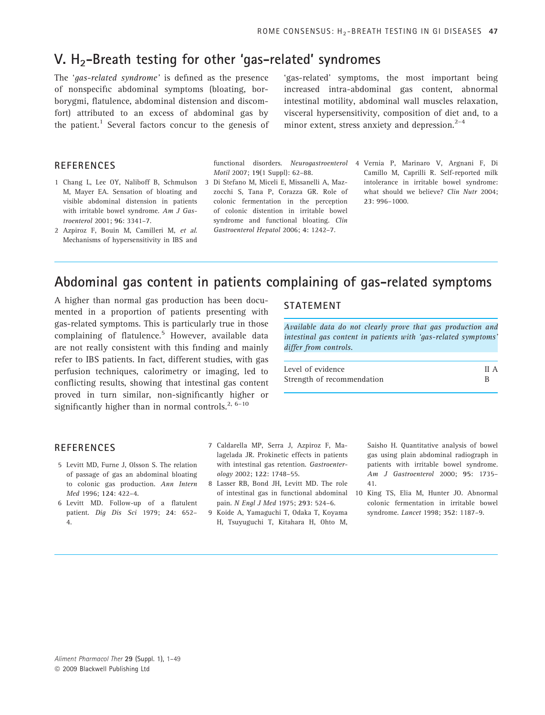## V.  $H_2$ -Breath testing for other 'gas-related' syndromes

The 'gas-related syndrome' is defined as the presence of nonspecific abdominal symptoms (bloating, borborygmi, flatulence, abdominal distension and discomfort) attributed to an excess of abdominal gas by the patient.<sup>1</sup> Several factors concur to the genesis of 'gas-related' symptoms, the most important being increased intra-abdominal gas content, abnormal intestinal motility, abdominal wall muscles relaxation, visceral hypersensitivity, composition of diet and, to a minor extent, stress anxiety and depression. $2-4$ 

## **REFERENCES**

- 1 Chang L, Lee OY, Naliboff B, Schmulson 3 Di Stefano M, Miceli E, Missanelli A, Maz-M, Mayer EA. Sensation of bloating and visible abdominal distension in patients with irritable bowel syndrome. Am J Gastroenterol 2001; 96: 3341–7.
- 2 Azpiroz F, Bouin M, Camilleri M, et al. Mechanisms of hypersensitivity in IBS and

Motil 2007; 19(1 Suppl): 62–88.

- zocchi S, Tana P, Corazza GR. Role of colonic fermentation in the perception of colonic distention in irritable bowel syndrome and functional bloating. Clin Gastroenterol Hepatol 2006; 4: 1242–7.
- functional disorders. Neurogastroenterol 4 Vernia P, Marinaro V, Argnani F, Di Camillo M, Caprilli R. Self-reported milk intolerance in irritable bowel syndrome: what should we believe? Clin Nutr 2004; 23: 996–1000.

## Abdominal gas content in patients complaining of gas-related symptoms

A higher than normal gas production has been documented in a proportion of patients presenting with gas-related symptoms. This is particularly true in those complaining of flatulence.<sup>5</sup> However, available data are not really consistent with this finding and mainly refer to IBS patients. In fact, different studies, with gas perfusion techniques, calorimetry or imaging, led to conflicting results, showing that intestinal gas content proved in turn similar, non-significantly higher or significantly higher than in normal controls.<sup>2,  $6-10$ </sup>

#### STATEMENT

Available data do not clearly prove that gas production and intestinal gas content in patients with 'gas-related symptoms' differ from controls.

| Level of evidence          | II A |
|----------------------------|------|
| Strength of recommendation |      |

#### REFERENCES

- 5 Levitt MD, Furne J, Olsson S. The relation of passage of gas an abdominal bloating to colonic gas production. Ann Intern Med 1996; 124: 422–4.
- 6 Levitt MD. Follow-up of a flatulent patient. Dig Dis Sci 1979; 24: 652– 4.
- 7 Caldarella MP, Serra J, Azpiroz F, Malagelada JR. Prokinetic effects in patients with intestinal gas retention. Gastroenterology 2002; 122: 1748–55.
- 8 Lasser RB, Bond JH, Levitt MD. The role of intestinal gas in functional abdominal pain. N Engl J Med 1975; 293: 524–6.
- 9 Koide A, Yamaguchi T, Odaka T, Koyama H, Tsuyuguchi T, Kitahara H, Ohto M,

Saisho H. Quantitative analysis of bowel gas using plain abdominal radiograph in patients with irritable bowel syndrome. Am J Gastroenterol 2000; 95: 1735– 41.

10 King TS, Elia M, Hunter JO. Abnormal colonic fermentation in irritable bowel syndrome. Lancet 1998; 352: 1187–9.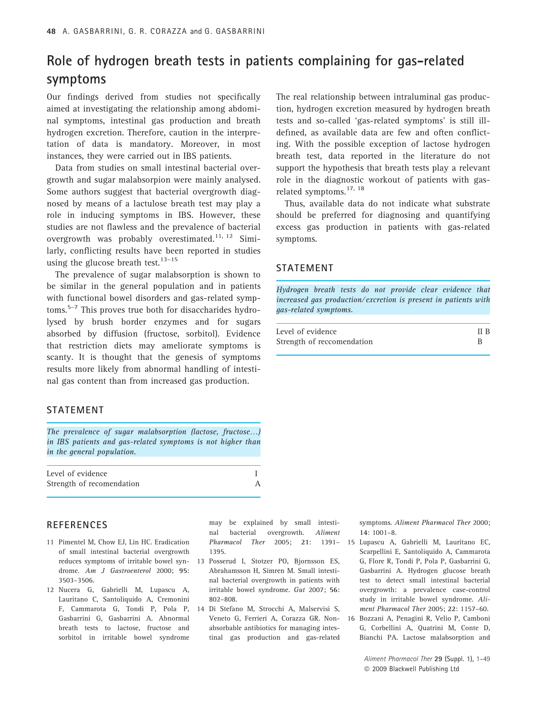# Role of hydrogen breath tests in patients complaining for gas-related symptoms

Our findings derived from studies not specifically aimed at investigating the relationship among abdominal symptoms, intestinal gas production and breath hydrogen excretion. Therefore, caution in the interpretation of data is mandatory. Moreover, in most instances, they were carried out in IBS patients.

Data from studies on small intestinal bacterial overgrowth and sugar malabsorpion were mainly analysed. Some authors suggest that bacterial overgrowth diagnosed by means of a lactulose breath test may play a role in inducing symptoms in IBS. However, these studies are not flawless and the prevalence of bacterial overgrowth was probably overestimated.<sup>11, 12</sup> Similarly, conflicting results have been reported in studies using the glucose breath test. $13-15$ 

The prevalence of sugar malabsorption is shown to be similar in the general population and in patients with functional bowel disorders and gas-related symptoms.<sup>5–7</sup> This proves true both for disaccharides hydrolysed by brush border enzymes and for sugars absorbed by diffusion (fructose, sorbitol). Evidence that restriction diets may ameliorate symptoms is scanty. It is thought that the genesis of symptoms results more likely from abnormal handling of intestinal gas content than from increased gas production.

#### STATEMENT

The prevalence of sugar malabsorption (lactose, fructose…) in IBS patients and gas-related symptoms is not higher than in the general population.

| Level of evidence         |  |
|---------------------------|--|
| Strength of recomendation |  |

#### REFERENCES

- 11 Pimentel M, Chow EJ, Lin HC. Eradication of small intestinal bacterial overgrowth reduces symptoms of irritable bowel syndrome. Am J Gastroenterol 2000; 95: 3503–3506.
- 12 Nucera G, Gabrielli M, Lupascu A, Lauritano C, Santoliquido A, Cremonini F, Cammarota G, Tondi P, Pola P, Gasbarrini G, Gasbarrini A. Abnormal breath tests to lactose, fructose and sorbitol in irritable bowel syndrome

may be explained by small intestinal bacterial overgrowth. Aliment Pharmacol Ther 2005; 21: 1391– 1395.

- 13 Posserud I, Stotzer PO, Bjornsson ES, Abrahamsson H, Simren M. Small intestinal bacterial overgrowth in patients with irritable bowel syndrome. Gut 2007; 56: 802–808.
- 14 Di Stefano M, Strocchi A, Malservisi S, Veneto G, Ferrieri A, Corazza GR. Nonabsorbable antibiotics for managing intestinal gas production and gas-related

The real relationship between intraluminal gas production, hydrogen excretion measured by hydrogen breath tests and so-called 'gas-related symptoms' is still illdefined, as available data are few and often conflicting. With the possible exception of lactose hydrogen breath test, data reported in the literature do not support the hypothesis that breath tests play a relevant role in the diagnostic workout of patients with gasrelated symptoms.17, 18

Thus, available data do not indicate what substrate should be preferred for diagnosing and quantifying excess gas production in patients with gas-related symptoms.

### STATEMENT

Hydrogen breath tests do not provide clear evidence that increased gas production/excretion is present in patients with gas-related symptoms.

| Level of evidence          | II B |
|----------------------------|------|
| Strength of reccomendation |      |

symptoms. Aliment Pharmacol Ther 2000; 14: 1001–8.

- 15 Lupascu A, Gabrielli M, Lauritano EC, Scarpellini E, Santoliquido A, Cammarota G, Flore R, Tondi P, Pola P, Gasbarrini G, Gasbarrini A. Hydrogen glucose breath test to detect small intestinal bacterial overgrowth: a prevalence case-control study in irritable bowel syndrome. Aliment Pharmacol Ther 2005; 22: 1157–60.
- 16 Bozzani A, Penagini R, Velio P, Camboni G, Corbellini A, Quatrini M, Conte D, Bianchi PA. Lactose malabsorption and

Aliment Pharmacol Ther 29 (Suppl. 1), 1–49  $@$  2009 Blackwell Publishing Ltd